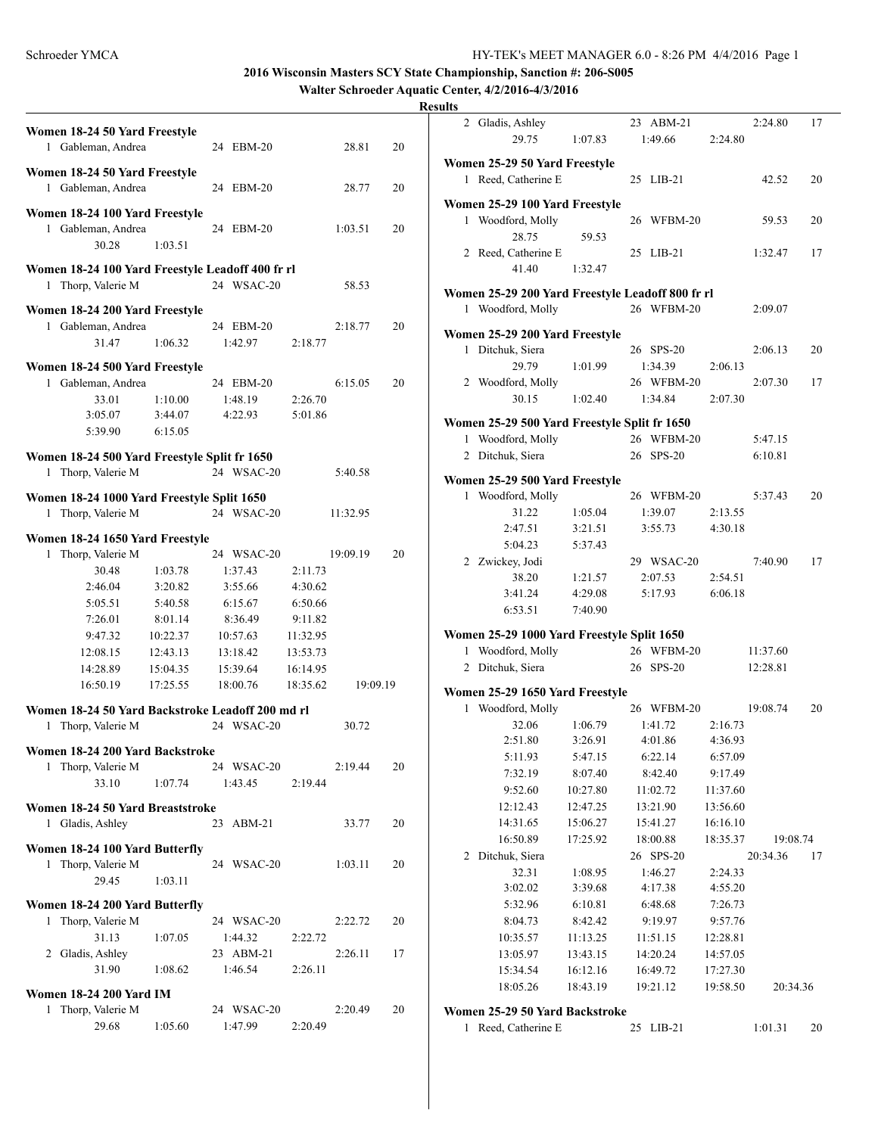**Walter Schroeder Aquatic Center, 4/2/2016-4/3/2016**

|   | Women 18-24 50 Yard Freestyle<br>1 Gableman, Andrea                    |                      | 24 EBM-20            |                      | 28.81    | 20 |
|---|------------------------------------------------------------------------|----------------------|----------------------|----------------------|----------|----|
|   | Women 18-24 50 Yard Freestyle<br>1 Gableman, Andrea                    |                      | 24 EBM-20            |                      | 28.77    | 20 |
|   |                                                                        |                      |                      |                      |          |    |
| 1 | Women 18-24 100 Yard Freestyle<br>Gableman, Andrea<br>30.28            | 1:03.51              | 24 EBM-20            |                      | 1:03.51  | 20 |
|   |                                                                        |                      |                      |                      |          |    |
|   | Women 18-24 100 Yard Freestyle Leadoff 400 fr rl<br>1 Thorp, Valerie M |                      | 24 WSAC-20           |                      | 58.53    |    |
|   | Women 18-24 200 Yard Freestyle                                         |                      |                      |                      |          |    |
|   | 1 Gableman, Andrea<br>31.47                                            | 1:06.32              | 24 EBM-20<br>1:42.97 | 2:18.77              | 2:18.77  | 20 |
|   | Women 18-24 500 Yard Freestyle                                         |                      |                      |                      |          |    |
| 1 | Gableman, Andrea                                                       |                      | 24 EBM-20            |                      | 6:15.05  | 20 |
|   | 33.01                                                                  | 1:10.00              | 1:48.19              | 2:26.70              |          |    |
|   | 3:05.07                                                                | 3:44.07              | 4:22.93              | 5:01.86              |          |    |
|   | 5:39.90                                                                | 6:15.05              |                      |                      |          |    |
|   | Women 18-24 500 Yard Freestyle Split fr 1650                           |                      |                      |                      |          |    |
|   | 1 Thorp, Valerie M                                                     |                      | 24 WSAC-20           |                      | 5:40.58  |    |
|   |                                                                        |                      |                      |                      |          |    |
|   | Women 18-24 1000 Yard Freestyle Split 1650                             |                      |                      |                      |          |    |
| 1 | Thorp, Valerie M                                                       |                      | 24 WSAC-20           |                      | 11:32.95 |    |
|   | Women 18-24 1650 Yard Freestyle                                        |                      |                      |                      |          |    |
| 1 | Thorp, Valerie M                                                       |                      | 24 WSAC-20           |                      | 19:09.19 | 20 |
|   | 30.48                                                                  | 1:03.78              | 1:37.43              | 2:11.73              |          |    |
|   | 2:46.04                                                                | 3:20.82              | 3:55.66              | 4:30.62              |          |    |
|   | 5:05.51                                                                | 5:40.58              | 6:15.67              | 6:50.66              |          |    |
|   | 7:26.01                                                                | 8:01.14              | 8:36.49              | 9:11.82              |          |    |
|   | 9:47.32<br>12:08.15                                                    | 10:22.37<br>12:43.13 | 10:57.63<br>13:18.42 | 11:32.95<br>13:53.73 |          |    |
|   | 14:28.89                                                               | 15:04.35             | 15:39.64             | 16:14.95             |          |    |
|   | 16:50.19                                                               | 17:25.55             | 18:00.76             | 18:35.62             | 19:09.19 |    |
|   |                                                                        |                      |                      |                      |          |    |
|   | Women 18-24 50 Yard Backstroke Leadoff 200 md rl                       |                      |                      |                      |          |    |
| 1 | Thorp, Valerie M                                                       |                      | 24 WSAC-20           |                      | 30.72    |    |
|   | Women 18-24 200 Yard Backstroke                                        |                      |                      |                      |          |    |
|   | 1 Thorp, Valerie M                                                     |                      | 24 WSAC-20           |                      | 2:19.44  | 20 |
|   | 33.10                                                                  | 1:07.74              | 1:43.45              | 2:19.44              |          |    |
|   | Women 18-24 50 Yard Breaststroke                                       |                      |                      |                      |          |    |
|   | 1 Gladis, Ashley                                                       |                      | 23 ABM-21            |                      | 33.77    | 20 |
|   | Women 18-24 100 Yard Butterfly                                         |                      |                      |                      |          |    |
|   | 1 Thorp, Valerie M                                                     |                      | 24 WSAC-20           |                      | 1:03.11  | 20 |
|   | 29.45                                                                  | 1:03.11              |                      |                      |          |    |
|   | Women 18-24 200 Yard Butterfly                                         |                      |                      |                      |          |    |
|   | 1 Thorp, Valerie M                                                     |                      | 24 WSAC-20           |                      | 2:22.72  | 20 |
|   | 31.13                                                                  | 1:07.05              | 1:44.32              | 2:22.72              |          |    |
|   | 2 Gladis, Ashley                                                       |                      | 23 ABM-21            |                      | 2:26.11  | 17 |
|   | 31.90                                                                  | 1:08.62              | 1:46.54              | 2:26.11              |          |    |
|   | <b>Women 18-24 200 Yard IM</b>                                         |                      |                      |                      |          |    |
| 1 | Thorp, Valerie M                                                       |                      | 24 WSAC-20           |                      | 2:20.49  | 20 |
|   | 29.68                                                                  | 1:05.60              | 1:47.99              | 2:20.49              |          |    |
|   |                                                                        |                      |                      |                      |          |    |

|   | 2 Gladis, Ashley                                   |          | 23 ABM-21               |          | 2:24.80  | 17 |
|---|----------------------------------------------------|----------|-------------------------|----------|----------|----|
|   | 29.75                                              | 1:07.83  | 1:49.66                 | 2:24.80  |          |    |
|   | Women 25-29 50 Yard Freestyle                      |          |                         |          |          |    |
|   | 1 Reed, Catherine E                                |          | 25 LIB-21               |          | 42.52    | 20 |
|   | Women 25-29 100 Yard Freestyle                     |          |                         |          |          |    |
| 1 | Woodford, Molly                                    |          | 26 WFBM-20              |          | 59.53    | 20 |
|   | 28.75                                              | 59.53    |                         |          |          |    |
|   | 2 Reed, Catherine E                                |          | 25 LIB-21               |          | 1:32.47  | 17 |
|   | 41.40                                              | 1:32.47  |                         |          |          |    |
|   | Women 25-29 200 Yard Freestyle Leadoff 800 fr rl   |          |                         |          |          |    |
|   | 1 Woodford, Molly                                  |          | 26 WFBM-20              |          | 2:09.07  |    |
|   |                                                    |          |                         |          |          |    |
|   | Women 25-29 200 Yard Freestyle<br>1 Ditchuk, Siera |          | 26 SPS-20               |          | 2:06.13  | 20 |
|   | 29.79                                              | 1:01.99  | 1:34.39                 | 2:06.13  |          |    |
|   | 2 Woodford, Molly                                  |          | 26 WFBM-20              |          | 2:07.30  | 17 |
|   | 30.15                                              | 1:02.40  | 1:34.84                 | 2:07.30  |          |    |
|   |                                                    |          |                         |          |          |    |
|   | Women 25-29 500 Yard Freestyle Split fr 1650       |          |                         |          |          |    |
| 1 | Woodford, Molly                                    |          | 26 WFBM-20<br>26 SPS-20 |          | 5:47.15  |    |
|   | 2 Ditchuk, Siera                                   |          |                         |          | 6:10.81  |    |
|   | Women 25-29 500 Yard Freestyle                     |          |                         |          |          |    |
|   | 1 Woodford, Molly                                  |          | 26 WFBM-20              |          | 5:37.43  | 20 |
|   | 31.22                                              | 1:05.04  | 1:39.07                 | 2:13.55  |          |    |
|   | 2:47.51                                            | 3:21.51  | 3:55.73                 | 4:30.18  |          |    |
|   | 5:04.23                                            | 5:37.43  |                         |          |          |    |
|   | 2 Zwickey, Jodi                                    |          | 29 WSAC-20              |          | 7:40.90  | 17 |
|   | 38.20                                              | 1:21.57  | 2:07.53                 | 2:54.51  |          |    |
|   | 3:41.24                                            | 4:29.08  | 5:17.93                 | 6:06.18  |          |    |
|   | 6:53.51                                            | 7:40.90  |                         |          |          |    |
|   | Women 25-29 1000 Yard Freestyle Split 1650         |          |                         |          |          |    |
|   | 1 Woodford, Molly                                  |          | 26 WFBM-20              |          | 11:37.60 |    |
|   | 2 Ditchuk, Siera                                   |          | 26<br>$SPS-20$          |          | 12:28.81 |    |
|   | Women 25-29 1650 Yard Freestyle                    |          |                         |          |          |    |
|   | 1 Woodford, Molly                                  |          | 26 WFBM-20              |          | 19:08.74 | 20 |
|   | 32.06                                              | 1:06.79  | 1:41.72                 | 2:16.73  |          |    |
|   | 2:51.80                                            | 3:26.91  | 4:01.86                 | 4:36.93  |          |    |
|   | 5:11.93                                            | 5:47.15  | 6:22.14                 | 6:57.09  |          |    |
|   | 7:32.19                                            | 8:07.40  | 8:42.40                 | 9:17.49  |          |    |
|   | 9:52.60                                            | 10:27.80 | 11:02.72                | 11:37.60 |          |    |
|   | 12:12.43                                           | 12:47.25 | 13:21.90                | 13:56.60 |          |    |
|   | 14:31.65                                           | 15:06.27 | 15:41.27                | 16:16.10 |          |    |
|   | 16:50.89                                           | 17:25.92 | 18:00.88                | 18:35.37 | 19:08.74 |    |
| 2 | Ditchuk, Siera                                     |          | 26 SPS-20               |          | 20:34.36 | 17 |
|   | 32.31                                              | 1:08.95  | 1:46.27                 | 2:24.33  |          |    |
|   | 3:02.02                                            | 3:39.68  | 4:17.38                 | 4:55.20  |          |    |
|   | 5:32.96                                            | 6:10.81  | 6:48.68                 | 7:26.73  |          |    |
|   | 8:04.73                                            | 8:42.42  | 9:19.97                 | 9:57.76  |          |    |
|   | 10:35.57                                           | 11:13.25 | 11:51.15                | 12:28.81 |          |    |
|   | 13:05.97                                           | 13:43.15 | 14:20.24                | 14:57.05 |          |    |
|   | 15:34.54                                           | 16:12.16 | 16:49.72                | 17:27.30 |          |    |
|   | 18:05.26                                           | 18:43.19 | 19:21.12                | 19:58.50 | 20:34.36 |    |
|   | Women 25-29 50 Yard Backstroke                     |          |                         |          |          |    |
| 1 | Reed, Catherine E                                  |          | 25<br>$LIB-21$          |          | 1:01.31  | 20 |
|   |                                                    |          |                         |          |          |    |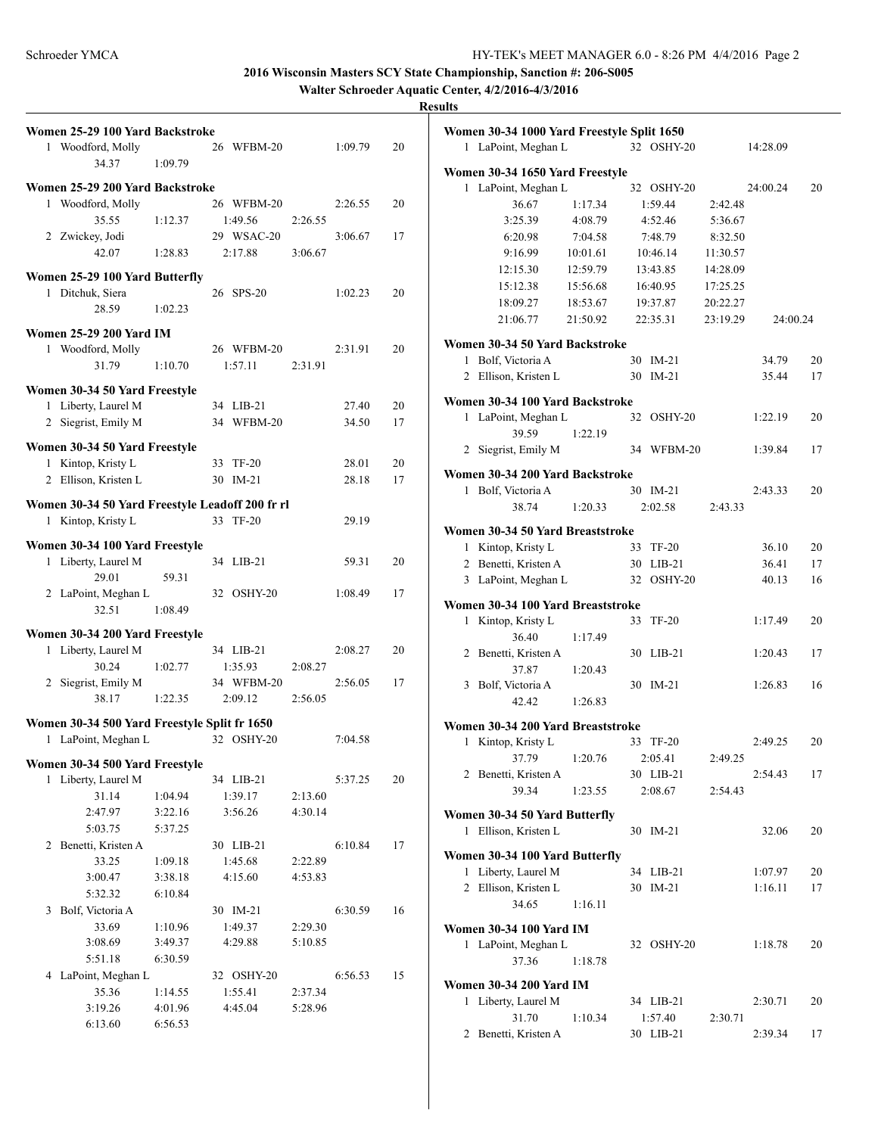**Walter Schroeder Aquatic Center, 4/2/2016-4/3/2016**

|   | Women 25-29 100 Yard Backstroke                                   |         |    |            |         |         |    |
|---|-------------------------------------------------------------------|---------|----|------------|---------|---------|----|
|   | 1 Woodford, Molly                                                 |         |    | 26 WFBM-20 |         | 1:09.79 | 20 |
|   | 34.37                                                             | 1:09.79 |    |            |         |         |    |
|   | Women 25-29 200 Yard Backstroke                                   |         |    |            |         |         |    |
|   | 1 Woodford, Molly                                                 |         |    | 26 WFBM-20 |         | 2:26.55 | 20 |
|   | 35.55                                                             | 1:12.37 |    | 1:49.56    | 2:26.55 |         |    |
|   | 2 Zwickey, Jodi                                                   |         |    | 29 WSAC-20 |         | 3:06.67 | 17 |
|   | 42.07                                                             | 1:28.83 |    | 2:17.88    | 3:06.67 |         |    |
|   | Women 25-29 100 Yard Butterfly                                    |         |    |            |         |         |    |
|   | 1 Ditchuk, Siera                                                  |         |    | 26 SPS-20  |         | 1:02.23 | 20 |
|   | 28.59                                                             | 1:02.23 |    |            |         |         |    |
|   |                                                                   |         |    |            |         |         |    |
|   | <b>Women 25-29 200 Yard IM</b>                                    |         |    |            |         |         |    |
|   | 1 Woodford, Molly                                                 |         |    | 26 WFBM-20 |         | 2:31.91 | 20 |
|   | 31.79                                                             | 1:10.70 |    | 1:57.11    | 2:31.91 |         |    |
|   | Women 30-34 50 Yard Freestyle                                     |         |    |            |         |         |    |
|   | 1 Liberty, Laurel M                                               |         |    | 34 LIB-21  |         | 27.40   | 20 |
|   | 2 Siegrist, Emily M                                               |         |    | 34 WFBM-20 |         | 34.50   | 17 |
|   | Women 30-34 50 Yard Freestyle                                     |         |    |            |         |         |    |
|   | 1 Kintop, Kristy L                                                |         | 33 | TF-20      |         | 28.01   | 20 |
|   | 2 Ellison, Kristen L                                              |         | 30 | $IM-21$    |         | 28.18   | 17 |
|   |                                                                   |         |    |            |         |         |    |
|   | Women 30-34 50 Yard Freestyle Leadoff 200 fr rl                   |         |    |            |         |         |    |
|   | 1 Kintop, Kristy L                                                |         |    | 33 TF-20   |         | 29.19   |    |
|   | Women 30-34 100 Yard Freestyle                                    |         |    |            |         |         |    |
|   | 1 Liberty, Laurel M                                               |         |    | 34 LIB-21  |         | 59.31   | 20 |
|   | 29.01                                                             | 59.31   |    |            |         |         |    |
|   | 2 LaPoint, Meghan L                                               |         |    | 32 OSHY-20 |         | 1:08.49 | 17 |
|   | 32.51                                                             | 1:08.49 |    |            |         |         |    |
|   | Women 30-34 200 Yard Freestyle                                    |         |    |            |         |         |    |
|   | 1 Liberty, Laurel M                                               |         |    | 34 LIB-21  |         | 2:08.27 | 20 |
|   | 30.24                                                             | 1:02.77 |    | 1:35.93    | 2:08.27 |         |    |
|   | 2 Siegrist, Emily M                                               |         |    | 34 WFBM-20 |         | 2:56.05 | 17 |
|   | 38.17                                                             | 1:22.35 |    | 2:09.12    | 2:56.05 |         |    |
|   |                                                                   |         |    |            |         |         |    |
| 1 | Women 30-34 500 Yard Freestyle Split fr 1650<br>LaPoint, Meghan L |         |    | 32 OSHY-20 |         | 7:04.58 |    |
|   |                                                                   |         |    |            |         |         |    |
|   | Women 30-34 500 Yard Freestyle                                    |         |    |            |         |         |    |
|   | 1 Liberty, Laurel M                                               |         |    | 34 LIB-21  |         | 5:37.25 | 20 |
|   | 31.14                                                             | 1:04.94 |    | 1:39.17    | 2:13.60 |         |    |
|   | 2:47.97                                                           | 3:22.16 |    | 3:56.26    | 4:30.14 |         |    |
|   | 5:03.75                                                           | 5:37.25 |    |            |         |         |    |
| 2 | Benetti, Kristen A                                                |         |    | 30 LIB-21  |         | 6:10.84 | 17 |
|   | 33.25                                                             | 1:09.18 |    | 1:45.68    | 2:22.89 |         |    |
|   | 3:00.47                                                           | 3:38.18 |    | 4:15.60    | 4:53.83 |         |    |
|   | 5:32.32<br>Bolf, Victoria A                                       | 6:10.84 |    |            |         | 6:30.59 |    |
| 3 |                                                                   |         |    | 30 IM-21   |         |         | 16 |
|   | 33.69                                                             | 1:10.96 |    | 1:49.37    | 2:29.30 |         |    |
|   | 3:08.69                                                           | 3:49.37 |    | 4:29.88    | 5:10.85 |         |    |
|   | 5:51.18<br>4 LaPoint, Meghan L                                    | 6:30.59 |    | 32 OSHY-20 |         | 6:56.53 | 15 |
|   | 35.36                                                             | 1:14.55 |    | 1:55.41    | 2:37.34 |         |    |
|   | 3:19.26                                                           | 4:01.96 |    | 4:45.04    | 5:28.96 |         |    |
|   | 6:13.60                                                           | 6:56.53 |    |            |         |         |    |
|   |                                                                   |         |    |            |         |         |    |

|                | Women 30-34 1000 Yard Freestyle Split 1650 |          |    |                      |          |          |    |
|----------------|--------------------------------------------|----------|----|----------------------|----------|----------|----|
|                | 1 LaPoint, Meghan L                        |          |    | 32 OSHY-20           |          | 14:28.09 |    |
|                | Women 30-34 1650 Yard Freestyle            |          |    |                      |          |          |    |
| 1              | LaPoint, Meghan L                          |          |    | 32 OSHY-20           |          | 24:00.24 | 20 |
|                | 36.67                                      | 1:17.34  |    | 1:59.44              | 2:42.48  |          |    |
|                | 3:25.39                                    | 4:08.79  |    | 4:52.46              | 5:36.67  |          |    |
|                | 6:20.98                                    | 7:04.58  |    | 7:48.79              | 8:32.50  |          |    |
|                | 9:16.99                                    | 10:01.61 |    | 10:46.14             | 11:30.57 |          |    |
|                | 12:15.30                                   | 12:59.79 |    | 13:43.85             | 14:28.09 |          |    |
|                | 15:12.38                                   | 15:56.68 |    | 16:40.95             | 17:25.25 |          |    |
|                | 18:09.27                                   | 18:53.67 |    | 19:37.87             | 20:22.27 |          |    |
|                | 21:06.77                                   | 21:50.92 |    | 22:35.31             | 23:19.29 | 24:00.24 |    |
|                | Women 30-34 50 Yard Backstroke             |          |    |                      |          |          |    |
|                | 1 Bolf, Victoria A                         |          |    | 30 IM-21             |          | 34.79    | 20 |
|                | 2 Ellison, Kristen L                       |          | 30 | $IM-21$              |          | 35.44    | 17 |
|                |                                            |          |    |                      |          |          |    |
|                | Women 30-34 100 Yard Backstroke            |          |    |                      |          |          |    |
|                | 1 LaPoint, Meghan L                        |          |    | 32 OSHY-20           |          | 1:22.19  | 20 |
|                | 39.59                                      | 1:22.19  |    |                      |          |          |    |
|                | 2 Siegrist, Emily M                        |          |    | 34 WFBM-20           |          | 1:39.84  | 17 |
|                | Women 30-34 200 Yard Backstroke            |          |    |                      |          |          |    |
|                | 1 Bolf, Victoria A                         |          |    | 30 IM-21             |          | 2:43.33  | 20 |
|                | 38.74                                      | 1:20.33  |    | 2:02.58              | 2:43.33  |          |    |
|                |                                            |          |    |                      |          |          |    |
|                | Women 30-34 50 Yard Breaststroke           |          |    |                      |          |          |    |
|                | 1 Kintop, Kristy L                         |          |    | 33 TF-20             |          | 36.10    | 20 |
|                | 2 Benetti, Kristen A                       |          |    | 30 LIB-21            |          | 36.41    | 17 |
|                | 3 LaPoint, Meghan L                        |          |    | 32 OSHY-20           |          | 40.13    | 16 |
|                | Women 30-34 100 Yard Breaststroke          |          |    |                      |          |          |    |
|                | 1 Kintop, Kristy L                         |          | 33 | $TF-20$              |          | 1:17.49  | 20 |
|                | 36.40                                      | 1:17.49  |    |                      |          |          |    |
|                | 2 Benetti, Kristen A                       |          |    | 30 LIB-21            |          | 1:20.43  | 17 |
|                | 37.87                                      | 1:20.43  |    |                      |          |          |    |
| 3              | Bolf, Victoria A                           |          | 30 | IM-21                |          | 1:26.83  | 16 |
|                | 42.42                                      | 1:26.83  |    |                      |          |          |    |
|                | Women 30-34 200 Yard Breaststroke          |          |    |                      |          |          |    |
|                | 1 Kintop, Kristy L                         |          |    | 33 TF-20             |          | 2:49.25  | 20 |
|                | 37.79                                      | 1:20.76  |    | 2:05.41              | 2:49.25  |          |    |
|                | 2 Benetti, Kristen A                       |          |    | 30 LIB-21            |          | 2:54.43  | 17 |
|                | 39.34                                      | 1:23.55  |    | 2:08.67              | 2:54.43  |          |    |
|                | Women 30-34 50 Yard Butterfly              |          |    |                      |          |          |    |
|                | 1 Ellison, Kristen L                       |          |    | 30 IM-21             |          | 32.06    | 20 |
|                |                                            |          |    |                      |          |          |    |
|                | Women 30-34 100 Yard Butterfly             |          |    |                      |          |          |    |
|                | 1 Liberty, Laurel M                        |          |    | 34 LIB-21            |          | 1:07.97  | 20 |
| $\overline{2}$ | Ellison, Kristen L                         |          | 30 | IM-21                |          | 1:16.11  | 17 |
|                | 34.65                                      | 1:16.11  |    |                      |          |          |    |
|                | <b>Women 30-34 100 Yard IM</b>             |          |    |                      |          |          |    |
|                | 1 LaPoint, Meghan L                        |          |    | 32 OSHY-20           |          | 1:18.78  | 20 |
|                | 37.36                                      | 1:18.78  |    |                      |          |          |    |
|                |                                            |          |    |                      |          |          |    |
|                | <b>Women 30-34 200 Yard IM</b>             |          |    |                      |          |          |    |
|                | 1 Liberty, Laurel M<br>31.70               | 1:10.34  |    | 34 LIB-21<br>1:57.40 | 2:30.71  | 2:30.71  | 20 |
| $\mathbf{2}$   | Benetti, Kristen A                         |          |    | 30 LIB-21            |          | 2:39.34  | 17 |
|                |                                            |          |    |                      |          |          |    |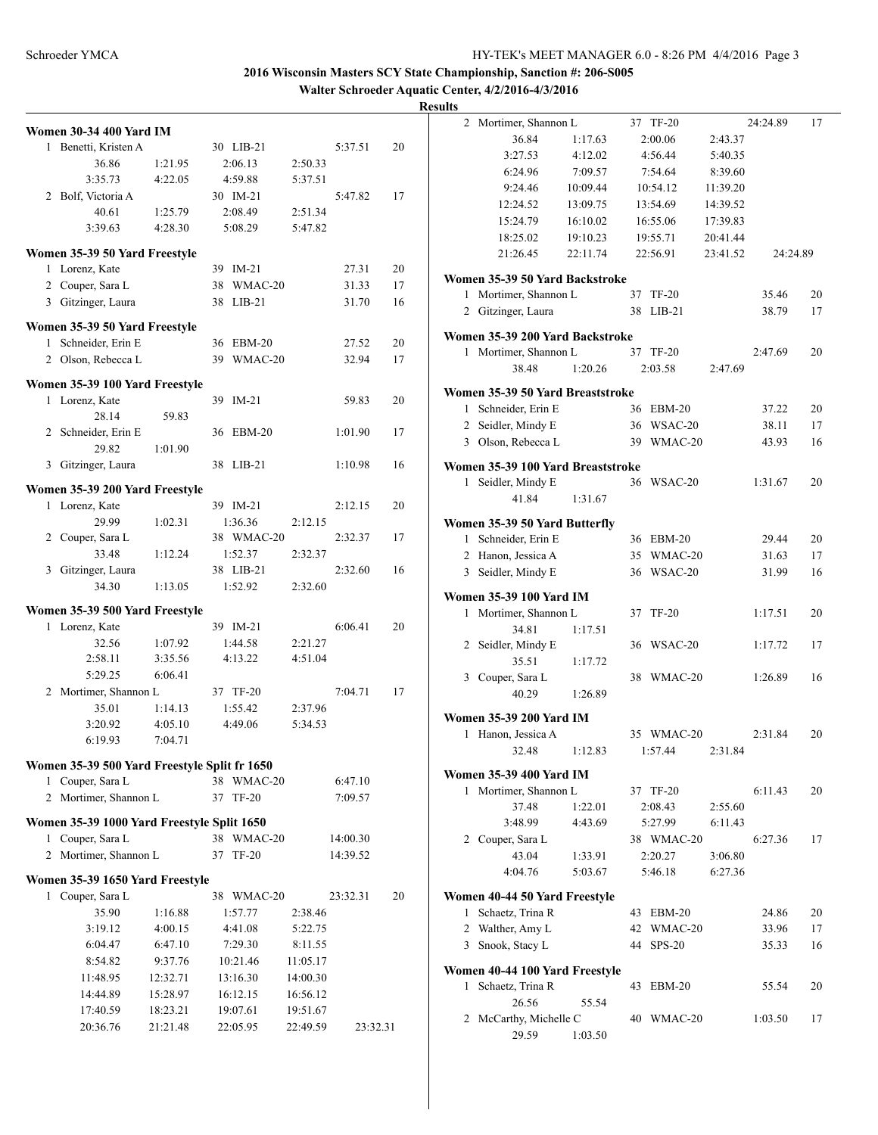**Walter Schroeder Aquatic Center, 4/2/2016-4/3/2016**

|   | <b>Women 30-34 400 Yard IM</b>                 |          |    |              |          |          |          |
|---|------------------------------------------------|----------|----|--------------|----------|----------|----------|
| 1 | Benetti, Kristen A                             |          |    | 30 LIB-21    |          | 5:37.51  | 20       |
|   | 36.86                                          | 1:21.95  |    | 2:06.13      | 2:50.33  |          |          |
|   | 3:35.73                                        | 4:22.05  |    | 4:59.88      | 5:37.51  |          |          |
|   | 2 Bolf, Victoria A                             |          |    | 30 IM-21     |          | 5:47.82  | 17       |
|   | 40.61                                          | 1:25.79  |    | 2:08.49      | 2:51.34  |          |          |
|   | 3:39.63                                        | 4:28.30  |    | 5:08.29      | 5:47.82  |          |          |
|   |                                                |          |    |              |          |          |          |
|   | Women 35-39 50 Yard Freestyle                  |          |    |              |          |          |          |
| 1 | Lorenz, Kate                                   |          | 39 | $IM-21$      |          | 27.31    | 20       |
|   | 2 Couper, Sara L                               |          | 38 | WMAC-20      |          | 31.33    | 17       |
|   | 3 Gitzinger, Laura                             |          | 38 | $LIB-21$     |          | 31.70    | 16       |
|   | Women 35-39 50 Yard Freestyle                  |          |    |              |          |          |          |
| 1 | Schneider, Erin E                              |          | 36 | $EBM-20$     |          | 27.52    | 20       |
| 2 | Olson, Rebecca L                               |          | 39 | WMAC-20      |          | 32.94    | 17       |
|   |                                                |          |    |              |          |          |          |
|   | Women 35-39 100 Yard Freestyle                 |          |    |              |          |          |          |
|   | 1 Lorenz, Kate                                 |          | 39 | $IM-21$      |          | 59.83    | 20       |
|   | 28.14                                          | 59.83    |    |              |          |          |          |
| 2 | Schneider, Erin E                              |          | 36 | $EBM-20$     |          | 1:01.90  | 17       |
|   | 29.82                                          | 1:01.90  |    |              |          |          |          |
| 3 | Gitzinger, Laura                               |          | 38 | $LIB-21$     |          | 1:10.98  | 16       |
|   |                                                |          |    |              |          |          |          |
|   | Women 35-39 200 Yard Freestyle<br>Lorenz, Kate |          |    | 39 IM-21     |          | 2:12.15  | 20       |
| 1 |                                                |          |    |              |          |          |          |
|   | 29.99                                          | 1:02.31  |    | 1:36.36      | 2:12.15  |          |          |
| 2 | Couper, Sara L                                 |          |    | 38 WMAC-20   |          | 2:32.37  | 17       |
|   | 33.48                                          | 1:12.24  |    | 1:52.37      | 2:32.37  |          |          |
|   | 3 Gitzinger, Laura                             |          |    | 38 LIB-21    |          | 2:32.60  | 16       |
|   | 34.30                                          | 1:13.05  |    | 1:52.92      | 2:32.60  |          |          |
|   | Women 35-39 500 Yard Freestyle                 |          |    |              |          |          |          |
| 1 | Lorenz, Kate                                   |          |    | 39 IM-21     |          | 6:06.41  | 20       |
|   | 32.56                                          | 1:07.92  |    | 1:44.58      | 2:21.27  |          |          |
|   | 2:58.11                                        | 3:35.56  |    | 4:13.22      | 4:51.04  |          |          |
|   | 5:29.25                                        | 6:06.41  |    |              |          |          |          |
| 2 | Mortimer, Shannon L                            |          |    | 37 TF-20     |          | 7:04.71  | 17       |
|   | 35.01                                          | 1:14.13  |    | 1:55.42      | 2:37.96  |          |          |
|   | 3:20.92                                        | 4:05.10  |    | 4:49.06      | 5:34.53  |          |          |
|   | 6:19.93                                        | 7:04.71  |    |              |          |          |          |
|   |                                                |          |    |              |          |          |          |
|   | Women 35-39 500 Yard Freestyle Split fr 1650   |          |    |              |          |          |          |
| 1 | Couper, Sara L                                 |          | 38 | WMAC-20      |          | 6:47.10  |          |
| 2 | Mortimer, Shannon L                            |          | 37 | TF-20        |          | 7:09.57  |          |
|   | Women 35-39 1000 Yard Freestyle Split 1650     |          |    |              |          |          |          |
| 1 | Couper, Sara L                                 |          | 38 | WMAC-20      |          | 14:00.30 |          |
| 2 | Mortimer, Shannon L                            |          | 37 | <b>TF-20</b> |          | 14:39.52 |          |
|   |                                                |          |    |              |          |          |          |
|   | Women 35-39 1650 Yard Freestyle                |          |    |              |          |          |          |
| 1 | Couper, Sara L                                 |          |    | 38 WMAC-20   |          | 23:32.31 | 20       |
|   | 35.90                                          | 1:16.88  |    | 1:57.77      | 2:38.46  |          |          |
|   | 3:19.12                                        | 4:00.15  |    | 4:41.08      | 5:22.75  |          |          |
|   | 6:04.47                                        | 6:47.10  |    | 7:29.30      | 8:11.55  |          |          |
|   | 8:54.82                                        | 9:37.76  |    | 10:21.46     | 11:05.17 |          |          |
|   | 11:48.95                                       | 12:32.71 |    | 13:16.30     | 14:00.30 |          |          |
|   | 14:44.89                                       | 15:28.97 |    | 16:12.15     | 16:56.12 |          |          |
|   | 17:40.59                                       | 18:23.21 |    | 19:07.61     | 19:51.67 |          |          |
|   | 20:36.76                                       | 21:21.48 |    | 22:05.95     | 22:49.59 |          | 23:32.31 |

| 2            | Mortimer, Shannon L               |          |    | 37 TF-20      |          | 24:24.89       | 17 |
|--------------|-----------------------------------|----------|----|---------------|----------|----------------|----|
|              | 36.84                             | 1:17.63  |    | 2:00.06       | 2:43.37  |                |    |
|              | 3:27.53                           | 4:12.02  |    | 4:56.44       | 5:40.35  |                |    |
|              | 6:24.96                           | 7:09.57  |    | 7:54.64       | 8:39.60  |                |    |
|              | 9:24.46                           | 10:09.44 |    | 10:54.12      | 11:39.20 |                |    |
|              | 12:24.52                          | 13:09.75 |    | 13:54.69      | 14:39.52 |                |    |
|              | 15:24.79                          | 16:10.02 |    | 16:55.06      | 17:39.83 |                |    |
|              | 18:25.02                          | 19:10.23 |    | 19:55.71      | 20:41.44 |                |    |
|              | 21:26.45                          | 22:11.74 |    | 22:56.91      | 23:41.52 | 24:24.89       |    |
|              |                                   |          |    |               |          |                |    |
|              | Women 35-39 50 Yard Backstroke    |          |    |               |          |                |    |
|              | 1 Mortimer, Shannon L             |          | 37 | <b>TF-20</b>  |          | 35.46          | 20 |
| $\mathbf{2}$ | Gitzinger, Laura                  |          | 38 | $LIB-21$      |          | 38.79          | 17 |
|              | Women 35-39 200 Yard Backstroke   |          |    |               |          |                |    |
| $\mathbf{1}$ | Mortimer, Shannon L               |          |    | 37 TF-20      |          | 2:47.69        | 20 |
|              | 38.48                             | 1:20.26  |    | 2:03.58       | 2:47.69  |                |    |
|              |                                   |          |    |               |          |                |    |
|              | Women 35-39 50 Yard Breaststroke  |          |    |               |          |                |    |
|              | 1 Schneider, Erin E               |          |    | 36 EBM-20     |          | 37.22          | 20 |
|              | 2 Seidler, Mindy E                |          |    | 36 WSAC-20    |          | 38.11          | 17 |
|              | 3 Olson, Rebecca L                |          |    | 39 WMAC-20    |          | 43.93          | 16 |
|              | Women 35-39 100 Yard Breaststroke |          |    |               |          |                |    |
| 1            | Seidler, Mindy E                  |          |    | 36 WSAC-20    |          | 1:31.67        | 20 |
|              | 41.84                             | 1:31.67  |    |               |          |                |    |
|              | Women 35-39 50 Yard Butterfly     |          |    |               |          |                |    |
| 1            | Schneider, Erin E                 |          |    | 36 EBM-20     |          | 29.44          | 20 |
|              | 2 Hanon, Jessica A                |          |    | 35 WMAC-20    |          |                |    |
|              |                                   |          |    | 36 WSAC-20    |          | 31.63<br>31.99 | 17 |
|              | 3 Seidler, Mindy E                |          |    |               |          |                | 16 |
|              | <b>Women 35-39 100 Yard IM</b>    |          |    |               |          |                |    |
| 1            | Mortimer, Shannon L               |          | 37 | $TF-20$       |          | 1:17.51        | 20 |
|              | 34.81                             | 1:17.51  |    |               |          |                |    |
| 2            | Seidler, Mindy E                  |          |    | 36 WSAC-20    |          | 1:17.72        | 17 |
|              | 35.51                             | 1:17.72  |    |               |          |                |    |
|              | 3 Couper, Sara L                  |          |    | 38 WMAC-20    |          | 1:26.89        | 16 |
|              | 40.29                             | 1:26.89  |    |               |          |                |    |
|              | Women 35-39 200 Yard IM           |          |    |               |          |                |    |
| $\mathbf{1}$ | Hanon, Jessica A                  |          |    | 35 WMAC-20    |          | 2:31.84        | 20 |
|              | 32.48                             | 1:12.83  |    | 1:57.44       | 2:31.84  |                |    |
|              |                                   |          |    |               |          |                |    |
|              | <b>Women 35-39 400 Yard IM</b>    |          |    |               |          |                |    |
| 1            | Mortimer, Shannon L               |          |    | 37 TF-20      |          | 6:11.43        | 20 |
|              | 37.48                             | 1:22.01  |    | 2:08.43       | 2:55.60  |                |    |
|              | 3:48.99                           | 4:43.69  |    | 5:27.99       | 6:11.43  |                |    |
| 2            | Couper, Sara L                    |          |    | 38 WMAC-20    |          | 6:27.36        | 17 |
|              | 43.04                             | 1:33.91  |    | 2:20.27       | 3:06.80  |                |    |
|              | 4:04.76                           | 5:03.67  |    | 5:46.18       | 6:27.36  |                |    |
|              | Women 40-44 50 Yard Freestyle     |          |    |               |          |                |    |
| 1            | Schaetz, Trina R                  |          | 43 | EBM-20        |          | 24.86          | 20 |
| 2            | Walther, Amy L                    |          | 42 | WMAC-20       |          | 33.96          | 17 |
| 3            | Snook, Stacy L                    |          | 44 | <b>SPS-20</b> |          | 35.33          | 16 |
|              |                                   |          |    |               |          |                |    |
|              | Women 40-44 100 Yard Freestyle    |          |    |               |          |                |    |
| 1            | Schaetz, Trina R                  |          | 43 | $EBM-20$      |          | 55.54          | 20 |
|              | 26.56                             | 55.54    |    |               |          |                |    |
| 2            | McCarthy, Michelle C              |          | 40 | WMAC-20       |          | 1:03.50        | 17 |
|              | 29.59                             | 1:03.50  |    |               |          |                |    |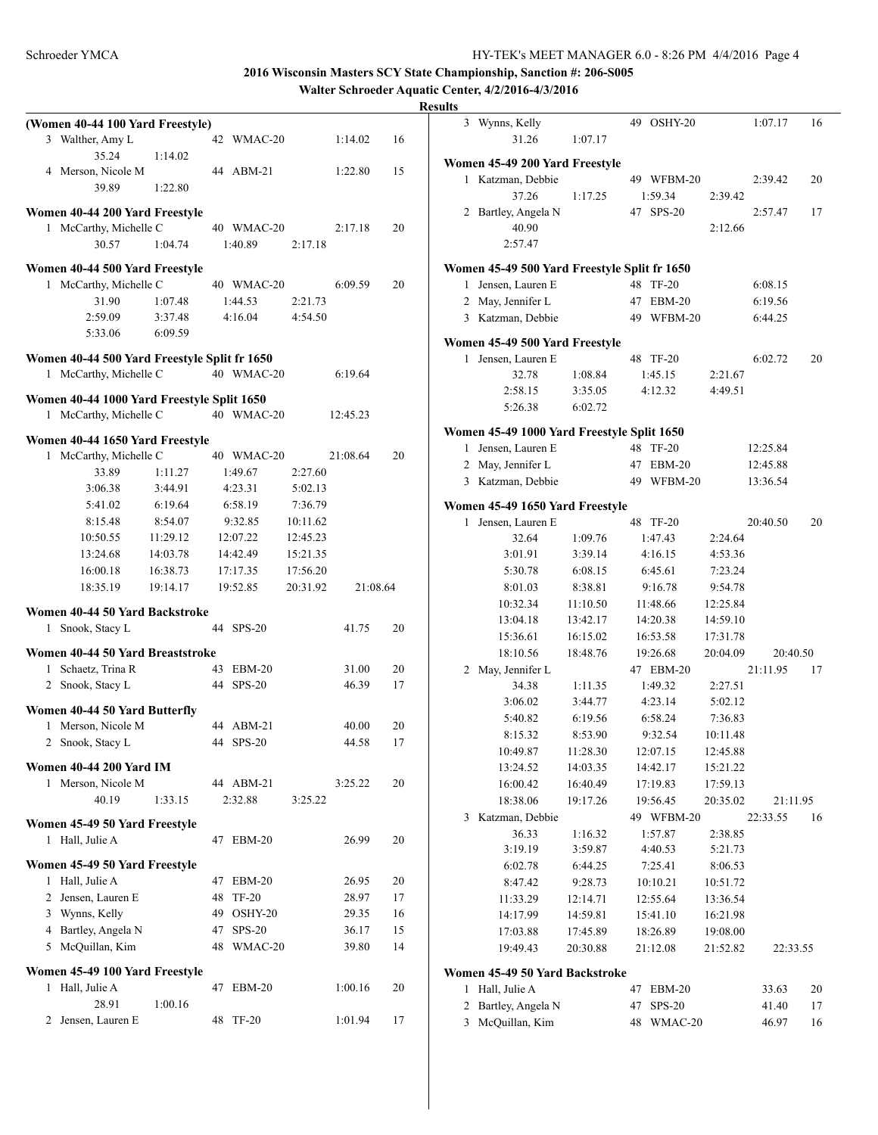**Walter Schroeder Aquatic Center, 4/2/2016-4/3/2016**

|              | (Women 40-44 100 Yard Freestyle)             |          |    |               |          |          |    |
|--------------|----------------------------------------------|----------|----|---------------|----------|----------|----|
|              | 3 Walther, Amy L                             |          |    | 42 WMAC-20    |          | 1:14.02  | 16 |
|              | 35.24                                        | 1:14.02  |    |               |          |          |    |
|              |                                              |          |    |               |          |          |    |
|              | 4 Merson, Nicole M                           |          | 44 | $ABM-21$      |          | 1:22.80  | 15 |
|              | 39.89                                        | 1:22.80  |    |               |          |          |    |
|              | Women 40-44 200 Yard Freestyle               |          |    |               |          |          |    |
|              | 1 McCarthy, Michelle C                       |          |    | 40 WMAC-20    |          | 2:17.18  | 20 |
|              | 30.57                                        | 1:04.74  |    | 1:40.89       | 2:17.18  |          |    |
|              |                                              |          |    |               |          |          |    |
|              | Women 40-44 500 Yard Freestyle               |          |    |               |          |          |    |
| 1            | McCarthy, Michelle C                         |          |    | 40 WMAC-20    |          | 6:09.59  | 20 |
|              | 31.90                                        | 1:07.48  |    | 1:44.53       | 2:21.73  |          |    |
|              | 2:59.09                                      | 3:37.48  |    | 4:16.04       | 4:54.50  |          |    |
|              | 5:33.06                                      | 6:09.59  |    |               |          |          |    |
|              |                                              |          |    |               |          |          |    |
|              | Women 40-44 500 Yard Freestyle Split fr 1650 |          |    |               |          |          |    |
|              | 1 McCarthy, Michelle C                       |          |    | 40 WMAC-20    |          | 6:19.64  |    |
|              | Women 40-44 1000 Yard Freestyle Split 1650   |          |    |               |          |          |    |
|              | 1 McCarthy, Michelle C                       |          |    | 40 WMAC-20    |          | 12:45.23 |    |
|              |                                              |          |    |               |          |          |    |
|              | Women 40-44 1650 Yard Freestyle              |          |    |               |          |          |    |
| 1            | McCarthy, Michelle C                         |          |    | 40 WMAC-20    |          | 21:08.64 | 20 |
|              | 33.89                                        | 1:11.27  |    | 1:49.67       | 2:27.60  |          |    |
|              | 3:06.38                                      | 3:44.91  |    | 4:23.31       | 5:02.13  |          |    |
|              | 5:41.02                                      | 6:19.64  |    | 6:58.19       | 7:36.79  |          |    |
|              | 8:15.48                                      | 8:54.07  |    | 9:32.85       | 10:11.62 |          |    |
|              | 10:50.55                                     | 11:29.12 |    | 12:07.22      | 12:45.23 |          |    |
|              | 13:24.68                                     | 14:03.78 |    | 14:42.49      | 15:21.35 |          |    |
|              |                                              |          |    |               |          |          |    |
|              |                                              |          |    |               |          |          |    |
|              | 16:00.18                                     | 16:38.73 |    | 17:17.35      | 17:56.20 |          |    |
|              | 18:35.19                                     | 19:14.17 |    | 19:52.85      | 20:31.92 | 21:08.64 |    |
|              | Women 40-44 50 Yard Backstroke               |          |    |               |          |          |    |
| $\mathbf{1}$ | Snook, Stacy L                               |          | 44 | $SPS-20$      |          | 41.75    | 20 |
|              |                                              |          |    |               |          |          |    |
|              | Women 40-44 50 Yard Breaststroke             |          |    |               |          |          |    |
|              | 1 Schaetz, Trina R                           |          | 43 | $EBM-20$      |          | 31.00    | 20 |
|              | 2 Snook, Stacy L                             |          |    | 44 SPS-20     |          | 46.39    | 17 |
|              |                                              |          |    |               |          |          |    |
| $\mathbf{1}$ | Women 40-44 50 Yard Butterfly                |          |    |               |          |          |    |
|              | Merson, Nicole M                             |          |    | 44 ABM-21     |          | 40.00    | 20 |
|              | 2 Snook, Stacy L                             |          | 44 | $SPS-20$      |          | 44.58    | 17 |
|              | <b>Women 40-44 200 Yard IM</b>               |          |    |               |          |          |    |
|              | 1 Merson, Nicole M                           |          |    | 44 ABM-21     |          | 3:25.22  | 20 |
|              | 40.19                                        | 1:33.15  |    | 2:32.88       | 3:25.22  |          |    |
|              |                                              |          |    |               |          |          |    |
|              | Women 45-49 50 Yard Freestyle                |          |    |               |          |          |    |
|              | 1 Hall, Julie A                              |          | 47 | EBM-20        |          | 26.99    | 20 |
|              | Women 45-49 50 Yard Freestyle                |          |    |               |          |          |    |
|              | 1 Hall, Julie A                              |          | 47 | $EBM-20$      |          | 26.95    | 20 |
|              | 2 Jensen, Lauren E                           |          | 48 | <b>TF-20</b>  |          | 28.97    | 17 |
|              |                                              |          | 49 | OSHY-20       |          | 29.35    | 16 |
|              | 3 Wynns, Kelly                               |          |    |               |          |          |    |
|              | 4 Bartley, Angela N                          |          | 47 | <b>SPS-20</b> |          | 36.17    | 15 |
|              | 5 McQuillan, Kim                             |          | 48 | WMAC-20       |          | 39.80    | 14 |
|              | Women 45-49 100 Yard Freestyle               |          |    |               |          |          |    |
| 1            | Hall, Julie A                                |          | 47 | EBM-20        |          | 1:00.16  | 20 |
|              | 28.91                                        | 1:00.16  |    |               |          |          |    |

|              | 3 Wynns, Kelly<br>31.26                      | 1:07.17              |    | 49 OSHY-20           |                      | 1:07.17  | 16 |
|--------------|----------------------------------------------|----------------------|----|----------------------|----------------------|----------|----|
|              | Women 45-49 200 Yard Freestyle               |                      |    |                      |                      |          |    |
| 1            | Katzman, Debbie                              |                      |    | 49 WFBM-20           |                      | 2:39.42  | 20 |
|              | 37.26                                        | 1:17.25              |    | 1:59.34              | 2:39.42              |          |    |
| 2            | Bartley, Angela N                            |                      |    | 47 SPS-20            |                      | 2:57.47  | 17 |
|              | 40.90                                        |                      |    |                      | 2:12.66              |          |    |
|              | 2:57.47                                      |                      |    |                      |                      |          |    |
|              | Women 45-49 500 Yard Freestyle Split fr 1650 |                      |    |                      |                      |          |    |
| $\mathbf{1}$ | Jensen, Lauren E                             |                      | 48 | <b>TF-20</b>         |                      | 6:08.15  |    |
|              | 2 May, Jennifer L                            |                      | 47 | $EBM-20$             |                      | 6:19.56  |    |
|              | 3 Katzman, Debbie                            |                      |    | 49 WFBM-20           |                      | 6:44.25  |    |
|              | Women 45-49 500 Yard Freestyle               |                      |    |                      |                      |          |    |
| 1            | Jensen, Lauren E                             |                      |    | 48 TF-20             |                      | 6:02.72  | 20 |
|              | 32.78                                        | 1:08.84              |    | 1:45.15              | 2:21.67              |          |    |
|              | 2:58.15                                      | 3:35.05              |    | 4:12.32              | 4:49.51              |          |    |
|              | 5:26.38                                      | 6:02.72              |    |                      |                      |          |    |
|              | Women 45-49 1000 Yard Freestyle Split 1650   |                      |    |                      |                      |          |    |
| $\mathbf{1}$ | Jensen, Lauren E                             |                      | 48 | <b>TF-20</b>         |                      | 12:25.84 |    |
|              | 2 May, Jennifer L                            |                      | 47 | $EBM-20$             |                      | 12:45.88 |    |
|              | 3 Katzman, Debbie                            |                      | 49 | WFBM-20              |                      | 13:36.54 |    |
|              | Women 45-49 1650 Yard Freestyle              |                      |    |                      |                      |          |    |
| 1            | Jensen, Lauren E                             |                      |    | 48 TF-20             |                      | 20:40.50 | 20 |
|              | 32.64                                        | 1:09.76              |    | 1:47.43              | 2:24.64              |          |    |
|              | 3:01.91                                      | 3:39.14              |    | 4:16.15              | 4:53.36              |          |    |
|              | 5:30.78                                      | 6:08.15              |    | 6:45.61              | 7:23.24              |          |    |
|              | 8:01.03                                      | 8:38.81              |    | 9:16.78              | 9:54.78              |          |    |
|              | 10:32.34                                     | 11:10.50             |    | 11:48.66             | 12:25.84             |          |    |
|              | 13:04.18                                     | 13:42.17             |    | 14:20.38             | 14:59.10             |          |    |
|              | 15:36.61                                     | 16:15.02             |    | 16:53.58             | 17:31.78             |          |    |
|              | 18:10.56                                     | 18:48.76             |    | 19:26.68             | 20:04.09             | 20:40.50 |    |
| 2            | May, Jennifer L                              |                      |    | 47 EBM-20            |                      | 21:11.95 | 17 |
|              | 34.38                                        | 1:11.35              |    | 1:49.32              | 2:27.51              |          |    |
|              | 3:06.02                                      | 3:44.77              |    | 4:23.14              | 5:02.12              |          |    |
|              | 5:40.82                                      | 6:19.56              |    | 6:58.24              | 7:36.83              |          |    |
|              | 8:15.32                                      | 8:53.90<br>11:28.30  |    | 9:32.54              | 10:11.48             |          |    |
|              | 10:49.87                                     |                      |    | 12:07.15             | 12:45.88             |          |    |
|              | 13:24.52<br>16:00.42                         | 14:03.35<br>16:40.49 |    | 14:42.17<br>17:19.83 | 15:21.22<br>17:59.13 |          |    |
|              | 18:38.06                                     | 19:17.26             |    | 19:56.45             | 20:35.02             | 21:11.95 |    |
| 3            | Katzman, Debbie                              |                      |    | 49 WFBM-20           |                      | 22:33.55 | 16 |
|              | 36.33                                        | 1:16.32              |    | 1:57.87              | 2:38.85              |          |    |
|              | 3:19.19                                      | 3:59.87              |    | 4:40.53              | 5:21.73              |          |    |
|              | 6:02.78                                      | 6:44.25              |    | 7:25.41              | 8:06.53              |          |    |
|              | 8:47.42                                      | 9:28.73              |    | 10:10.21             | 10:51.72             |          |    |
|              | 11:33.29                                     | 12:14.71             |    | 12:55.64             | 13:36.54             |          |    |
|              | 14:17.99                                     | 14:59.81             |    | 15:41.10             | 16:21.98             |          |    |
|              | 17:03.88                                     | 17:45.89             |    | 18:26.89             | 19:08.00             |          |    |
|              | 19:49.43                                     | 20:30.88             |    | 21:12.08             | 21:52.82             | 22:33.55 |    |
|              | Women 45-49 50 Yard Backstroke               |                      |    |                      |                      |          |    |
| 1            | Hall, Julie A                                |                      | 47 | EBM-20               |                      | 33.63    | 20 |
| 2            | Bartley, Angela N                            |                      | 47 | <b>SPS-20</b>        |                      | 41.40    | 17 |
| 3            | McQuillan, Kim                               |                      | 48 | WMAC-20              |                      | 46.97    | 16 |
|              |                                              |                      |    |                      |                      |          |    |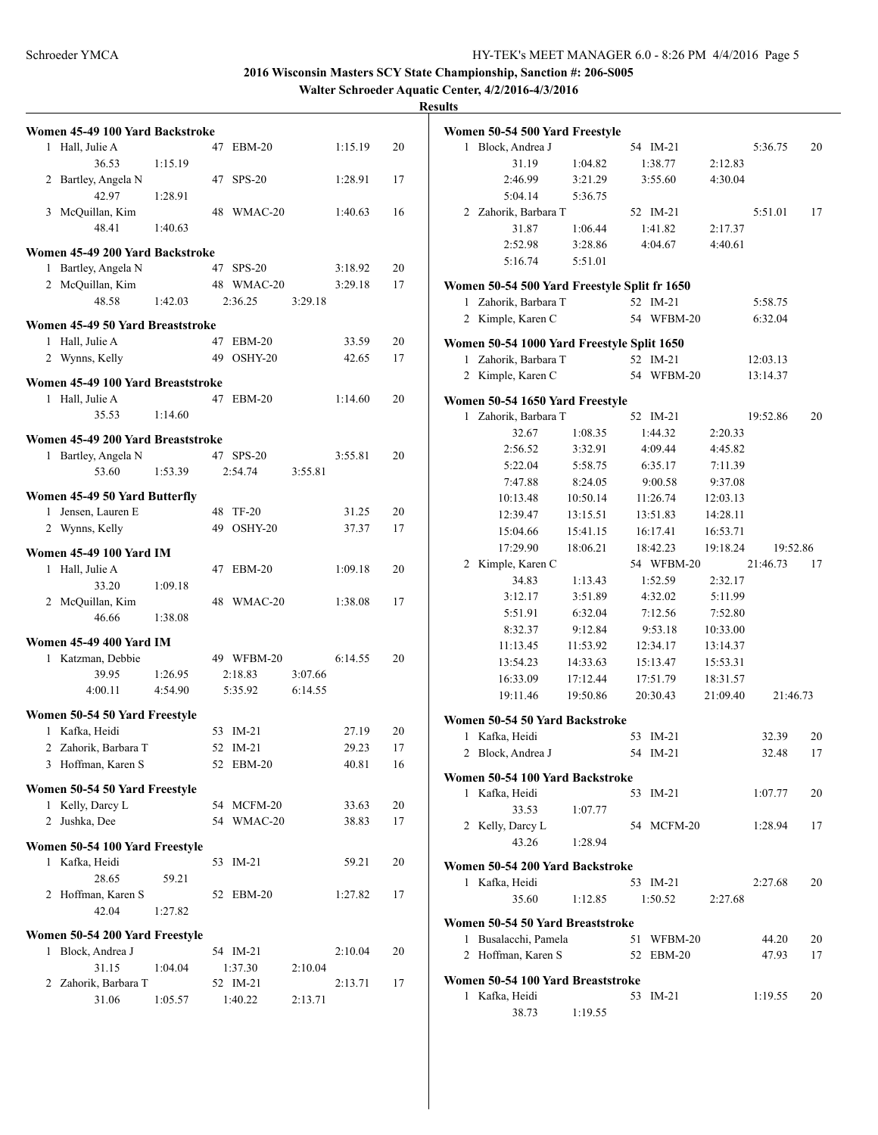**Walter Schroeder Aquatic Center, 4/2/2016-4/3/2016**

|   | Women 45-49 100 Yard Backstroke   |         |    |                          |         |                |    |
|---|-----------------------------------|---------|----|--------------------------|---------|----------------|----|
|   | 1 Hall, Julie A                   |         |    | 47 EBM-20                |         | 1:15.19        | 20 |
|   | 36.53<br>2 Bartley, Angela N      | 1:15.19 |    | 47 SPS-20                |         | 1:28.91        | 17 |
|   | 42.97<br>3 McQuillan, Kim         | 1:28.91 | 48 | WMAC-20                  |         | 1:40.63        | 16 |
|   | 48.41                             | 1:40.63 |    |                          |         |                |    |
|   | Women 45-49 200 Yard Backstroke   |         |    |                          |         |                |    |
|   | 1 Bartley, Angela N               |         |    | 47 SPS-20                |         | 3:18.92        | 20 |
|   | 2 McQuillan, Kim<br>48.58         |         |    | 48 WMAC-20<br>2:36.25    |         | 3:29.18        | 17 |
|   |                                   | 1:42.03 |    |                          | 3:29.18 |                |    |
|   | Women 45-49 50 Yard Breaststroke  |         |    |                          |         |                |    |
|   | 1 Hall, Julie A                   |         |    | 47 EBM-20                |         | 33.59          | 20 |
|   | 2 Wynns, Kelly                    |         |    | 49 OSHY-20               |         | 42.65          | 17 |
|   | Women 45-49 100 Yard Breaststroke |         |    |                          |         |                |    |
|   | 1 Hall, Julie A                   |         |    | 47 EBM-20                |         | 1:14.60        | 20 |
|   | 35.53                             | 1:14.60 |    |                          |         |                |    |
|   | Women 45-49 200 Yard Breaststroke |         |    |                          |         |                |    |
|   | 1 Bartley, Angela N               |         |    | 47 SPS-20                |         | 3:55.81        | 20 |
|   | 53.60                             | 1:53.39 |    | 2:54.74                  | 3:55.81 |                |    |
|   | Women 45-49 50 Yard Butterfly     |         |    |                          |         |                |    |
|   | 1 Jensen, Lauren E                |         |    | 48 TF-20                 |         | 31.25          | 20 |
|   | 2 Wynns, Kelly                    |         |    | 49 OSHY-20               |         | 37.37          | 17 |
|   | <b>Women 45-49 100 Yard IM</b>    |         |    |                          |         |                |    |
|   | 1 Hall, Julie A                   |         |    | 47 EBM-20                |         | 1:09.18        | 20 |
|   | 33.20                             | 1:09.18 |    |                          |         |                |    |
|   | 2 McQuillan, Kim                  |         | 48 | WMAC-20                  |         | 1:38.08        | 17 |
|   | 46.66                             | 1:38.08 |    |                          |         |                |    |
|   | <b>Women 45-49 400 Yard IM</b>    |         |    |                          |         |                |    |
|   | 1 Katzman, Debbie                 |         |    | 49 WFBM-20               |         | 6:14.55        | 20 |
|   | 39.95                             | 1:26.95 |    | 2:18.83                  | 3:07.66 |                |    |
|   | 4:00.11                           | 4:54.90 |    | 5:35.92                  | 6:14.55 |                |    |
|   | Women 50-54 50 Yard Freestyle     |         |    |                          |         |                |    |
|   | 1 Kafka, Heidi                    |         |    | 53 IM-21                 |         | 27.19          | 20 |
|   | 2 Zahorik, Barbara T              |         |    | 52 IM-21                 |         | 29.23          | 17 |
|   | Hoffman, Karen S                  |         |    | 52 EBM-20                |         | 40.81          | 16 |
|   |                                   |         |    |                          |         |                |    |
|   | Women 50-54 50 Yard Freestyle     |         |    |                          |         |                | 20 |
| 2 | 1 Kelly, Darcy L<br>Jushka, Dee   |         |    | 54 MCFM-20<br>54 WMAC-20 |         | 33.63<br>38.83 | 17 |
|   |                                   |         |    |                          |         |                |    |
|   | Women 50-54 100 Yard Freestyle    |         |    |                          |         |                |    |
|   | 1 Kafka, Heidi                    |         | 53 | $IM-21$                  |         | 59.21          | 20 |
|   | 28.65                             | 59.21   |    |                          |         |                |    |
|   | 2 Hoffman, Karen S<br>42.04       |         | 52 | EBM-20                   |         | 1:27.82        | 17 |
|   |                                   | 1:27.82 |    |                          |         |                |    |
|   | Women 50-54 200 Yard Freestyle    |         |    |                          |         |                |    |
| 1 | Block, Andrea J                   |         |    | 54 IM-21                 |         | 2:10.04        | 20 |
|   | 31.15                             | 1:04.04 |    | 1:37.30                  | 2:10.04 |                |    |
|   | 2 Zahorik, Barbara T<br>31.06     |         |    | 52 IM-21<br>1:40.22      |         | 2:13.71        | 17 |
|   |                                   | 1:05.57 |    |                          | 2:13.71 |                |    |

|              | Women 50-54 500 Yard Freestyle                                   |                      |    |                        |          |          |                |
|--------------|------------------------------------------------------------------|----------------------|----|------------------------|----------|----------|----------------|
| $\mathbf{1}$ | Block, Andrea J                                                  |                      |    | 54 IM-21               |          | 5:36.75  | 20             |
|              | 31.19                                                            | 1:04.82              |    | 1:38.77                | 2:12.83  |          |                |
|              | 2:46.99                                                          | 3:21.29              |    | 3:55.60                | 4:30.04  |          |                |
|              | 5:04.14                                                          | 5:36.75              |    |                        |          |          |                |
|              | 2 Zahorik, Barbara T                                             |                      |    | 52 IM-21               |          | 5:51.01  | 17             |
|              | 31.87                                                            | 1:06.44              |    | 1:41.82                | 2:17.37  |          |                |
|              | 2:52.98                                                          | 3:28.86              |    | 4:04.67                | 4:40.61  |          |                |
|              | 5:16.74                                                          | 5:51.01              |    |                        |          |          |                |
|              | Women 50-54 500 Yard Freestyle Split fr 1650                     |                      |    |                        |          |          |                |
| 1            | Zahorik, Barbara T                                               |                      |    | 52 IM-21               |          | 5:58.75  |                |
|              | 2 Kimple, Karen C                                                |                      |    | 54 WFBM-20             |          | 6:32.04  |                |
|              |                                                                  |                      |    |                        |          |          |                |
| $\mathbf{1}$ | Women 50-54 1000 Yard Freestyle Split 1650<br>Zahorik, Barbara T |                      |    | 52 IM-21               |          | 12:03.13 |                |
|              | 2 Kimple, Karen C                                                |                      |    | 54 WFBM-20             |          | 13:14.37 |                |
|              |                                                                  |                      |    |                        |          |          |                |
|              | Women 50-54 1650 Yard Freestyle                                  |                      |    |                        |          |          |                |
| 1            | Zahorik, Barbara T                                               |                      |    | 52 IM-21               |          | 19:52.86 | 20             |
|              | 32.67                                                            | 1:08.35              |    | 1:44.32                | 2:20.33  |          |                |
|              | 2:56.52                                                          | 3:32.91              |    | 4:09.44                | 4:45.82  |          |                |
|              | 5:22.04                                                          | 5:58.75              |    | 6:35.17                | 7:11.39  |          |                |
|              | 7:47.88                                                          | 8:24.05              |    | 9:00.58                | 9:37.08  |          |                |
|              | 10:13.48                                                         | 10:50.14             |    | 11:26.74               | 12:03.13 |          |                |
|              | 12:39.47                                                         | 13:15.51             |    | 13:51.83               | 14:28.11 |          |                |
|              | 15:04.66<br>17:29.90                                             | 15:41.15<br>18:06.21 |    | 16:17.41               | 16:53.71 |          |                |
| 2            | Kimple, Karen C                                                  |                      |    | 18:42.23<br>54 WFBM-20 | 19:18.24 | 21:46.73 | 19:52.86<br>17 |
|              | 34.83                                                            |                      |    | 1:52.59                | 2:32.17  |          |                |
|              | 3:12.17                                                          | 1:13.43<br>3:51.89   |    | 4:32.02                | 5:11.99  |          |                |
|              | 5:51.91                                                          | 6:32.04              |    | 7:12.56                | 7:52.80  |          |                |
|              | 8:32.37                                                          | 9:12.84              |    | 9:53.18                | 10:33.00 |          |                |
|              | 11:13.45                                                         | 11:53.92             |    | 12:34.17               | 13:14.37 |          |                |
|              | 13:54.23                                                         | 14:33.63             |    | 15:13.47               | 15:53.31 |          |                |
|              | 16:33.09                                                         | 17:12.44             |    | 17:51.79               | 18:31.57 |          |                |
|              | 19:11.46                                                         | 19:50.86             |    | 20:30.43               | 21:09.40 |          | 21:46.73       |
|              |                                                                  |                      |    |                        |          |          |                |
|              | Women 50-54 50 Yard Backstroke                                   |                      |    |                        |          |          |                |
| 1            | Kafka, Heidi                                                     |                      | 53 | $IM-21$                |          | 32.39    | 20             |
| 2            | Block, Andrea J                                                  |                      | 54 | $IM-21$                |          | 32.48    | 17             |
|              | Women 50-54 100 Yard Backstroke                                  |                      |    |                        |          |          |                |
| 1            | Kafka, Heidi                                                     |                      | 53 | $IM-21$                |          | 1:07.77  | 20             |
|              | 33.53                                                            | 1:07.77              |    |                        |          |          |                |
|              | 2 Kelly, Darcy L                                                 |                      | 54 | MCFM-20                |          | 1:28.94  | 17             |
|              | 43.26                                                            | 1:28.94              |    |                        |          |          |                |
|              | Women 50-54 200 Yard Backstroke                                  |                      |    |                        |          |          |                |
|              | 1 Kafka, Heidi                                                   |                      |    | 53 IM-21               |          | 2:27.68  | 20             |
|              | 35.60                                                            | 1:12.85              |    | 1:50.52                | 2:27.68  |          |                |
|              | Women 50-54 50 Yard Breaststroke                                 |                      |    |                        |          |          |                |
| 1            | Busalacchi, Pamela                                               |                      | 51 | WFBM-20                |          | 44.20    | 20             |
| 2            | Hoffman, Karen S                                                 |                      | 52 | $EBM-20$               |          | 47.93    | 17             |
|              |                                                                  |                      |    |                        |          |          |                |
|              | Women 50-54 100 Yard Breaststroke<br>1 Kafka, Heidi              |                      | 53 | $IM-21$                |          |          | 20             |
|              | 38.73                                                            | 1:19.55              |    |                        |          | 1:19.55  |                |
|              |                                                                  |                      |    |                        |          |          |                |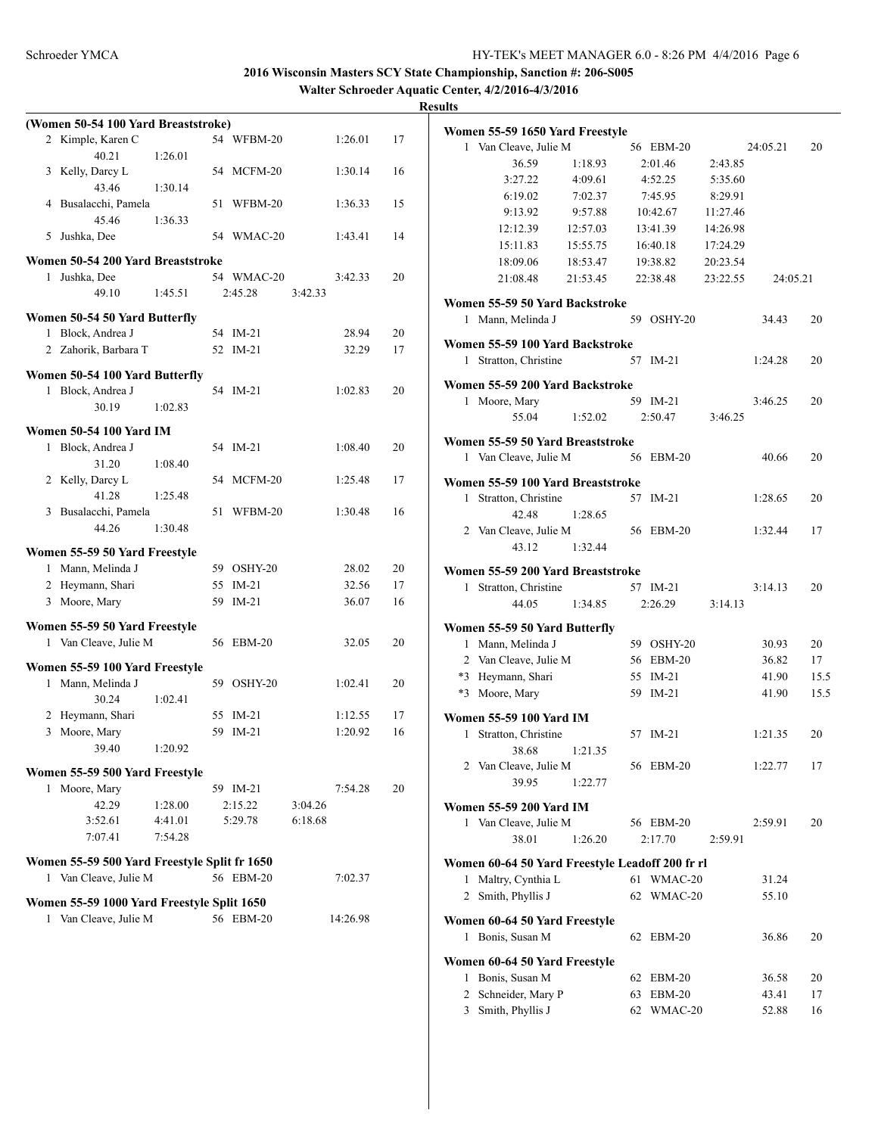**Walter Schroeder Aquatic Center, 4/2/2016-4/3/2016**

|   | (Women 50-54 100 Yard Breaststroke)          |         |    |            |         |          |    |
|---|----------------------------------------------|---------|----|------------|---------|----------|----|
|   | 2 Kimple, Karen C                            |         |    | 54 WFBM-20 |         | 1:26.01  | 17 |
|   | 40.21                                        | 1:26.01 |    |            |         |          |    |
|   | 3 Kelly, Darcy L                             |         |    | 54 MCFM-20 |         | 1:30.14  | 16 |
|   | 43.46                                        | 1:30.14 |    |            |         |          |    |
|   | 4 Busalacchi, Pamela                         |         | 51 | WFBM-20    |         | 1:36.33  | 15 |
|   | 45.46                                        | 1:36.33 |    |            |         |          |    |
| 5 | Jushka, Dee                                  |         |    | 54 WMAC-20 |         | 1:43.41  | 14 |
|   | Women 50-54 200 Yard Breaststroke            |         |    |            |         |          |    |
|   | 1 Jushka, Dee                                |         |    | 54 WMAC-20 |         | 3:42.33  | 20 |
|   | 49.10                                        | 1:45.51 |    | 2:45.28    | 3:42.33 |          |    |
|   |                                              |         |    |            |         |          |    |
|   | Women 50-54 50 Yard Butterfly                |         |    |            |         |          |    |
| 1 | Block, Andrea J                              |         |    | 54 IM-21   |         | 28.94    | 20 |
|   | 2 Zahorik, Barbara T                         |         | 52 | $IM-21$    |         | 32.29    | 17 |
|   | Women 50-54 100 Yard Butterfly               |         |    |            |         |          |    |
|   | 1 Block, Andrea J                            |         |    | 54 IM-21   |         | 1:02.83  | 20 |
|   | 30.19                                        | 1:02.83 |    |            |         |          |    |
|   |                                              |         |    |            |         |          |    |
|   | <b>Women 50-54 100 Yard IM</b>               |         |    |            |         |          |    |
|   | 1 Block, Andrea J                            |         |    | 54 IM-21   |         | 1:08.40  | 20 |
|   | 31.20                                        | 1:08.40 |    |            |         |          |    |
|   | 2 Kelly, Darcy L                             |         |    | 54 MCFM-20 |         | 1:25.48  | 17 |
|   | 41.28                                        | 1:25.48 |    |            |         |          |    |
|   | 3 Busalacchi, Pamela                         |         |    | 51 WFBM-20 |         | 1:30.48  | 16 |
|   | 44.26                                        | 1:30.48 |    |            |         |          |    |
|   | Women 55-59 50 Yard Freestyle                |         |    |            |         |          |    |
|   | 1 Mann, Melinda J                            |         |    | 59 OSHY-20 |         | 28.02    | 20 |
|   | 2 Heymann, Shari                             |         |    | 55 IM-21   |         | 32.56    | 17 |
|   | 3 Moore, Mary                                |         | 59 | $IM-21$    |         | 36.07    | 16 |
|   |                                              |         |    |            |         |          |    |
|   | Women 55-59 50 Yard Freestyle                |         |    |            |         |          |    |
|   | 1 Van Cleave, Julie M                        |         |    | 56 EBM-20  |         | 32.05    | 20 |
|   | Women 55-59 100 Yard Freestyle               |         |    |            |         |          |    |
| 1 | Mann, Melinda J                              |         | 59 | OSHY-20    |         | 1:02.41  | 20 |
|   | 30.24                                        | 1:02.41 |    |            |         |          |    |
|   | 2 Heymann, Shari                             |         |    | 55 IM-21   |         | 1:12.55  | 17 |
| 3 | Moore, Mary                                  |         | 59 | $IM-21$    |         | 1:20.92  | 16 |
|   | 39.40                                        | 1:20.92 |    |            |         |          |    |
|   |                                              |         |    |            |         |          |    |
|   | Women 55-59 500 Yard Freestyle               |         |    |            |         |          |    |
| 1 | Moore, Mary                                  |         |    | 59 IM-21   |         | 7:54.28  | 20 |
|   | 42.29                                        | 1:28.00 |    | 2:15.22    | 3:04.26 |          |    |
|   | 3:52.61                                      | 4:41.01 |    | 5:29.78    | 6:18.68 |          |    |
|   | 7:07.41                                      | 7:54.28 |    |            |         |          |    |
|   | Women 55-59 500 Yard Freestyle Split fr 1650 |         |    |            |         |          |    |
|   | 1 Van Cleave, Julie M                        |         |    | 56 EBM-20  |         | 7:02.37  |    |
|   |                                              |         |    |            |         |          |    |
|   | Women 55-59 1000 Yard Freestyle Split 1650   |         |    |            |         |          |    |
| 1 | Van Cleave, Julie M                          |         |    | 56 EBM-20  |         | 14:26.98 |    |
|   |                                              |         |    |            |         |          |    |

|              | Women 55-59 1650 Yard Freestyle                         |          |    |               |          |          |      |
|--------------|---------------------------------------------------------|----------|----|---------------|----------|----------|------|
|              | 1 Van Cleave, Julie M                                   |          |    | 56 EBM-20     |          | 24:05.21 | 20   |
|              | 36.59                                                   | 1:18.93  |    | 2:01.46       | 2:43.85  |          |      |
|              | 3:27.22                                                 | 4:09.61  |    | 4:52.25       | 5:35.60  |          |      |
|              | 6:19.02                                                 | 7:02.37  |    | 7:45.95       | 8:29.91  |          |      |
|              | 9:13.92                                                 | 9:57.88  |    | 10:42.67      | 11:27.46 |          |      |
|              | 12:12.39                                                | 12:57.03 |    | 13:41.39      | 14:26.98 |          |      |
|              | 15:11.83                                                | 15:55.75 |    | 16:40.18      | 17:24.29 |          |      |
|              | 18:09.06                                                | 18:53.47 |    | 19:38.82      | 20:23.54 |          |      |
|              | 21:08.48                                                | 21:53.45 |    | 22:38.48      | 23:22.55 | 24:05.21 |      |
|              | Women 55-59 50 Yard Backstroke                          |          |    |               |          |          |      |
|              | 1 Mann, Melinda J                                       |          |    | 59 OSHY-20    |          | 34.43    | 20   |
|              | Women 55-59 100 Yard Backstroke                         |          |    |               |          |          |      |
|              | 1 Stratton, Christine                                   |          |    | 57 IM-21      |          | 1:24.28  | 20   |
|              |                                                         |          |    |               |          |          |      |
|              | Women 55-59 200 Yard Backstroke                         |          |    |               |          |          |      |
|              | 1 Moore, Mary                                           |          |    | 59 IM-21      |          | 3:46.25  | 20   |
|              | 55.04                                                   | 1:52.02  |    | 2:50.47       | 3:46.25  |          |      |
|              | Women 55-59 50 Yard Breaststroke                        |          |    |               |          |          |      |
|              | 1 Van Cleave, Julie M                                   |          |    | 56 EBM-20     |          | 40.66    | 20   |
|              | Women 55-59 100 Yard Breaststroke                       |          |    |               |          |          |      |
| $\mathbf{1}$ | Stratton, Christine                                     |          |    | 57 IM-21      |          | 1:28.65  | 20   |
|              | 42.48                                                   | 1:28.65  |    |               |          |          |      |
|              | 2 Van Cleave, Julie M                                   |          |    | 56 EBM-20     |          | 1:32.44  | 17   |
|              | 43.12                                                   | 1:32.44  |    |               |          |          |      |
|              |                                                         |          |    |               |          |          |      |
|              | Women 55-59 200 Yard Breaststroke                       |          |    |               |          |          |      |
|              | 1 Stratton, Christine                                   |          |    | 57 IM-21      |          | 3:14.13  | 20   |
|              | 44.05                                                   | 1:34.85  |    | 2:26.29       | 3:14.13  |          |      |
|              | Women 55-59 50 Yard Butterfly                           |          |    |               |          |          |      |
|              | 1 Mann, Melinda J                                       |          |    | 59 OSHY-20    |          | 30.93    | 20   |
|              | 2 Van Cleave, Julie M                                   |          |    | 56 EBM-20     |          | 36.82    | 17   |
|              | *3 Heymann, Shari                                       |          |    | 55 IM-21      |          | 41.90    | 15.5 |
|              | *3 Moore, Mary                                          |          |    | 59 IM-21      |          | 41.90    | 15.5 |
|              | Women 55-59 100 Yard IM                                 |          |    |               |          |          |      |
|              | 1 Stratton, Christine                                   |          |    | 57 IM-21      |          | 1:21.35  | 20   |
|              | 38.68                                                   | 1:21.35  |    |               |          |          |      |
|              | 2 Van Cleave, Julie M                                   |          |    | 56 EBM-20     |          | 1:22.77  | 17   |
|              | 39.95                                                   | 1:22.77  |    |               |          |          |      |
|              |                                                         |          |    |               |          |          |      |
|              | <b>Women 55-59 200 Yard IM</b><br>1 Van Cleave, Julie M |          |    | 56 EBM-20     |          | 2:59.91  | 20   |
|              |                                                         |          |    | 2:17.70       |          |          |      |
|              | 38.01                                                   | 1:26.20  |    |               | 2:59.91  |          |      |
|              | Women 60-64 50 Yard Freestyle Leadoff 200 fr rl         |          |    |               |          |          |      |
| 1            | Maltry, Cynthia L                                       |          | 61 | WMAC-20       |          | 31.24    |      |
| 2            | Smith, Phyllis J                                        |          | 62 | WMAC-20       |          | 55.10    |      |
|              | Women 60-64 50 Yard Freestyle                           |          |    |               |          |          |      |
| 1            | Bonis, Susan M                                          |          |    | 62 EBM-20     |          | 36.86    | 20   |
|              |                                                         |          |    |               |          |          |      |
|              | Women 60-64 50 Yard Freestyle                           |          |    |               |          |          |      |
| 1            | Bonis, Susan M                                          |          | 62 | EBM-20        |          | 36.58    | 20   |
| 2            | Schneider, Mary P                                       |          | 63 | <b>EBM-20</b> |          | 43.41    | 17   |
| 3            | Smith, Phyllis J                                        |          | 62 | WMAC-20       |          | 52.88    | 16   |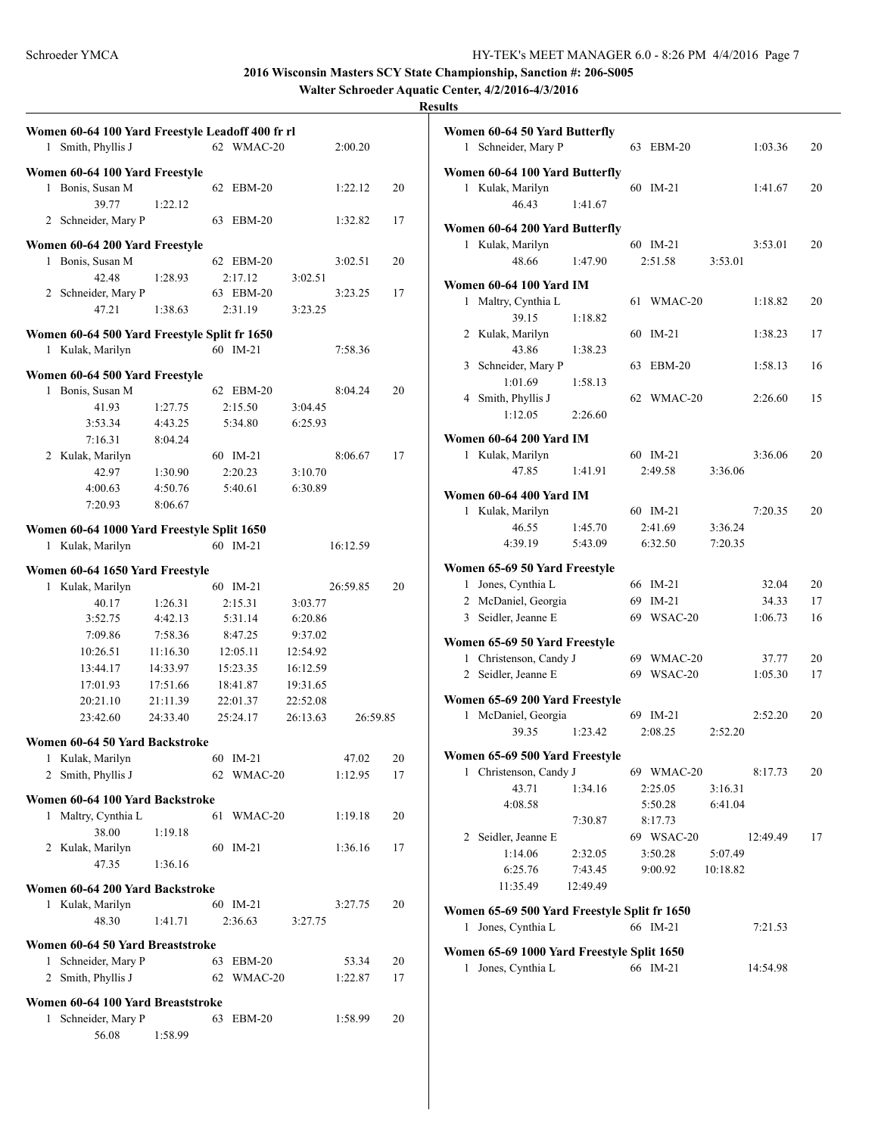**Walter Schroeder Aquatic Center, 4/2/2016-4/3/2016**

```
Results
```

| 1 | Women 60-64 100 Yard Freestyle Leadoff 400 fr rl<br>Smith, Phyllis J |          |    | 62 WMAC-20 |          | 2:00.20  |    |
|---|----------------------------------------------------------------------|----------|----|------------|----------|----------|----|
|   |                                                                      |          |    |            |          |          |    |
| 1 | Women 60-64 100 Yard Freestyle<br>Bonis, Susan M                     |          | 62 | $EBM-20$   |          | 1:22.12  | 20 |
|   | 39.77<br>Schneider, Mary P<br>2                                      | 1:22.12  | 63 | $EBM-20$   |          | 1:32.82  | 17 |
|   |                                                                      |          |    |            |          |          |    |
|   | Women 60-64 200 Yard Freestyle                                       |          |    | 62 EBM-20  |          |          |    |
| 1 | Bonis, Susan M                                                       |          |    |            |          | 3:02.51  | 20 |
|   | 42.48                                                                | 1:28.93  |    | 2:17.12    | 3:02.51  |          |    |
|   | 2 Schneider, Mary P                                                  |          |    | 63 EBM-20  |          | 3:23.25  | 17 |
|   | 47.21                                                                | 1:38.63  |    | 2:31.19    | 3:23.25  |          |    |
|   | Women 60-64 500 Yard Freestyle Split fr 1650                         |          |    |            |          |          |    |
| 1 | Kulak, Marilyn                                                       |          |    | 60 IM-21   |          | 7:58.36  |    |
|   | Women 60-64 500 Yard Freestyle                                       |          |    |            |          |          |    |
| 1 | Bonis, Susan M                                                       |          |    | 62 EBM-20  |          | 8:04.24  | 20 |
|   |                                                                      |          |    |            |          |          |    |
|   | 41.93                                                                | 1:27.75  |    | 2:15.50    | 3:04.45  |          |    |
|   | 3:53.34                                                              | 4:43.25  |    | 5:34.80    | 6:25.93  |          |    |
|   | 7:16.31                                                              | 8:04.24  |    |            |          |          |    |
|   | 2 Kulak, Marilyn                                                     |          |    | 60 IM-21   |          | 8:06.67  | 17 |
|   | 42.97                                                                | 1:30.90  |    | 2:20.23    | 3:10.70  |          |    |
|   | 4:00.63                                                              | 4:50.76  |    | 5:40.61    | 6:30.89  |          |    |
|   | 7:20.93                                                              | 8:06.67  |    |            |          |          |    |
|   | Women 60-64 1000 Yard Freestyle Split 1650                           |          |    |            |          |          |    |
|   |                                                                      |          |    | 60 IM-21   |          |          |    |
|   | 1 Kulak, Marilyn                                                     |          |    |            |          | 16:12.59 |    |
|   | Women 60-64 1650 Yard Freestyle                                      |          |    |            |          |          |    |
| 1 | Kulak, Marilyn                                                       |          |    | 60 IM-21   |          | 26:59.85 | 20 |
|   | 40.17                                                                | 1:26.31  |    | 2:15.31    | 3:03.77  |          |    |
|   | 3:52.75                                                              | 4:42.13  |    | 5:31.14    | 6:20.86  |          |    |
|   | 7:09.86                                                              | 7:58.36  |    | 8:47.25    | 9:37.02  |          |    |
|   | 10:26.51                                                             |          |    |            |          |          |    |
|   |                                                                      | 11:16.30 |    | 12:05.11   | 12:54.92 |          |    |
|   | 13:44.17                                                             | 14:33.97 |    | 15:23.35   | 16:12.59 |          |    |
|   | 17:01.93                                                             | 17:51.66 |    | 18:41.87   | 19:31.65 |          |    |
|   | 20:21.10                                                             | 21:11.39 |    | 22:01.37   | 22:52.08 |          |    |
|   | 23:42.60                                                             | 24:33.40 |    | 25:24.17   | 26:13.63 | 26:59.85 |    |
|   | Women 60-64 50 Yard Backstroke                                       |          |    |            |          |          |    |
| 1 | Kulak, Marilyn                                                       |          |    | 60 IM-21   |          | 47.02    | 20 |
| 2 | Smith, Phyllis J                                                     |          | 62 | WMAC-20    |          | 1:12.95  | 17 |
|   |                                                                      |          |    |            |          |          |    |
|   | Women 60-64 100 Yard Backstroke                                      |          |    |            |          |          |    |
| 1 | Maltry, Cynthia L                                                    |          | 61 | WMAC-20    |          | 1:19.18  | 20 |
|   | 38.00                                                                | 1:19.18  |    |            |          |          |    |
|   | 2 Kulak, Marilyn                                                     |          | 60 | $IM-21$    |          | 1:36.16  | 17 |
|   | 47.35                                                                | 1:36.16  |    |            |          |          |    |
|   |                                                                      |          |    |            |          |          |    |
|   | Women 60-64 200 Yard Backstroke                                      |          |    |            |          |          |    |
| 1 | Kulak, Marilyn                                                       |          |    | 60 IM-21   |          | 3:27.75  | 20 |
|   | 48.30                                                                | 1:41.71  |    | 2:36.63    | 3:27.75  |          |    |
|   | Women 60-64 50 Yard Breaststroke                                     |          |    |            |          |          |    |
| 1 | Schneider, Mary P                                                    |          | 63 | EBM-20     |          | 53.34    | 20 |
| 2 | Smith, Phyllis J                                                     |          | 62 | WMAC-20    |          | 1:22.87  | 17 |
|   |                                                                      |          |    |            |          |          |    |
|   | Women 60-64 100 Yard Breaststroke                                    |          |    |            |          |          |    |
| 1 | Schneider, Mary P                                                    |          | 63 | $EBM-20$   |          | 1:58.99  | 20 |
|   | 56.08                                                                | 1:58.99  |    |            |          |          |    |
|   |                                                                      |          |    |            |          |          |    |

|                | Women 60-64 50 Yard Butterfly                               |                    |    |                       |                    |          |    |
|----------------|-------------------------------------------------------------|--------------------|----|-----------------------|--------------------|----------|----|
| 1              | Schneider, Mary P                                           |                    | 63 | EBM-20                |                    | 1:03.36  | 20 |
|                | Women 60-64 100 Yard Butterfly<br>1 Kulak, Marilyn<br>46.43 | 1:41.67            | 60 | $IM-21$               |                    | 1:41.67  | 20 |
|                | Women 60-64 200 Yard Butterfly                              |                    |    |                       |                    |          |    |
|                | Kulak, Marilyn<br>$\mathbf{1}$<br>48.66                     | 1:47.90            |    | 60 IM-21<br>2:51.58   | 3:53.01            | 3:53.01  | 20 |
|                | Women 60-64 100 Yard IM                                     |                    |    |                       |                    |          |    |
|                | 1 Maltry, Cynthia L                                         |                    | 61 | WMAC-20               |                    | 1:18.82  | 20 |
|                | 39.15<br>2 Kulak, Marilyn                                   | 1:18.82            | 60 | $IM-21$               |                    | 1:38.23  | 17 |
| 3              | 43.86<br>Schneider, Mary P<br>1:01.69                       | 1:38.23<br>1:58.13 | 63 | $EBM-20$              |                    | 1:58.13  | 16 |
| $\overline{4}$ | Smith, Phyllis J<br>1:12.05                                 | 2:26.60            | 62 | WMAC-20               |                    | 2:26.60  | 15 |
|                |                                                             |                    |    |                       |                    |          |    |
|                | <b>Women 60-64 200 Yard IM</b><br>1 Kulak, Marilyn<br>47.85 | 1:41.91            |    | 60 IM-21<br>2:49.58   | 3:36.06            | 3:36.06  | 20 |
|                |                                                             |                    |    |                       |                    |          |    |
|                | Women 60-64 400 Yard IM                                     |                    |    |                       |                    |          |    |
|                | 1 Kulak, Marilyn<br>46.55                                   | 1:45.70            |    | 60 IM-21<br>2:41.69   | 3:36.24            | 7:20.35  | 20 |
|                | 4:39.19                                                     | 5:43.09            |    | 6:32.50               | 7:20.35            |          |    |
|                | Women 65-69 50 Yard Freestyle                               |                    |    |                       |                    |          |    |
| $\mathbf{1}$   | Jones, Cynthia L                                            |                    |    | 66 IM-21              |                    | 32.04    | 20 |
|                | 2 McDaniel, Georgia                                         |                    |    | 69 IM-21              |                    | 34.33    | 17 |
|                | 3 Seidler, Jeanne E                                         |                    |    | 69 WSAC-20            |                    | 1:06.73  | 16 |
|                | Women 65-69 50 Yard Freestyle                               |                    |    |                       |                    |          |    |
| 1              | Christenson, Candy J                                        |                    |    | 69 WMAC-20            |                    | 37.77    | 20 |
|                | Seidler, Jeanne E<br>$\overline{2}$                         |                    |    | 69 WSAC-20            |                    | 1:05.30  | 17 |
|                | Women 65-69 200 Yard Freestyle                              |                    |    |                       |                    |          |    |
| $\mathbf{1}$   | McDaniel, Georgia<br>39.35                                  | 1:23.42            |    | 69 IM-21<br>2:08.25   | 2:52.20            | 2:52.20  | 20 |
|                | Women 65-69 500 Yard Freestyle                              |                    |    |                       |                    |          |    |
|                | 1 Christenson, Candy J                                      |                    |    | 69 WMAC-20            |                    | 8:17.73  | 20 |
|                | 43.71<br>4:08.58                                            | 1:34.16            |    | 2:25.05<br>5:50.28    | 3:16.31<br>6:41.04 |          |    |
|                |                                                             | 7:30.87            |    | 8:17.73               |                    |          |    |
|                | 2 Seidler, Jeanne E<br>1:14.06                              | 2:32.05            |    | 69 WSAC-20<br>3:50.28 | 5:07.49            | 12:49.49 | 17 |
|                | 6:25.76                                                     | 7:43.45            |    | 9:00.92               | 10:18.82           |          |    |
|                | 11:35.49                                                    | 12:49.49           |    |                       |                    |          |    |
|                | Women 65-69 500 Yard Freestyle Split fr 1650                |                    |    |                       |                    |          |    |
| $\mathbf{1}$   | Jones, Cynthia L                                            |                    |    | 66 IM-21              |                    | 7:21.53  |    |
|                | Women 65-69 1000 Yard Freestyle Split 1650                  |                    |    |                       |                    |          |    |
| 1              | Jones, Cynthia L                                            |                    |    | 66 IM-21              |                    | 14:54.98 |    |
|                |                                                             |                    |    |                       |                    |          |    |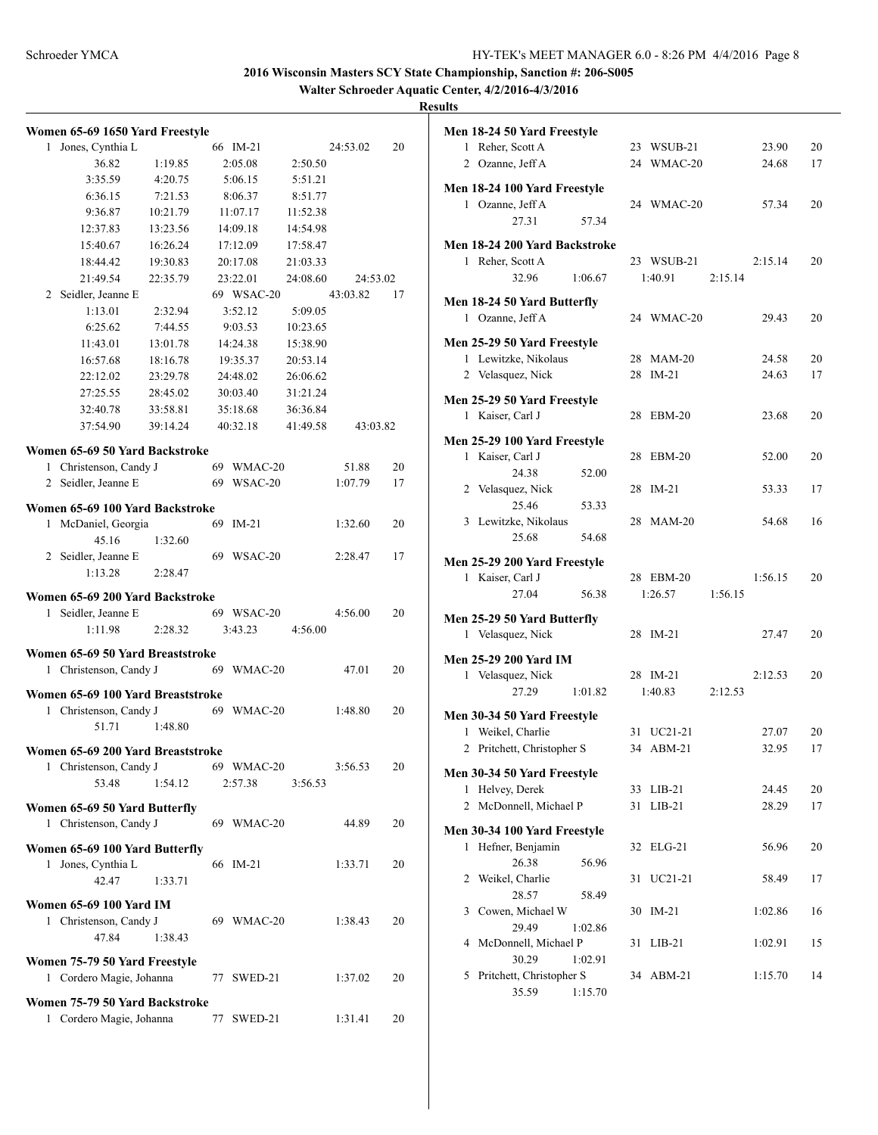**Walter Schroeder Aquatic Center, 4/2/2016-4/3/2016**

|              | Women 65-69 1650 Yard Freestyle                         |          |    |            |          |          |    |
|--------------|---------------------------------------------------------|----------|----|------------|----------|----------|----|
| 1            | Jones, Cynthia L                                        |          |    | 66 IM-21   |          | 24:53.02 | 20 |
|              | 36.82                                                   | 1:19.85  |    | 2:05.08    | 2:50.50  |          |    |
|              | 3:35.59                                                 | 4:20.75  |    | 5:06.15    | 5:51.21  |          |    |
|              | 6:36.15                                                 | 7:21.53  |    | 8:06.37    | 8:51.77  |          |    |
|              | 9:36.87                                                 | 10:21.79 |    | 11:07.17   | 11:52.38 |          |    |
|              | 12:37.83                                                | 13:23.56 |    | 14:09.18   | 14:54.98 |          |    |
|              | 15:40.67                                                | 16:26.24 |    | 17:12.09   | 17:58.47 |          |    |
|              | 18:44.42                                                | 19:30.83 |    | 20:17.08   | 21:03.33 |          |    |
|              | 21:49.54                                                | 22:35.79 |    | 23:22.01   | 24:08.60 | 24:53.02 |    |
| 2            | Seidler, Jeanne E                                       |          |    | 69 WSAC-20 |          | 43:03.82 | 17 |
|              | 1:13.01                                                 | 2:32.94  |    | 3:52.12    | 5:09.05  |          |    |
|              | 6:25.62                                                 | 7:44.55  |    | 9:03.53    | 10:23.65 |          |    |
|              | 11:43.01                                                | 13:01.78 |    | 14:24.38   | 15:38.90 |          |    |
|              | 16:57.68                                                | 18:16.78 |    | 19:35.37   | 20:53.14 |          |    |
|              | 22:12.02                                                | 23:29.78 |    | 24:48.02   | 26:06.62 |          |    |
|              | 27:25.55                                                | 28:45.02 |    | 30:03.40   | 31:21.24 |          |    |
|              | 32:40.78                                                | 33:58.81 |    | 35:18.68   | 36:36.84 |          |    |
|              | 37:54.90                                                | 39:14.24 |    | 40:32.18   | 41:49.58 | 43:03.82 |    |
|              | Women 65-69 50 Yard Backstroke                          |          |    |            |          |          |    |
|              | 1 Christenson, Candy J                                  |          |    | 69 WMAC-20 |          | 51.88    | 20 |
|              | 2 Seidler, Jeanne E                                     |          |    | 69 WSAC-20 |          | 1:07.79  | 17 |
|              | Women 65-69 100 Yard Backstroke                         |          |    |            |          |          |    |
| 1            | McDaniel, Georgia                                       |          |    | 69 IM-21   |          | 1:32.60  | 20 |
|              | 45.16                                                   | 1:32.60  |    |            |          |          |    |
|              | 2 Seidler, Jeanne E                                     |          |    | 69 WSAC-20 |          | 2:28.47  | 17 |
|              | 1:13.28                                                 | 2:28.47  |    |            |          |          |    |
|              |                                                         |          |    |            |          |          |    |
| $\mathbf{1}$ | Women 65-69 200 Yard Backstroke                         |          |    | 69 WSAC-20 |          | 4:56.00  | 20 |
|              | Seidler, Jeanne E<br>1:11.98                            | 2:28.32  |    | 3:43.23    | 4:56.00  |          |    |
|              |                                                         |          |    |            |          |          |    |
|              | Women 65-69 50 Yard Breaststroke                        |          |    |            |          |          |    |
| 1            | Christenson, Candy J                                    |          |    | 69 WMAC-20 |          | 47.01    | 20 |
|              | Women 65-69 100 Yard Breaststroke                       |          |    |            |          |          |    |
|              | 1 Christenson, Candy J                                  |          |    | 69 WMAC-20 |          | 1:48.80  | 20 |
|              | 51.71                                                   | 1:48.80  |    |            |          |          |    |
|              | Women 65-69 200 Yard Breaststroke                       |          |    |            |          |          |    |
| 1            | Christenson, Candy J                                    |          |    | 69 WMAC-20 |          | 3:56.53  | 20 |
|              | 53.48                                                   | 1:54.12  |    | 2:57.38    | 3:56.53  |          |    |
|              |                                                         |          |    |            |          |          |    |
|              | Women 65-69 50 Yard Butterfly                           |          |    |            |          |          |    |
| 1            | Christenson, Candy J                                    |          |    | 69 WMAC-20 |          | 44.89    | 20 |
|              | Women 65-69 100 Yard Butterfly                          |          |    |            |          |          |    |
| 1            | Jones, Cynthia L                                        |          |    | 66 IM-21   |          | 1:33.71  | 20 |
|              | 42.47                                                   | 1:33.71  |    |            |          |          |    |
|              | <b>Women 65-69 100 Yard IM</b>                          |          |    |            |          |          |    |
| 1            | Christenson, Candy J                                    |          |    | 69 WMAC-20 |          | 1:38.43  | 20 |
|              | 47.84                                                   | 1:38.43  |    |            |          |          |    |
|              |                                                         |          |    |            |          |          |    |
| 1            | Women 75-79 50 Yard Freestyle<br>Cordero Magie, Johanna |          | 77 | SWED-21    |          | 1:37.02  | 20 |
|              |                                                         |          |    |            |          |          |    |
|              | Women 75-79 50 Yard Backstroke                          |          |    |            |          |          |    |
| 1            | Cordero Magie, Johanna                                  |          | 77 | SWED-21    |          | 1:31.41  | 20 |

|   | Men 18-24 50 Yard Freestyle                      |         |    |                      |         |         |    |
|---|--------------------------------------------------|---------|----|----------------------|---------|---------|----|
| 1 | Reher, Scott A                                   |         |    | 23 WSUB-21           |         | 23.90   | 20 |
|   | 2 Ozanne, Jeff A                                 |         |    | 24 WMAC-20           |         | 24.68   | 17 |
|   |                                                  |         |    |                      |         |         |    |
|   | Men 18-24 100 Yard Freestyle                     |         |    |                      |         |         |    |
|   | 1 Ozanne, Jeff A                                 |         |    | 24 WMAC-20           |         | 57.34   | 20 |
|   | 27.31                                            | 57.34   |    |                      |         |         |    |
|   | Men 18-24 200 Yard Backstroke                    |         |    |                      |         |         |    |
|   | 1 Reher, Scott A                                 |         |    | 23 WSUB-21           |         | 2:15.14 | 20 |
|   | 32.96                                            | 1:06.67 |    | 1:40.91              | 2:15.14 |         |    |
|   | Men 18-24 50 Yard Butterfly                      |         |    |                      |         |         |    |
|   | 1 Ozanne, Jeff A                                 |         |    | 24 WMAC-20           |         | 29.43   | 20 |
|   |                                                  |         |    |                      |         |         |    |
|   | Men 25-29 50 Yard Freestyle                      |         |    |                      |         |         |    |
|   | 1 Lewitzke, Nikolaus                             |         |    | 28 MAM-20            |         | 24.58   | 20 |
|   | 2 Velasquez, Nick                                |         |    | 28 IM-21             |         | 24.63   | 17 |
|   | Men 25-29 50 Yard Freestyle                      |         |    |                      |         |         |    |
|   | 1 Kaiser, Carl J                                 |         |    | 28 EBM-20            |         | 23.68   | 20 |
|   |                                                  |         |    |                      |         |         |    |
|   | Men 25-29 100 Yard Freestyle<br>1 Kaiser, Carl J |         |    | 28 EBM-20            |         | 52.00   | 20 |
|   | 24.38                                            | 52.00   |    |                      |         |         |    |
|   | 2 Velasquez, Nick                                |         |    | 28 IM-21             |         | 53.33   | 17 |
|   | 25.46                                            | 53.33   |    |                      |         |         |    |
|   | 3 Lewitzke, Nikolaus                             |         |    | 28 MAM-20            |         | 54.68   | 16 |
|   | 25.68                                            | 54.68   |    |                      |         |         |    |
|   |                                                  |         |    |                      |         |         |    |
|   | Men 25-29 200 Yard Freestyle                     |         |    |                      |         |         |    |
|   | 1 Kaiser, Carl J<br>27.04                        | 56.38   |    | 28 EBM-20<br>1:26.57 | 1:56.15 | 1:56.15 | 20 |
|   |                                                  |         |    |                      |         |         |    |
|   | Men 25-29 50 Yard Butterfly                      |         |    |                      |         |         |    |
|   | 1 Velasquez, Nick                                |         |    | 28 IM-21             |         | 27.47   | 20 |
|   | <b>Men 25-29 200 Yard IM</b>                     |         |    |                      |         |         |    |
|   | 1 Velasquez, Nick                                |         |    | 28 IM-21             |         | 2:12.53 | 20 |
|   | 27.29                                            | 1:01.82 |    | 1:40.83              | 2:12.53 |         |    |
|   |                                                  |         |    |                      |         |         |    |
|   | Men 30-34 50 Yard Freestyle<br>1 Weikel, Charlie |         |    | 31 UC21-21           |         | 27.07   | 20 |
|   | 2 Pritchett, Christopher S                       |         |    | 34 ABM-21            |         | 32.95   | 17 |
|   |                                                  |         |    |                      |         |         |    |
|   | Men 30-34 50 Yard Freestyle                      |         |    |                      |         |         |    |
| 1 | Helvey, Derek                                    |         | 33 | $LIB-21$             |         | 24.45   | 20 |
| 2 | McDonnell, Michael P                             |         | 31 | $LIB-21$             |         | 28.29   | 17 |
|   | Men 30-34 100 Yard Freestyle                     |         |    |                      |         |         |    |
| 1 | Hefner, Benjamin                                 |         | 32 | $ELG-21$             |         | 56.96   | 20 |
|   | 26.38                                            | 56.96   |    |                      |         |         |    |
| 2 | Weikel, Charlie                                  |         | 31 | UC21-21              |         | 58.49   | 17 |
|   | 28.57                                            | 58.49   |    |                      |         |         |    |
| 3 | Cowen, Michael W                                 |         | 30 | $IM-21$              |         | 1:02.86 | 16 |
|   | 29.49                                            | 1:02.86 |    |                      |         |         |    |
| 4 | McDonnell, Michael P                             |         | 31 | $LIB-21$             |         | 1:02.91 | 15 |
|   | 30.29                                            | 1:02.91 |    |                      |         |         |    |
| 5 | Pritchett, Christopher S                         |         | 34 | $ABM-21$             |         | 1:15.70 | 14 |
|   | 35.59                                            | 1:15.70 |    |                      |         |         |    |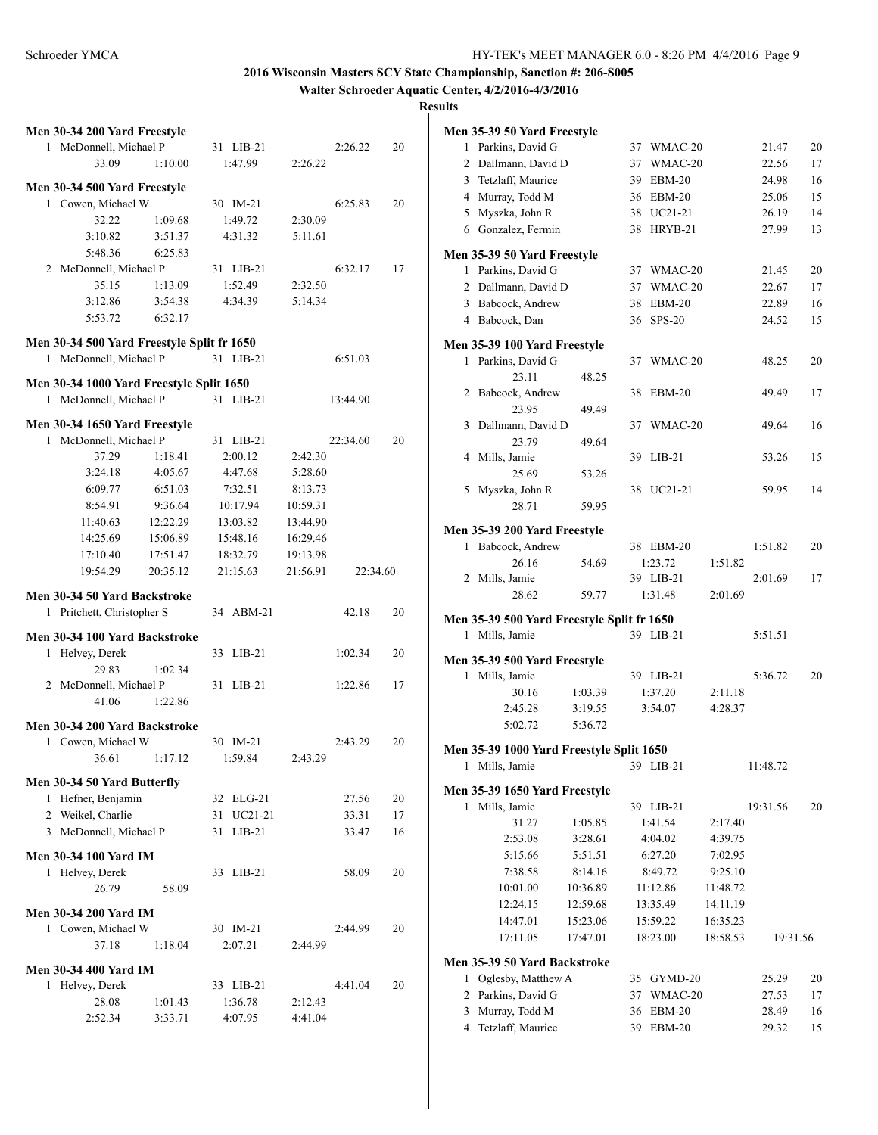**Walter Schroeder Aquatic Center, 4/2/2016-4/3/2016**

| Men 30-34 200 Yard Freestyle                                       |                    |                    |                      |    |
|--------------------------------------------------------------------|--------------------|--------------------|----------------------|----|
| McDonnell, Michael P<br>1                                          |                    | 31 LIB-21          | 2:26.22              | 20 |
| 33.09                                                              | 1:10.00            | 1:47.99            | 2:26.22              |    |
| Men 30-34 500 Yard Freestyle                                       |                    |                    |                      |    |
| 1 Cowen, Michael W                                                 |                    | 30 IM-21           | 6:25.83              | 20 |
| 32.22                                                              | 1:09.68            | 1:49.72            | 2:30.09              |    |
| 3:10.82                                                            | 3:51.37            | 4:31.32            | 5:11.61              |    |
| 5:48.36                                                            | 6:25.83            |                    |                      |    |
| 2 McDonnell, Michael P                                             |                    | 31 LIB-21          | 6:32.17              | 17 |
| 35.15                                                              | 1:13.09            | 1:52.49            | 2:32.50              |    |
| 3:12.86                                                            | 3:54.38            | 4:34.39            | 5:14.34              |    |
| 5:53.72                                                            | 6:32.17            |                    |                      |    |
| Men 30-34 500 Yard Freestyle Split fr 1650                         |                    |                    |                      |    |
| 1 McDonnell, Michael P                                             |                    | 31 LIB-21          | 6:51.03              |    |
|                                                                    |                    |                    |                      |    |
| Men 30-34 1000 Yard Freestyle Split 1650<br>1 McDonnell, Michael P |                    | 31 LIB-21          | 13:44.90             |    |
|                                                                    |                    |                    |                      |    |
| Men 30-34 1650 Yard Freestyle                                      |                    |                    |                      |    |
| McDonnell, Michael P<br>1                                          |                    | 31 LIB-21          | 22:34.60             | 20 |
| 37.29                                                              | 1:18.41            | 2:00.12            | 2:42.30              |    |
| 3:24.18                                                            | 4:05.67            | 4:47.68            | 5:28.60              |    |
| 6:09.77                                                            | 6:51.03            | 7:32.51            | 8:13.73              |    |
| 8:54.91                                                            | 9:36.64            | 10:17.94           | 10:59.31             |    |
| 11:40.63                                                           | 12:22.29           | 13:03.82           | 13:44.90             |    |
| 14:25.69                                                           | 15:06.89           | 15:48.16           | 16:29.46             |    |
| 17:10.40                                                           | 17:51.47           | 18:32.79           | 19:13.98             |    |
| 19:54.29                                                           | 20:35.12           | 21:15.63           | 21:56.91<br>22:34.60 |    |
| Men 30-34 50 Yard Backstroke                                       |                    |                    |                      |    |
| 1 Pritchett, Christopher S                                         |                    | 34 ABM-21          | 42.18                | 20 |
| Men 30-34 100 Yard Backstroke                                      |                    |                    |                      |    |
| Helvey, Derek<br>1                                                 |                    | 33 LIB-21          | 1:02.34              | 20 |
| 29.83                                                              | 1:02.34            |                    |                      |    |
| 2 McDonnell, Michael P                                             |                    | 31 LIB-21          | 1:22.86              | 17 |
| 41.06                                                              | 1:22.86            |                    |                      |    |
| Men 30-34 200 Yard Backstroke                                      |                    |                    |                      |    |
| 1 Cowen, Michael W                                                 |                    | 30 IM-21           | 2:43.29              | 20 |
| 36.61                                                              | 1:17.12            | 1:59.84            | 2:43.29              |    |
|                                                                    |                    |                    |                      |    |
| Men 30-34 50 Yard Butterfly                                        |                    |                    |                      |    |
| 1 Hefner, Benjamin                                                 |                    | 32 ELG-21          | 27.56                | 20 |
| 2 Weikel, Charlie                                                  |                    | UC21-21<br>31      | 33.31                | 17 |
| 3 McDonnell, Michael P                                             |                    | 31<br>$LIB-21$     | 33.47                | 16 |
| <b>Men 30-34 100 Yard IM</b>                                       |                    |                    |                      |    |
| 1 Helvey, Derek                                                    |                    | 33 LIB-21          | 58.09                | 20 |
| 26.79                                                              | 58.09              |                    |                      |    |
| <b>Men 30-34 200 Yard IM</b>                                       |                    |                    |                      |    |
| 1 Cowen, Michael W                                                 |                    | 30 IM-21           | 2:44.99              | 20 |
| 37.18                                                              | 1:18.04            | 2:07.21            | 2:44.99              |    |
|                                                                    |                    |                    |                      |    |
| <b>Men 30-34 400 Yard IM</b>                                       |                    |                    |                      |    |
| Helvey, Derek<br>1                                                 |                    | 33 LIB-21          | 4:41.04              | 20 |
| 28.08<br>2:52.34                                                   | 1:01.43<br>3:33.71 | 1:36.78<br>4:07.95 | 2:12.43<br>4:41.04   |    |
|                                                                    |                    |                    |                      |    |

|                | Men 35-39 50 Yard Freestyle                        |          |    |               |          |          |          |
|----------------|----------------------------------------------------|----------|----|---------------|----------|----------|----------|
| 1              | Parkins, David G                                   |          |    | 37 WMAC-20    |          | 21.47    | 20       |
|                | 2 Dallmann, David D                                |          | 37 | WMAC-20       |          | 22.56    | 17       |
|                | 3 Tetzlaff, Maurice                                |          | 39 | <b>EBM-20</b> |          | 24.98    | 16       |
|                | 4 Murray, Todd M                                   |          |    | 36 EBM-20     |          | 25.06    | 15       |
|                | 5 Myszka, John R                                   |          | 38 | UC21-21       |          | 26.19    | 14       |
|                | 6 Gonzalez, Fermin                                 |          | 38 | HRYB-21       |          | 27.99    | 13       |
|                | Men 35-39 50 Yard Freestyle                        |          |    |               |          |          |          |
|                | 1 Parkins, David G                                 |          |    | 37 WMAC-20    |          | 21.45    | 20       |
|                | 2 Dallmann, David D                                |          | 37 | WMAC-20       |          | 22.67    | 17       |
|                | 3 Babcock, Andrew                                  |          | 38 | EBM-20        |          | 22.89    | 16       |
|                | 4 Babcock, Dan                                     |          |    | 36 SPS-20     |          | 24.52    | 15       |
|                | Men 35-39 100 Yard Freestyle                       |          |    |               |          |          |          |
|                | 1 Parkins, David G                                 |          | 37 | WMAC-20       |          | 48.25    | 20       |
|                | 23.11                                              | 48.25    |    |               |          |          |          |
|                | 2 Babcock, Andrew                                  |          | 38 | EBM-20        |          | 49.49    | 17       |
|                | 23.95                                              | 49.49    |    |               |          |          |          |
| 3              | Dallmann, David D                                  |          | 37 | WMAC-20       |          | 49.64    | 16       |
|                | 23.79                                              | 49.64    |    |               |          |          |          |
| 4              | Mills, Jamie                                       |          | 39 | $LIB-21$      |          | 53.26    | 15       |
|                | 25.69                                              | 53.26    |    |               |          |          |          |
|                | 5 Myszka, John R                                   |          | 38 | UC21-21       |          | 59.95    | 14       |
|                | 28.71                                              | 59.95    |    |               |          |          |          |
|                | Men 35-39 200 Yard Freestyle                       |          |    |               |          |          |          |
| 1              | Babcock, Andrew                                    |          |    | 38 EBM-20     |          | 1:51.82  | 20       |
|                | 26.16                                              | 54.69    |    | 1:23.72       | 1:51.82  |          |          |
|                | 2 Mills, Jamie                                     |          |    | 39 LIB-21     |          | 2:01.69  | 17       |
|                | 28.62                                              | 59.77    |    | 1:31.48       | 2:01.69  |          |          |
|                | Men 35-39 500 Yard Freestyle Split fr 1650         |          |    |               |          |          |          |
|                | 1 Mills, Jamie                                     |          |    | 39 LIB-21     |          | 5:51.51  |          |
|                | Men 35-39 500 Yard Freestyle                       |          |    |               |          |          |          |
| $\mathbf{1}$   | Mills, Jamie                                       |          |    | 39 LIB-21     |          | 5:36.72  | 20       |
|                | 30.16                                              | 1:03.39  |    | 1:37.20       | 2:11.18  |          |          |
|                | 2:45.28                                            | 3:19.55  |    | 3:54.07       | 4:28.37  |          |          |
|                | 5:02.72                                            | 5:36.72  |    |               |          |          |          |
|                | Men 35-39 1000 Yard Freestyle Split 1650           |          |    |               |          |          |          |
|                | 1 Mills, Jamie                                     |          |    | 39 LIB-21     |          | 11:48.72 |          |
|                | Men 35-39 1650 Yard Freestyle                      |          |    |               |          |          |          |
| 1              | Mills, Jamie                                       |          |    | 39 LIB-21     |          | 19:31.56 | 20       |
|                | 31.27                                              | 1:05.85  |    | 1:41.54       | 2:17.40  |          |          |
|                | 2:53.08                                            | 3:28.61  |    | 4:04.02       | 4:39.75  |          |          |
|                | 5:15.66                                            | 5:51.51  |    | 6:27.20       | 7:02.95  |          |          |
|                | 7:38.58                                            | 8:14.16  |    | 8:49.72       | 9:25.10  |          |          |
|                | 10:01.00                                           | 10:36.89 |    | 11:12.86      | 11:48.72 |          |          |
|                | 12:24.15                                           | 12:59.68 |    | 13:35.49      | 14:11.19 |          |          |
|                | 14:47.01                                           | 15:23.06 |    | 15:59.22      | 16:35.23 |          |          |
|                | 17:11.05                                           | 17:47.01 |    | 18:23.00      | 18:58.53 |          | 19:31.56 |
|                |                                                    |          |    |               |          |          |          |
| 1              | Men 35-39 50 Yard Backstroke<br>Oglesby, Matthew A |          | 35 | GYMD-20       |          | 25.29    | 20       |
| $\overline{2}$ | Parkins, David G                                   |          | 37 | WMAC-20       |          | 27.53    | 17       |
| 3              | Murray, Todd M                                     |          | 36 | $EBM-20$      |          | 28.49    | 16       |
| 4              | Tetzlaff, Maurice                                  |          | 39 | EBM-20        |          | 29.32    | 15       |
|                |                                                    |          |    |               |          |          |          |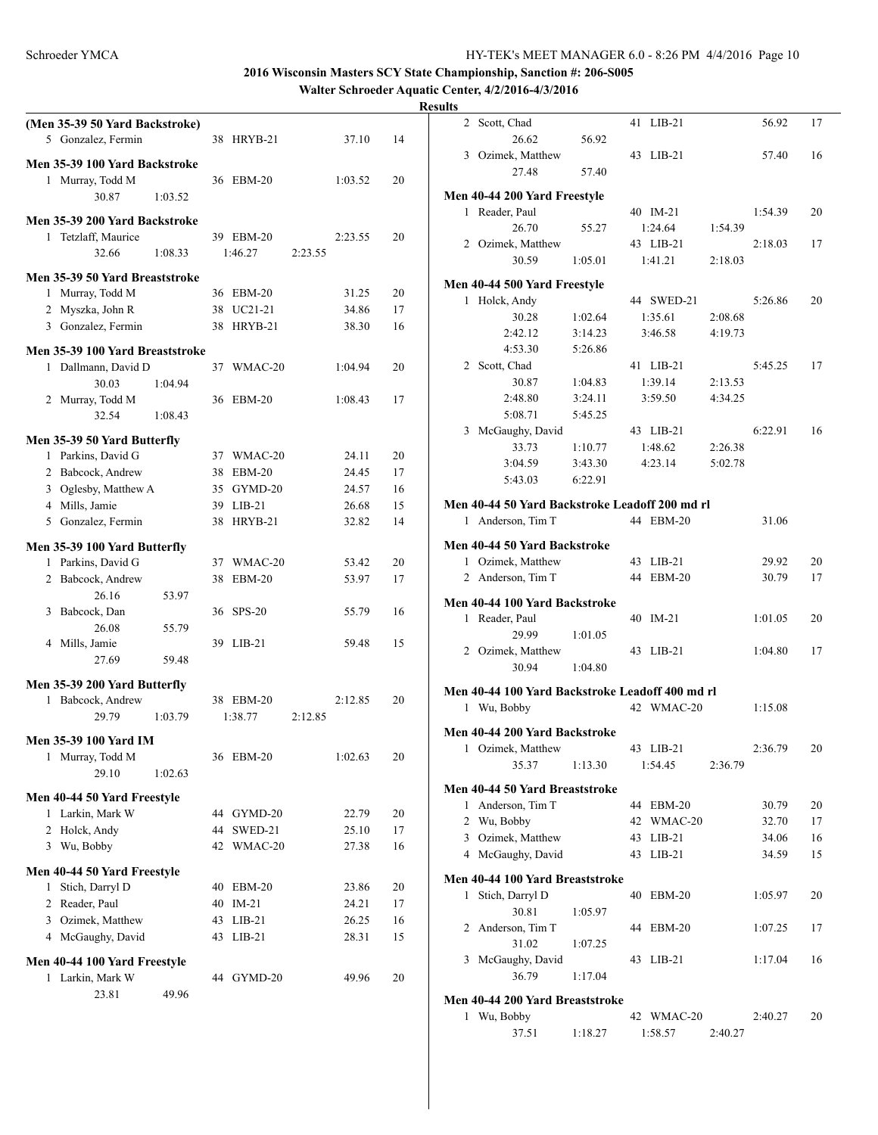**Walter Schroeder Aquatic Center, 4/2/2016-4/3/2016**

|   | (Men 35-39 50 Yard Backstroke)  |         |    |            |         |         |    |
|---|---------------------------------|---------|----|------------|---------|---------|----|
|   | 5 Gonzalez, Fermin              |         |    | 38 HRYB-21 |         | 37.10   | 14 |
|   | Men 35-39 100 Yard Backstroke   |         |    |            |         |         |    |
|   | 1 Murray, Todd M                |         |    | 36 EBM-20  |         | 1:03.52 | 20 |
|   | 30.87                           | 1:03.52 |    |            |         |         |    |
|   |                                 |         |    |            |         |         |    |
|   | Men 35-39 200 Yard Backstroke   |         |    |            |         |         |    |
|   | 1 Tetzlaff, Maurice             |         |    | 39 EBM-20  |         | 2:23.55 | 20 |
|   | 32.66                           | 1:08.33 |    | 1:46.27    | 2:23.55 |         |    |
|   | Men 35-39 50 Yard Breaststroke  |         |    |            |         |         |    |
|   | 1 Murray, Todd M                |         | 36 | $EBM-20$   |         | 31.25   | 20 |
|   | 2 Myszka, John R                |         |    | 38 UC21-21 |         | 34.86   | 17 |
|   | 3 Gonzalez, Fermin              |         | 38 | HRYB-21    |         | 38.30   | 16 |
|   |                                 |         |    |            |         |         |    |
|   | Men 35-39 100 Yard Breaststroke |         |    |            |         |         |    |
|   | 1 Dallmann, David D             |         |    | 37 WMAC-20 |         | 1:04.94 | 20 |
|   | 30.03                           | 1:04.94 |    |            |         |         |    |
|   | 2 Murray, Todd M<br>32.54       |         | 36 | $EBM-20$   |         | 1:08.43 | 17 |
|   |                                 | 1:08.43 |    |            |         |         |    |
|   | Men 35-39 50 Yard Butterfly     |         |    |            |         |         |    |
|   | 1 Parkins, David G              |         |    | 37 WMAC-20 |         | 24.11   | 20 |
|   | 2 Babcock, Andrew               |         |    | 38 EBM-20  |         | 24.45   | 17 |
|   | 3 Oglesby, Matthew A            |         |    | 35 GYMD-20 |         | 24.57   | 16 |
|   | 4 Mills, Jamie                  |         |    | 39 LIB-21  |         | 26.68   | 15 |
|   | 5 Gonzalez, Fermin              |         | 38 | HRYB-21    |         | 32.82   | 14 |
|   | Men 35-39 100 Yard Butterfly    |         |    |            |         |         |    |
|   | 1 Parkins, David G              |         |    | 37 WMAC-20 |         | 53.42   | 20 |
|   | 2 Babcock, Andrew               |         | 38 | $EBM-20$   |         | 53.97   | 17 |
|   | 26.16                           | 53.97   |    |            |         |         |    |
|   | 3 Babcock, Dan                  |         | 36 | $SPS-20$   |         | 55.79   | 16 |
|   | 26.08                           | 55.79   |    |            |         |         |    |
|   | 4 Mills, Jamie                  |         |    | 39 LIB-21  |         | 59.48   | 15 |
|   | 27.69                           | 59.48   |    |            |         |         |    |
|   |                                 |         |    |            |         |         |    |
|   | Men 35-39 200 Yard Butterfly    |         |    |            |         |         |    |
|   | 1 Babcock, Andrew               |         |    | 38 EBM-20  |         | 2:12.85 | 20 |
|   | 29.79                           | 1:03.79 |    | 1:38.77    | 2:12.85 |         |    |
|   | <b>Men 35-39 100 Yard IM</b>    |         |    |            |         |         |    |
|   | 1 Murray, Todd M                |         |    | 36 EBM-20  |         | 1:02.63 | 20 |
|   | 29.10                           | 1:02.63 |    |            |         |         |    |
|   |                                 |         |    |            |         |         |    |
|   | Men 40-44 50 Yard Freestyle     |         |    |            |         |         |    |
| 1 | Larkin, Mark W                  |         |    | 44 GYMD-20 |         | 22.79   | 20 |
|   | 2 Holck, Andy                   |         | 44 | SWED-21    |         | 25.10   | 17 |
|   | 3 Wu, Bobby                     |         | 42 | WMAC-20    |         | 27.38   | 16 |
|   | Men 40-44 50 Yard Freestyle     |         |    |            |         |         |    |
| 1 | Stich, Darryl D                 |         | 40 | EBM-20     |         | 23.86   | 20 |
|   | 2 Reader, Paul                  |         | 40 | $IM-21$    |         | 24.21   | 17 |
|   | 3 Ozimek, Matthew               |         | 43 | $LIB-21$   |         | 26.25   | 16 |
|   | 4 McGaughy, David               |         | 43 | $LIB-21$   |         | 28.31   | 15 |
|   |                                 |         |    |            |         |         |    |
| 1 | Men 40-44 100 Yard Freestyle    |         |    |            |         |         | 20 |
|   | Larkin, Mark W<br>23.81         | 49.96   |    | 44 GYMD-20 |         | 49.96   |    |
|   |                                 |         |    |            |         |         |    |

| $\overline{\phantom{a}}$ |                                                                     |         |    |            |         |         |    |
|--------------------------|---------------------------------------------------------------------|---------|----|------------|---------|---------|----|
| $\overline{2}$           | Scott, Chad                                                         |         |    | 41 LIB-21  |         | 56.92   | 17 |
|                          | 26.62                                                               | 56.92   |    |            |         |         |    |
|                          | 3 Ozimek, Matthew                                                   |         |    | 43 LIB-21  |         | 57.40   | 16 |
|                          | 27.48                                                               | 57.40   |    |            |         |         |    |
|                          | Men 40-44 200 Yard Freestyle                                        |         |    |            |         |         |    |
| 1                        | Reader, Paul                                                        |         |    | 40 IM-21   |         | 1:54.39 | 20 |
|                          | 26.70                                                               | 55.27   |    | 1:24.64    | 1:54.39 |         |    |
|                          | 2 Ozimek, Matthew                                                   |         |    | 43 LIB-21  |         | 2:18.03 | 17 |
|                          | 30.59                                                               | 1:05.01 |    | 1:41.21    | 2:18.03 |         |    |
|                          | Men 40-44 500 Yard Freestyle                                        |         |    |            |         |         |    |
| 1                        | Holck, Andy                                                         |         |    | 44 SWED-21 |         | 5:26.86 | 20 |
|                          | 30.28                                                               | 1:02.64 |    | 1:35.61    | 2:08.68 |         |    |
|                          | 2:42.12                                                             | 3:14.23 |    | 3:46.58    | 4:19.73 |         |    |
|                          | 4:53.30                                                             | 5:26.86 |    |            |         |         |    |
|                          | 2 Scott, Chad                                                       |         |    | 41 LIB-21  |         | 5:45.25 | 17 |
|                          | 30.87                                                               | 1:04.83 |    | 1:39.14    | 2:13.53 |         |    |
|                          | 2:48.80                                                             | 3:24.11 |    | 3:59.50    | 4:34.25 |         |    |
|                          | 5:08.71                                                             | 5:45.25 |    |            |         |         |    |
|                          | 3 McGaughy, David                                                   |         |    | 43 LIB-21  |         | 6:22.91 | 16 |
|                          | 33.73                                                               | 1:10.77 |    | 1:48.62    | 2:26.38 |         |    |
|                          | 3:04.59                                                             | 3:43.30 |    | 4:23.14    | 5:02.78 |         |    |
|                          | 5:43.03                                                             | 6:22.91 |    |            |         |         |    |
|                          |                                                                     |         |    |            |         |         |    |
|                          | Men 40-44 50 Yard Backstroke Leadoff 200 md rl<br>1 Anderson, Tim T |         |    | 44 EBM-20  |         | 31.06   |    |
|                          |                                                                     |         |    |            |         |         |    |
|                          | Men 40-44 50 Yard Backstroke                                        |         |    |            |         |         |    |
|                          | 1 Ozimek, Matthew                                                   |         |    | 43 LIB-21  |         | 29.92   | 20 |
|                          | 2 Anderson, Tim T                                                   |         |    | 44 EBM-20  |         | 30.79   | 17 |
|                          | Men 40-44 100 Yard Backstroke                                       |         |    |            |         |         |    |
|                          | 1 Reader, Paul                                                      |         |    | 40 IM-21   |         | 1:01.05 | 20 |
|                          | 29.99                                                               | 1:01.05 |    |            |         |         |    |
|                          | 2 Ozimek, Matthew                                                   |         |    | 43 LIB-21  |         | 1:04.80 | 17 |
|                          | 30.94                                                               | 1:04.80 |    |            |         |         |    |
|                          |                                                                     |         |    |            |         |         |    |
|                          | Men 40-44 100 Yard Backstroke Leadoff 400 md rl<br>1 Wu, Bobby      |         |    | 42 WMAC-20 |         | 1:15.08 |    |
|                          |                                                                     |         |    |            |         |         |    |
|                          | Men 40-44 200 Yard Backstroke                                       |         |    |            |         |         |    |
|                          | 1 Ozimek, Matthew                                                   |         | 43 | $LIB-21$   |         | 2:36.79 | 20 |
|                          | 35.37                                                               | 1:13.30 |    | 1:54.45    | 2:36.79 |         |    |
|                          | Men 40-44 50 Yard Breaststroke                                      |         |    |            |         |         |    |
|                          | 1 Anderson, Tim T                                                   |         |    | 44 EBM-20  |         | 30.79   | 20 |
|                          | 2 Wu, Bobby                                                         |         | 42 | WMAC-20    |         | 32.70   | 17 |
| 3                        | Ozimek, Matthew                                                     |         | 43 | $LIB-21$   |         | 34.06   | 16 |
|                          | 4 McGaughy, David                                                   |         | 43 | $LIB-21$   |         | 34.59   | 15 |
|                          | Men 40-44 100 Yard Breaststroke                                     |         |    |            |         |         |    |
| 1                        | Stich, Darryl D                                                     |         | 40 | $EBM-20$   |         | 1:05.97 | 20 |
|                          | 30.81                                                               | 1:05.97 |    |            |         |         |    |
|                          | 2 Anderson, Tim T                                                   |         | 44 | EBM-20     |         | 1:07.25 | 17 |
|                          | 31.02                                                               | 1:07.25 |    |            |         |         |    |
| 3                        | McGaughy, David                                                     |         | 43 | $LIB-21$   |         | 1:17.04 | 16 |
|                          | 36.79                                                               | 1:17.04 |    |            |         |         |    |
|                          |                                                                     |         |    |            |         |         |    |
|                          | Men 40-44 200 Yard Breaststroke                                     |         |    |            |         |         |    |
|                          | 1 Wu, Bobby                                                         |         |    | 42 WMAC-20 |         | 2:40.27 | 20 |
|                          | 37.51                                                               | 1:18.27 |    | 1:58.57    | 2:40.27 |         |    |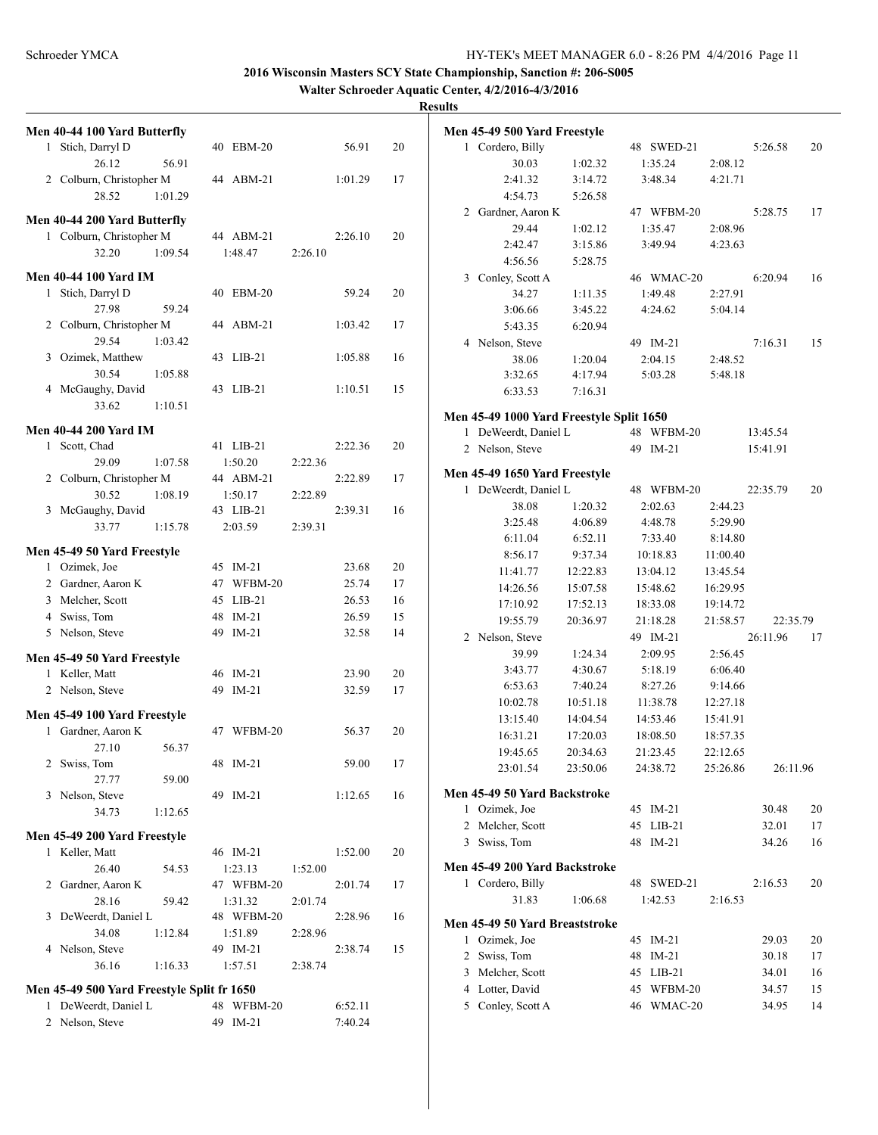**Walter Schroeder Aquatic Center, 4/2/2016-4/3/2016**

|   | Men 40-44 100 Yard Butterfly                   |         |                       |         |         |    |  |
|---|------------------------------------------------|---------|-----------------------|---------|---------|----|--|
| 1 | Stich, Darryl D                                |         | 40 EBM-20             |         | 56.91   | 20 |  |
|   | 26.12                                          | 56.91   |                       |         |         |    |  |
|   | 2 Colburn, Christopher M                       |         | 44 ABM-21             |         | 1:01.29 | 17 |  |
|   | 28.52                                          | 1:01.29 |                       |         |         |    |  |
|   | Men 40-44 200 Yard Butterfly                   |         |                       |         |         |    |  |
|   | 1 Colburn, Christopher M                       |         | 44 ABM-21             |         | 2:26.10 | 20 |  |
|   | 32.20                                          | 1:09.54 | 1:48.47               | 2:26.10 |         |    |  |
|   |                                                |         |                       |         |         |    |  |
|   | <b>Men 40-44 100 Yard IM</b>                   |         |                       |         |         |    |  |
|   | 1 Stich, Darryl D                              |         | 40 EBM-20             |         | 59.24   | 20 |  |
|   | 27.98                                          | 59.24   |                       |         |         |    |  |
|   | 2 Colburn, Christopher M                       |         | 44 ABM-21             |         | 1:03.42 | 17 |  |
|   | 29.54                                          | 1:03.42 |                       |         |         |    |  |
|   | 3 Ozimek, Matthew                              |         | 43 LIB-21             |         | 1:05.88 | 16 |  |
|   | 30.54                                          | 1:05.88 |                       |         |         |    |  |
|   | 4 McGaughy, David                              |         | 43 LIB-21             |         | 1:10.51 | 15 |  |
|   | 33.62                                          | 1:10.51 |                       |         |         |    |  |
|   | <b>Men 40-44 200 Yard IM</b>                   |         |                       |         |         |    |  |
|   | 1 Scott, Chad                                  |         | 41 LIB-21             |         | 2:22.36 | 20 |  |
|   | 29.09                                          | 1:07.58 | 1:50.20               | 2:22.36 |         |    |  |
|   | 2 Colburn, Christopher M                       |         | 44 ABM-21             |         | 2:22.89 | 17 |  |
|   | 30.52                                          | 1:08.19 | 1:50.17               | 2:22.89 |         |    |  |
|   | 3 McGaughy, David                              |         | 43 LIB-21             |         | 2:39.31 | 16 |  |
|   | 33.77                                          | 1:15.78 | 2:03.59               | 2:39.31 |         |    |  |
|   |                                                |         |                       |         |         |    |  |
|   | Men 45-49 50 Yard Freestyle                    |         |                       |         |         |    |  |
|   | 1 Ozimek, Joe                                  |         | 45 IM-21              |         | 23.68   | 20 |  |
|   | 2 Gardner, Aaron K                             |         | 47 WFBM-20            |         | 25.74   | 17 |  |
|   | 3 Melcher, Scott                               |         | 45 LIB-21             |         | 26.53   | 16 |  |
|   | 4 Swiss, Tom                                   |         | 48 IM-21              |         | 26.59   | 15 |  |
|   | 5 Nelson, Steve                                |         | 49 IM-21              |         | 32.58   | 14 |  |
|   | Men 45-49 50 Yard Freestyle                    |         |                       |         |         |    |  |
|   | 1 Keller, Matt                                 |         | 46 IM-21              |         | 23.90   | 20 |  |
|   | 2 Nelson, Steve                                |         | 49 IM-21              |         | 32.59   | 17 |  |
|   |                                                |         |                       |         |         |    |  |
|   | Men 45-49 100 Yard Freestyle                   |         |                       |         |         |    |  |
| 1 | Gardner, Aaron K                               |         | 47 WFBM-20            |         | 56.37   | 20 |  |
|   | 27.10                                          | 56.37   |                       |         |         |    |  |
|   | 2 Swiss, Tom                                   |         | 48 IM-21              |         | 59.00   | 17 |  |
|   | 27.77                                          | 59.00   |                       |         |         |    |  |
| 3 | Nelson, Steve                                  |         | 49 IM-21              |         | 1:12.65 | 16 |  |
|   | 34.73                                          | 1:12.65 |                       |         |         |    |  |
|   |                                                |         |                       |         |         |    |  |
|   | Men 45-49 200 Yard Freestyle<br>1 Keller, Matt |         | 46 IM-21              |         | 1:52.00 | 20 |  |
|   |                                                |         |                       |         |         |    |  |
|   | 26.40                                          | 54.53   | 1:23.13               | 1:52.00 |         | 17 |  |
|   | 2 Gardner, Aaron K                             |         | 47 WFBM-20            |         | 2:01.74 |    |  |
| 3 | 28.16                                          | 59.42   | 1:31.32               | 2:01.74 |         | 16 |  |
|   | DeWeerdt, Daniel L                             |         | 48 WFBM-20<br>1:51.89 |         | 2:28.96 |    |  |
|   | 34.08                                          | 1:12.84 | 49 IM-21              | 2:28.96 |         | 15 |  |
|   | 4 Nelson, Steve                                |         |                       |         | 2:38.74 |    |  |
|   | 36.16                                          | 1:16.33 | 1:57.51               | 2:38.74 |         |    |  |
|   | Men 45-49 500 Yard Freestyle Split fr 1650     |         |                       |         |         |    |  |
| 1 | DeWeerdt, Daniel L                             |         | 48 WFBM-20            |         | 6:52.11 |    |  |
|   | 2 Nelson, Steve                                |         | 49 IM-21              |         | 7:40.24 |    |  |

|              | Men 45-49 500 Yard Freestyle             |          |               |          |          |          |
|--------------|------------------------------------------|----------|---------------|----------|----------|----------|
|              | 1 Cordero, Billy                         |          | 48 SWED-21    |          | 5:26.58  | 20       |
|              | 30.03                                    | 1:02.32  | 1:35.24       | 2:08.12  |          |          |
|              | 2:41.32                                  | 3:14.72  | 3:48.34       | 4:21.71  |          |          |
|              | 4:54.73                                  | 5:26.58  |               |          |          |          |
| 2            | Gardner, Aaron K                         |          | 47 WFBM-20    |          | 5:28.75  | 17       |
|              | 29.44                                    | 1:02.12  | 1:35.47       | 2:08.96  |          |          |
|              | 2:42.47                                  | 3:15.86  | 3:49.94       | 4:23.63  |          |          |
|              | 4:56.56                                  | 5:28.75  |               |          |          |          |
|              | 3 Conley, Scott A                        |          | 46 WMAC-20    |          | 6:20.94  | 16       |
|              | 34.27                                    | 1:11.35  | 1:49.48       | 2:27.91  |          |          |
|              | 3:06.66                                  | 3:45.22  | 4:24.62       | 5:04.14  |          |          |
|              | 5:43.35                                  | 6:20.94  |               |          |          |          |
|              | 4 Nelson, Steve                          |          | 49 IM-21      |          | 7:16.31  | 15       |
|              | 38.06                                    | 1:20.04  | 2:04.15       | 2:48.52  |          |          |
|              | 3:32.65                                  | 4:17.94  | 5:03.28       | 5:48.18  |          |          |
|              | 6:33.53                                  | 7:16.31  |               |          |          |          |
|              |                                          |          |               |          |          |          |
|              | Men 45-49 1000 Yard Freestyle Split 1650 |          |               |          |          |          |
|              | 1 DeWeerdt, Daniel L                     |          | 48<br>WFBM-20 |          | 13:45.54 |          |
|              | 2 Nelson, Steve                          |          | 49 IM-21      |          | 15:41.91 |          |
|              | Men 45-49 1650 Yard Freestyle            |          |               |          |          |          |
| $\mathbf{1}$ | DeWeerdt, Daniel L                       |          | 48 WFBM-20    |          | 22:35.79 | 20       |
|              | 38.08                                    | 1:20.32  | 2:02.63       | 2:44.23  |          |          |
|              | 3:25.48                                  | 4:06.89  | 4:48.78       | 5:29.90  |          |          |
|              | 6:11.04                                  | 6:52.11  | 7:33.40       | 8:14.80  |          |          |
|              | 8:56.17                                  | 9:37.34  | 10:18.83      | 11:00.40 |          |          |
|              | 11:41.77                                 | 12:22.83 | 13:04.12      | 13:45.54 |          |          |
|              | 14:26.56                                 | 15:07.58 | 15:48.62      | 16:29.95 |          |          |
|              | 17:10.92                                 | 17:52.13 | 18:33.08      | 19:14.72 |          |          |
|              | 19:55.79                                 | 20:36.97 | 21:18.28      | 21:58.57 | 22:35.79 |          |
|              | 2 Nelson, Steve                          |          | 49 IM-21      |          | 26:11.96 | 17       |
|              | 39.99                                    | 1:24.34  | 2:09.95       | 2:56.45  |          |          |
|              | 3:43.77                                  | 4:30.67  | 5:18.19       | 6:06.40  |          |          |
|              | 6:53.63                                  | 7:40.24  | 8:27.26       | 9:14.66  |          |          |
|              | 10:02.78                                 | 10:51.18 | 11:38.78      | 12:27.18 |          |          |
|              | 13:15.40                                 | 14:04.54 | 14:53.46      | 15:41.91 |          |          |
|              | 16:31.21                                 | 17:20.03 | 18:08.50      | 18:57.35 |          |          |
|              | 19:45.65                                 | 20:34.63 | 21:23.45      | 22:12.65 |          |          |
|              | 23:01.54                                 | 23:50.06 | 24:38.72      | 25:26.86 |          | 26:11.96 |
|              |                                          |          |               |          |          |          |
|              | Men 45-49 50 Yard Backstroke             |          |               |          |          |          |
|              | 1 Ozimek, Joe                            |          | 45 IM-21      |          | 30.48    | 20       |
|              | 2 Melcher, Scott                         |          | 45 LIB-21     |          | 32.01    | 17       |
|              | 3 Swiss, Tom                             |          | 48 IM-21      |          | 34.26    | 16       |
|              | Men 45-49 200 Yard Backstroke            |          |               |          |          |          |
|              | 1 Cordero, Billy                         |          | 48 SWED-21    |          | 2:16.53  | 20       |
|              | 31.83                                    | 1:06.68  | 1:42.53       | 2:16.53  |          |          |
|              | Men 45-49 50 Yard Breaststroke           |          |               |          |          |          |
|              | 1 Ozimek, Joe                            |          | 45<br>$IM-21$ |          | 29.03    | 20       |
|              | 2 Swiss, Tom                             |          | 48<br>$IM-21$ |          | 30.18    | 17       |
|              | 3 Melcher, Scott                         |          | 45 LIB-21     |          | 34.01    | 16       |
|              | 4 Lotter, David                          |          | 45 WFBM-20    |          | 34.57    | 15       |
|              | 5 Conley, Scott A                        |          | 46 WMAC-20    |          | 34.95    | 14       |
|              |                                          |          |               |          |          |          |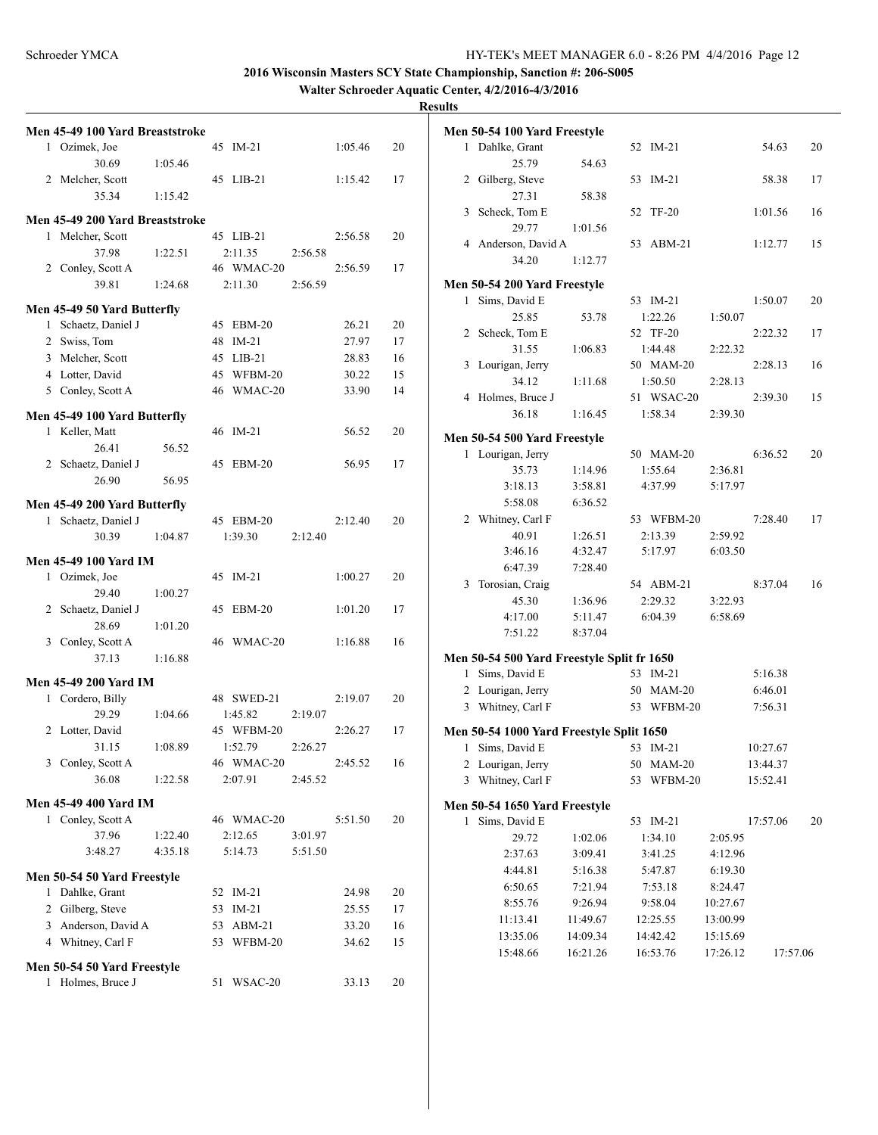**Walter Schroeder Aquatic Center, 4/2/2016-4/3/2016**

|   | Men 45-49 100 Yard Breaststroke |         |    |            |         |         |    |
|---|---------------------------------|---------|----|------------|---------|---------|----|
|   | 1 Ozimek, Joe                   |         | 45 | $IM-21$    |         | 1:05.46 | 20 |
|   | 30.69                           | 1:05.46 |    |            |         |         |    |
|   | 2 Melcher, Scott                |         |    | 45 LIB-21  |         | 1:15.42 | 17 |
|   | 35.34                           | 1:15.42 |    |            |         |         |    |
|   |                                 |         |    |            |         |         |    |
|   | Men 45-49 200 Yard Breaststroke |         |    |            |         |         |    |
| 1 | Melcher, Scott                  |         |    | 45 LIB-21  |         | 2:56.58 | 20 |
|   | 37.98                           | 1:22.51 |    | 2:11.35    | 2:56.58 |         |    |
|   | 2 Conley, Scott A               |         |    | 46 WMAC-20 |         | 2:56.59 | 17 |
|   | 39.81                           | 1:24.68 |    | 2:11.30    | 2:56.59 |         |    |
|   | Men 45-49 50 Yard Butterfly     |         |    |            |         |         |    |
|   | 1 Schaetz, Daniel J             |         | 45 | $EBM-20$   |         | 26.21   | 20 |
|   | 2 Swiss, Tom                    |         | 48 | $IM-21$    |         | 27.97   | 17 |
|   | 3 Melcher, Scott                |         |    | 45 LIB-21  |         | 28.83   | 16 |
|   | 4 Lotter, David                 |         |    | 45 WFBM-20 |         | 30.22   | 15 |
|   |                                 |         |    |            |         |         |    |
|   | 5 Conley, Scott A               |         |    | 46 WMAC-20 |         | 33.90   | 14 |
|   | Men 45-49 100 Yard Butterfly    |         |    |            |         |         |    |
|   | 1 Keller, Matt                  |         |    | 46 IM-21   |         | 56.52   | 20 |
|   | 26.41                           | 56.52   |    |            |         |         |    |
|   | 2 Schaetz, Daniel J             |         | 45 | $EBM-20$   |         | 56.95   | 17 |
|   | 26.90                           | 56.95   |    |            |         |         |    |
|   |                                 |         |    |            |         |         |    |
|   | Men 45-49 200 Yard Butterfly    |         |    |            |         |         |    |
|   | 1 Schaetz, Daniel J             |         |    | 45 EBM-20  |         | 2:12.40 | 20 |
|   | 30.39                           | 1:04.87 |    | 1:39.30    | 2:12.40 |         |    |
|   | <b>Men 45-49 100 Yard IM</b>    |         |    |            |         |         |    |
|   | 1 Ozimek, Joe                   |         | 45 | $IM-21$    |         | 1:00.27 | 20 |
|   | 29.40                           | 1:00.27 |    |            |         |         |    |
|   | 2 Schaetz, Daniel J             |         | 45 | $EBM-20$   |         | 1:01.20 | 17 |
|   | 28.69                           | 1:01.20 |    |            |         |         |    |
|   | 3 Conley, Scott A               |         |    | 46 WMAC-20 |         | 1:16.88 | 16 |
|   | 37.13                           | 1:16.88 |    |            |         |         |    |
|   |                                 |         |    |            |         |         |    |
|   | <b>Men 45-49 200 Yard IM</b>    |         |    |            |         |         |    |
|   | 1 Cordero, Billy                |         |    | 48 SWED-21 |         | 2:19.07 | 20 |
|   | 29.29                           | 1:04.66 |    | 1:45.82    | 2:19.07 |         |    |
|   | 2 Lotter, David                 |         |    | 45 WFBM-20 |         | 2:26.27 | 17 |
|   | 31.15                           | 1:08.89 |    | 1:52.79    | 2:26.27 |         |    |
|   | 3 Conley, Scott A               |         |    | 46 WMAC-20 |         | 2:45.52 | 16 |
|   | 36.08                           | 1:22.58 |    | 2:07.91    | 2:45.52 |         |    |
|   | <b>Men 45-49 400 Yard IM</b>    |         |    |            |         |         |    |
|   | 1 Conley, Scott A               |         |    | 46 WMAC-20 |         | 5:51.50 | 20 |
|   |                                 |         |    |            |         |         |    |
|   | 37.96<br>3:48.27                | 1:22.40 |    | 2:12.65    | 3:01.97 |         |    |
|   |                                 | 4:35.18 |    | 5:14.73    | 5:51.50 |         |    |
|   | Men 50-54 50 Yard Freestyle     |         |    |            |         |         |    |
|   | 1 Dahlke, Grant                 |         | 52 | $IM-21$    |         | 24.98   | 20 |
|   | 2 Gilberg, Steve                |         | 53 | $IM-21$    |         | 25.55   | 17 |
|   | 3 Anderson, David A             |         | 53 | $ABM-21$   |         | 33.20   | 16 |
|   | 4 Whitney, Carl F               |         | 53 | WFBM-20    |         | 34.62   | 15 |
|   |                                 |         |    |            |         |         |    |
|   | Men 50-54 50 Yard Freestyle     |         |    |            |         |         |    |
|   | 1 Holmes, Bruce J               |         | 51 | WSAC-20    |         | 33.13   | 20 |

|   | Men 50-54 100 Yard Freestyle<br>1 Dahlke, Grant |                    |                    |                    | 54.63    | 20 |
|---|-------------------------------------------------|--------------------|--------------------|--------------------|----------|----|
|   |                                                 |                    | 52 IM-21           |                    |          |    |
|   | 25.79<br>2 Gilberg, Steve                       | 54.63              |                    |                    |          |    |
|   |                                                 |                    | 53 IM-21           |                    | 58.38    | 17 |
|   | 27.31                                           | 58.38              |                    |                    |          |    |
|   | 3 Scheck, Tom E                                 |                    | <b>TF-20</b><br>52 |                    | 1:01.56  | 16 |
|   | 29.77                                           | 1:01.56            |                    |                    |          |    |
|   | 4 Anderson, David A                             |                    | 53 ABM-21          |                    | 1:12.77  | 15 |
|   | 34.20                                           | 1:12.77            |                    |                    |          |    |
|   | <b>Men 50-54 200 Yard Freestyle</b>             |                    |                    |                    |          |    |
| 1 | Sims, David E                                   |                    | 53 IM-21           |                    | 1:50.07  | 20 |
|   | 25.85                                           | 53.78              | 1:22.26            | 1:50.07            |          |    |
|   | 2 Scheck, Tom E                                 |                    | 52 TF-20           |                    | 2:22.32  | 17 |
|   | 31.55                                           | 1:06.83            | 1:44.48            | 2:22.32            |          |    |
| 3 | Lourigan, Jerry                                 |                    | 50 MAM-20          |                    | 2:28.13  | 16 |
|   | 34.12                                           | 1:11.68            | 1:50.50            | 2:28.13            |          |    |
|   | 4 Holmes, Bruce J                               |                    | 51 WSAC-20         |                    | 2:39.30  | 15 |
|   | 36.18                                           | 1:16.45            | 1:58.34            | 2:39.30            |          |    |
|   |                                                 |                    |                    |                    |          |    |
|   | Men 50-54 500 Yard Freestyle                    |                    |                    |                    | 6:36.52  |    |
|   | 1 Lourigan, Jerry                               |                    | 50 MAM-20          |                    |          | 20 |
|   | 35.73                                           | 1:14.96            | 1:55.64            | 2:36.81            |          |    |
|   | 3:18.13                                         | 3:58.81            | 4:37.99            | 5:17.97            |          |    |
|   | 5:58.08                                         | 6:36.52            |                    |                    |          |    |
|   | 2 Whitney, Carl F                               |                    | 53 WFBM-20         |                    | 7:28.40  | 17 |
|   | 40.91                                           | 1:26.51            | 2:13.39            | 2:59.92            |          |    |
|   | 3:46.16                                         | 4:32.47            | 5:17.97            | 6:03.50            |          |    |
|   | 6:47.39                                         | 7:28.40            |                    |                    |          |    |
| 3 | Torosian, Craig                                 |                    | 54 ABM-21          |                    | 8:37.04  | 16 |
|   | 45.30                                           | 1:36.96            | 2:29.32            | 3:22.93            |          |    |
|   | 4:17.00                                         | 5:11.47            | 6:04.39            | 6:58.69            |          |    |
|   | 7:51.22                                         | 8:37.04            |                    |                    |          |    |
|   | Men 50-54 500 Yard Freestyle Split fr 1650      |                    |                    |                    |          |    |
|   | 1 Sims, David E                                 |                    | 53 IM-21           |                    | 5:16.38  |    |
|   | 2 Lourigan, Jerry                               |                    | 50 MAM-20          |                    | 6:46.01  |    |
|   | 3 Whitney, Carl F                               |                    | 53 WFBM-20         |                    | 7:56.31  |    |
|   |                                                 |                    |                    |                    |          |    |
|   | Men 50-54 1000 Yard Freestyle Split 1650        |                    |                    |                    |          |    |
|   | 1 Sims, David E                                 |                    | 53 IM-21           |                    | 10:27.67 |    |
|   | 2 Lourigan, Jerry                               |                    | 50 MAM-20          |                    | 13:44.37 |    |
| 3 | Whitney, Carl F                                 |                    | WFBM-20<br>53      |                    | 15:52.41 |    |
|   | Men 50-54 1650 Yard Freestyle                   |                    |                    |                    |          |    |
| 1 | Sims, David E                                   |                    | $IM-21$<br>53      |                    | 17:57.06 | 20 |
|   |                                                 |                    | 1:34.10            |                    |          |    |
|   | 29.72<br>2:37.63                                | 1:02.06<br>3:09.41 | 3:41.25            | 2:05.95<br>4:12.96 |          |    |
|   |                                                 |                    | 5:47.87            |                    |          |    |
|   | 4:44.81                                         | 5:16.38            |                    | 6:19.30            |          |    |
|   | 6:50.65                                         | 7:21.94            | 7:53.18            | 8:24.47            |          |    |
|   | 8:55.76                                         | 9:26.94            | 9:58.04            | 10:27.67           |          |    |
|   | 11:13.41                                        | 11:49.67           | 12:25.55           | 13:00.99           |          |    |
|   | 13:35.06                                        | 14:09.34           | 14:42.42           | 15:15.69           |          |    |
|   | 15:48.66                                        | 16:21.26           | 16:53.76           | 17:26.12           | 17:57.06 |    |
|   |                                                 |                    |                    |                    |          |    |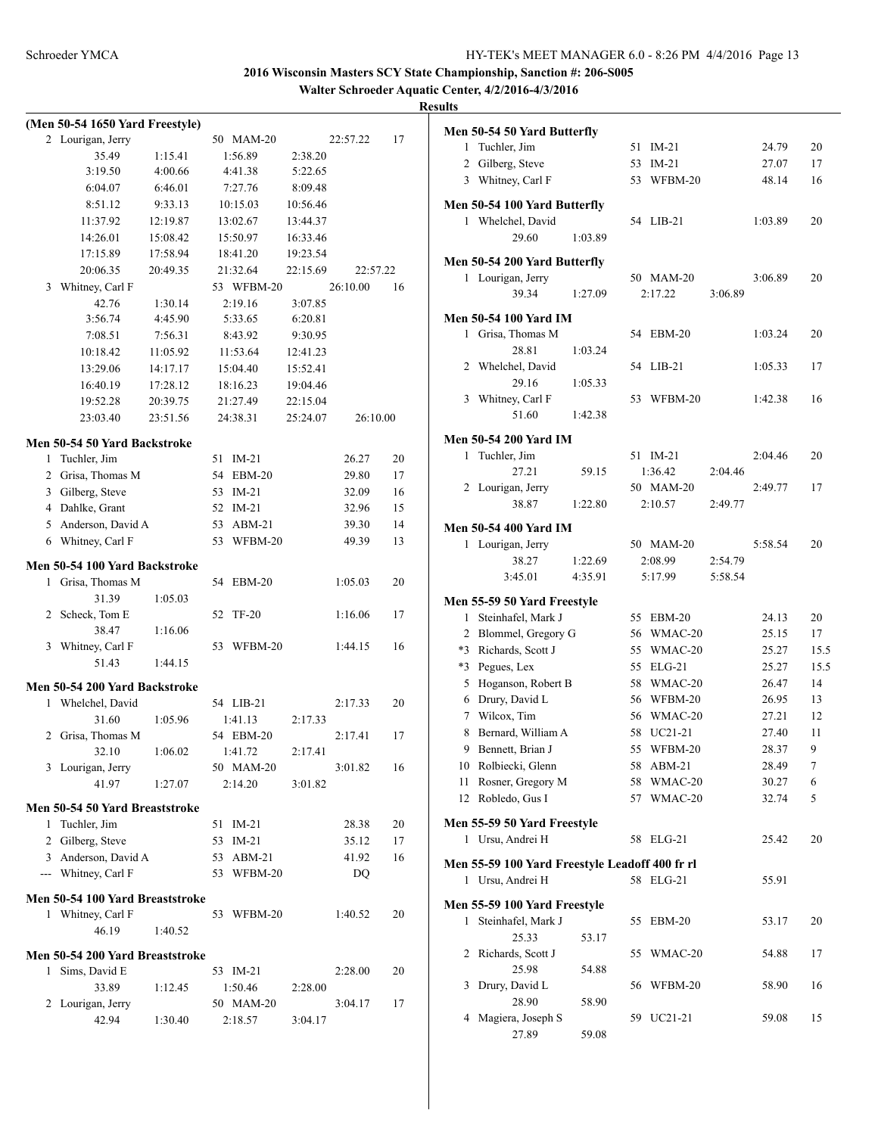**Walter Schroeder Aquatic Center, 4/2/2016-4/3/2016**

|   | (Men 50-54 1650 Yard Freestyle) |          |    |              |          |          |    |
|---|---------------------------------|----------|----|--------------|----------|----------|----|
|   | 2 Lourigan, Jerry               |          |    | 50 MAM-20    |          | 22:57.22 | 17 |
|   | 35.49                           | 1:15.41  |    | 1:56.89      | 2:38.20  |          |    |
|   | 3:19.50                         | 4:00.66  |    | 4:41.38      | 5:22.65  |          |    |
|   | 6:04.07                         | 6:46.01  |    | 7:27.76      | 8:09.48  |          |    |
|   | 8:51.12                         | 9:33.13  |    | 10:15.03     | 10:56.46 |          |    |
|   | 11:37.92                        | 12:19.87 |    | 13:02.67     | 13:44.37 |          |    |
|   | 14:26.01                        | 15:08.42 |    | 15:50.97     | 16:33.46 |          |    |
|   | 17:15.89                        | 17:58.94 |    | 18:41.20     | 19:23.54 |          |    |
|   | 20:06.35                        | 20:49.35 |    | 21:32.64     | 22:15.69 | 22:57.22 |    |
| 3 | Whitney, Carl F                 |          |    | 53 WFBM-20   |          | 26:10.00 | 16 |
|   | 42.76                           | 1:30.14  |    | 2:19.16      | 3:07.85  |          |    |
|   | 3:56.74                         | 4:45.90  |    | 5:33.65      | 6:20.81  |          |    |
|   | 7:08.51                         | 7:56.31  |    | 8:43.92      | 9:30.95  |          |    |
|   | 10:18.42                        | 11:05.92 |    | 11:53.64     | 12:41.23 |          |    |
|   | 13:29.06                        | 14:17.17 |    | 15:04.40     | 15:52.41 |          |    |
|   | 16:40.19                        | 17:28.12 |    | 18:16.23     | 19:04.46 |          |    |
|   | 19:52.28                        | 20:39.75 |    | 21:27.49     | 22:15.04 |          |    |
|   | 23:03.40                        | 23:51.56 |    | 24:38.31     | 25:24.07 | 26:10.00 |    |
|   |                                 |          |    |              |          |          |    |
|   | Men 50-54 50 Yard Backstroke    |          |    |              |          |          |    |
| 1 | Tuchler, Jim                    |          | 51 | IM-21        |          | 26.27    | 20 |
|   | 2 Grisa, Thomas M               |          |    | 54 EBM-20    |          | 29.80    | 17 |
|   | 3 Gilberg, Steve                |          |    | 53 IM-21     |          | 32.09    | 16 |
|   | 4 Dahlke, Grant                 |          |    | 52 IM-21     |          | 32.96    | 15 |
|   | 5 Anderson, David A             |          |    | 53 ABM-21    |          | 39.30    | 14 |
| 6 | Whitney, Carl F                 |          | 53 | WFBM-20      |          | 49.39    | 13 |
|   | Men 50-54 100 Yard Backstroke   |          |    |              |          |          |    |
| 1 | Grisa, Thomas M                 |          | 54 | $EBM-20$     |          | 1:05.03  | 20 |
|   | 31.39                           | 1:05.03  |    |              |          |          |    |
| 2 | Scheck, Tom E                   |          | 52 | <b>TF-20</b> |          | 1:16.06  | 17 |
|   | 38.47                           | 1:16.06  |    |              |          |          |    |
| 3 | Whitney, Carl F                 |          | 53 | WFBM-20      |          | 1:44.15  | 16 |
|   | 51.43                           | 1:44.15  |    |              |          |          |    |
|   |                                 |          |    |              |          |          |    |
|   | Men 50-54 200 Yard Backstroke   |          |    |              |          |          |    |
|   | 1 Whelchel, David               |          |    | 54 LIB-21    |          | 2:17.33  | 20 |
|   | 31.60                           | 1:05.96  |    | 1:41.13      | 2:17.33  |          |    |
| 2 | Grisa, Thomas M                 |          |    | 54 EBM-20    |          | 2:17.41  | 17 |
|   | 32.10                           | 1:06.02  |    | 1:41.72      | 2:17.41  |          |    |
|   | 3 Lourigan, Jerry               |          |    | 50 MAM-20    |          | 3:01.82  | 16 |
|   | 41.97                           | 1:27.07  |    | 2:14.20      | 3:01.82  |          |    |
|   | Men 50-54 50 Yard Breaststroke  |          |    |              |          |          |    |
|   | 1 Tuchler, Jim                  |          |    | 51 IM-21     |          | 28.38    | 20 |
|   | 2 Gilberg, Steve                |          |    | 53 IM-21     |          | 35.12    | 17 |
|   | 3 Anderson, David A             |          |    | 53 ABM-21    |          | 41.92    | 16 |
|   | --- Whitney, Carl F             |          |    | 53 WFBM-20   |          | DQ       |    |
|   |                                 |          |    |              |          |          |    |
|   | Men 50-54 100 Yard Breaststroke |          |    |              |          |          |    |
|   | 1 Whitney, Carl F               |          | 53 | WFBM-20      |          | 1:40.52  | 20 |
|   | 46.19                           | 1:40.52  |    |              |          |          |    |
|   | Men 50-54 200 Yard Breaststroke |          |    |              |          |          |    |
| 1 | Sims, David E                   |          |    | 53 IM-21     |          | 2:28.00  | 20 |
|   | 33.89                           | 1:12.45  |    | 1:50.46      | 2:28.00  |          |    |
| 2 | Lourigan, Jerry                 |          |    | 50 MAM-20    |          | 3:04.17  | 17 |
|   | 42.94                           | 1:30.40  |    | 2:18.57      | 3:04.17  |          |    |

|              | Men 50-54 50 Yard Butterfly                                        |         |    |            |         |         |                |
|--------------|--------------------------------------------------------------------|---------|----|------------|---------|---------|----------------|
| 1            | Tuchler, Jim                                                       |         | 51 | $IM-21$    |         | 24.79   | 20             |
|              | 2 Gilberg, Steve                                                   |         | 53 | $IM-21$    |         | 27.07   | 17             |
|              | 3 Whitney, Carl F                                                  |         | 53 | WFBM-20    |         | 48.14   | 16             |
|              | Men 50-54 100 Yard Butterfly                                       |         |    |            |         |         |                |
|              | 1 Whelchel, David                                                  |         |    | 54 LIB-21  |         | 1:03.89 | 20             |
|              | 29.60                                                              | 1:03.89 |    |            |         |         |                |
|              | Men 50-54 200 Yard Butterfly                                       |         |    |            |         |         |                |
|              | 1 Lourigan, Jerry                                                  |         |    | 50 MAM-20  |         | 3:06.89 | 20             |
|              | 39.34                                                              | 1:27.09 |    | 2:17.22    | 3:06.89 |         |                |
|              |                                                                    |         |    |            |         |         |                |
|              | <b>Men 50-54 100 Yard IM</b>                                       |         |    |            |         |         |                |
|              | 1 Grisa, Thomas M<br>28.81                                         |         |    | 54 EBM-20  |         | 1:03.24 | 20             |
|              | 2 Whelchel, David                                                  | 1:03.24 | 54 | $LIB-21$   |         | 1:05.33 | 17             |
|              | 29.16                                                              | 1:05.33 |    |            |         |         |                |
|              | 3 Whitney, Carl F                                                  |         | 53 | WFBM-20    |         | 1:42.38 | 16             |
|              | 51.60                                                              | 1:42.38 |    |            |         |         |                |
|              |                                                                    |         |    |            |         |         |                |
|              | <b>Men 50-54 200 Yard IM</b>                                       |         |    |            |         |         |                |
| $\mathbf{1}$ | Tuchler, Jim                                                       |         |    | 51 IM-21   |         | 2:04.46 | 20             |
|              | 27.21                                                              | 59.15   |    | 1:36.42    | 2:04.46 |         |                |
|              | 2 Lourigan, Jerry                                                  |         |    | 50 MAM-20  |         | 2:49.77 | 17             |
|              | 38.87                                                              | 1:22.80 |    | 2:10.57    | 2:49.77 |         |                |
|              | <b>Men 50-54 400 Yard IM</b>                                       |         |    |            |         |         |                |
|              | 1 Lourigan, Jerry                                                  |         |    | 50 MAM-20  |         | 5:58.54 | 20             |
|              | 38.27                                                              | 1:22.69 |    | 2:08.99    | 2:54.79 |         |                |
|              | 3:45.01                                                            | 4:35.91 |    | 5:17.99    | 5:58.54 |         |                |
|              | Men 55-59 50 Yard Freestyle                                        |         |    |            |         |         |                |
| 1            | Steinhafel, Mark J                                                 |         | 55 | $EBM-20$   |         | 24.13   | 20             |
|              | 2 Blommel, Gregory G                                               |         | 56 | WMAC-20    |         | 25.15   | 17             |
| $*3$         | Richards, Scott J                                                  |         | 55 | WMAC-20    |         | 25.27   | 15.5           |
|              | *3 Pegues, Lex                                                     |         | 55 | $ELG-21$   |         | 25.27   | 15.5           |
| 5            | Hoganson, Robert B                                                 |         |    | 58 WMAC-20 |         | 26.47   | 14             |
|              | 6 Drury, David L                                                   |         |    | 56 WFBM-20 |         | 26.95   | 13             |
|              | 7 Wilcox, Tim                                                      |         |    | 56 WMAC-20 |         | 27.21   | 12             |
| 8            | Bernard, William A                                                 |         |    | 58 UC21-21 |         | 27.40   | 11             |
|              | 9 Bennett, Brian J                                                 |         |    | 55 WFBM-20 |         | 28.37   | 9              |
|              | 10 Rolbiecki, Glenn                                                |         |    | 58 ABM-21  |         | 28.49   | 7 <sup>7</sup> |
| 11           | Rosner, Gregory M                                                  |         |    | 58 WMAC-20 |         | 30.27   | 6              |
| 12           | Robledo, Gus I                                                     |         | 57 | WMAC-20    |         | 32.74   | 5              |
|              | Men 55-59 50 Yard Freestyle                                        |         |    |            |         |         |                |
|              | 1 Ursu, Andrei H                                                   |         | 58 | $ELG-21$   |         | 25.42   | 20             |
|              |                                                                    |         |    |            |         |         |                |
|              | Men 55-59 100 Yard Freestyle Leadoff 400 fr rl<br>1 Ursu, Andrei H |         |    | 58 ELG-21  |         | 55.91   |                |
|              |                                                                    |         |    |            |         |         |                |
|              | Men 55-59 100 Yard Freestyle                                       |         |    |            |         |         |                |
| 1            | Steinhafel, Mark J                                                 |         | 55 | EBM-20     |         | 53.17   | 20             |
|              | 25.33                                                              | 53.17   |    |            |         |         |                |
| 2            | Richards, Scott J                                                  |         | 55 | WMAC-20    |         | 54.88   | 17             |
|              | 25.98                                                              | 54.88   |    |            |         |         |                |
| 3            | Drury, David L                                                     |         | 56 | WFBM-20    |         | 58.90   | 16             |
|              | 28.90                                                              | 58.90   |    |            |         |         |                |
| 4            | Magiera, Joseph S                                                  |         | 59 | UC21-21    |         | 59.08   | 15             |
|              | 27.89                                                              | 59.08   |    |            |         |         |                |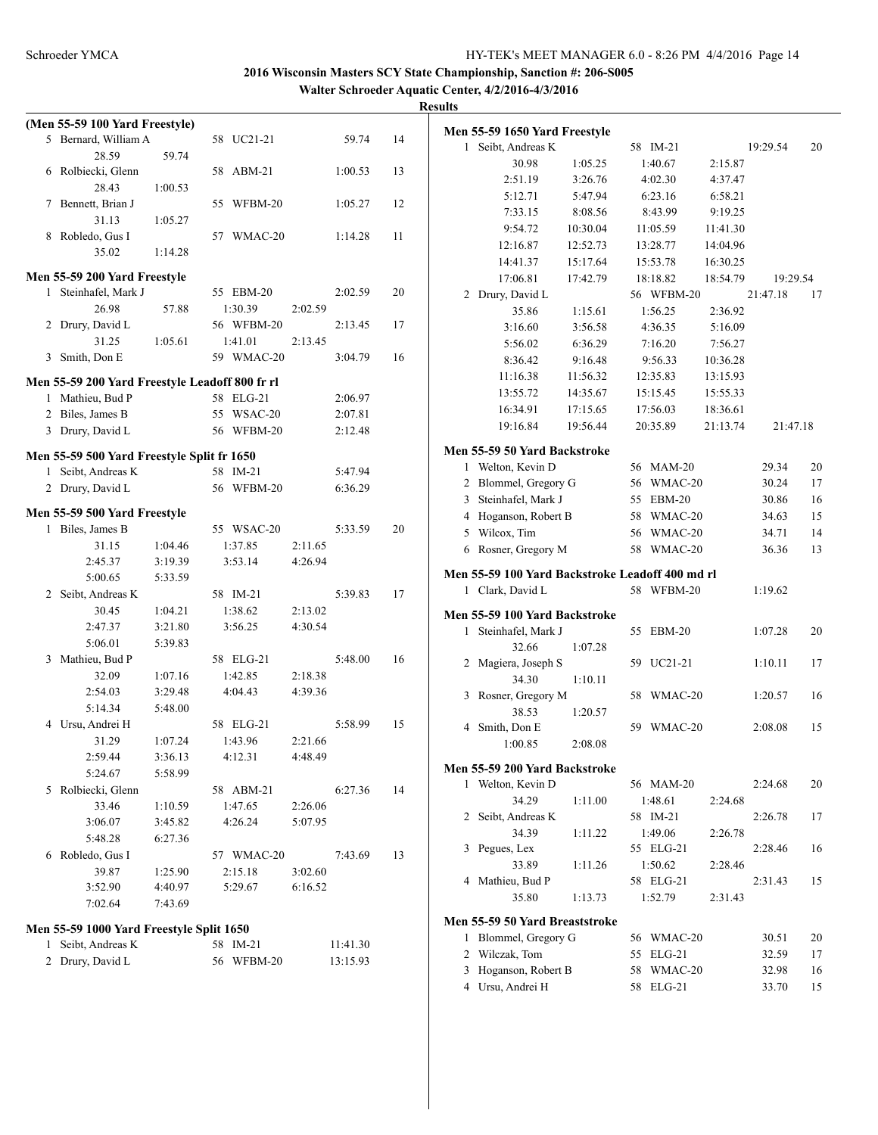**Walter Schroeder Aquatic Center, 4/2/2016-4/3/2016**

|              | (Men 55-59 100 Yard Freestyle)                 |         |                |          |    |
|--------------|------------------------------------------------|---------|----------------|----------|----|
|              | 5 Bernard, William A                           |         | 58 UC21-21     | 59.74    | 14 |
|              | 28.59                                          | 59.74   |                |          |    |
| 6            | Rolbiecki, Glenn                               |         | $ABM-21$<br>58 | 1:00.53  | 13 |
|              | 28.43                                          | 1:00.53 |                |          |    |
| 7            | Bennett, Brian J                               |         | WFBM-20<br>55  | 1:05.27  | 12 |
|              | 31.13                                          | 1:05.27 |                |          |    |
| 8            | Robledo, Gus I                                 |         | 57<br>WMAC-20  | 1:14.28  | 11 |
|              | 35.02                                          | 1:14.28 |                |          |    |
|              |                                                |         |                |          |    |
|              | Men 55-59 200 Yard Freestyle                   |         |                |          |    |
|              | 1 Steinhafel, Mark J                           |         | 55 EBM-20      | 2:02.59  | 20 |
|              | 26.98                                          | 57.88   | 1:30.39        | 2:02.59  |    |
| 2            | Drury, David L                                 |         | 56 WFBM-20     | 2:13.45  | 17 |
|              | 31.25                                          | 1:05.61 | 1:41.01        | 2:13.45  |    |
| 3            | Smith, Don E                                   |         | 59 WMAC-20     | 3:04.79  | 16 |
|              | Men 55-59 200 Yard Freestyle Leadoff 800 fr rl |         |                |          |    |
|              | 1 Mathieu, Bud P                               |         | 58 ELG-21      | 2:06.97  |    |
|              | 2 Biles, James B                               |         | 55 WSAC-20     | 2:07.81  |    |
|              | 3 Drury, David L                               |         | 56 WFBM-20     | 2:12.48  |    |
|              |                                                |         |                |          |    |
|              | Men 55-59 500 Yard Freestyle Split fr 1650     |         |                |          |    |
| 1            | Seibt, Andreas K                               |         | 58 IM-21       | 5:47.94  |    |
|              | 2 Drury, David L                               |         | 56 WFBM-20     | 6:36.29  |    |
|              | Men 55-59 500 Yard Freestyle                   |         |                |          |    |
|              | 1 Biles, James B                               |         | 55 WSAC-20     | 5:33.59  | 20 |
|              | 31.15                                          | 1:04.46 | 1:37.85        | 2:11.65  |    |
|              | 2:45.37                                        | 3:19.39 | 3:53.14        | 4:26.94  |    |
|              | 5:00.65                                        | 5:33.59 |                |          |    |
|              | 2 Seibt, Andreas K                             |         | 58 IM-21       | 5:39.83  | 17 |
|              | 30.45                                          | 1:04.21 | 1:38.62        | 2:13.02  |    |
|              | 2:47.37                                        | 3:21.80 | 3:56.25        | 4:30.54  |    |
|              | 5:06.01                                        | 5:39.83 |                |          |    |
| 3            | Mathieu, Bud P                                 |         | 58 ELG-21      | 5:48.00  | 16 |
|              | 32.09                                          | 1:07.16 | 1:42.85        | 2:18.38  |    |
|              | 2:54.03                                        | 3:29.48 | 4:04.43        | 4:39.36  |    |
|              | 5:14.34                                        | 5:48.00 |                |          |    |
| 4            | Ursu, Andrei H                                 |         | 58 ELG-21      | 5:58.99  | 15 |
|              | 31.29                                          | 1:07.24 | 1:43.96        | 2:21.66  |    |
|              | 2:59.44                                        | 3:36.13 | 4:12.31        | 4:48.49  |    |
|              | 5:24.67                                        | 5:58.99 |                |          |    |
|              | 5 Rolbiecki, Glenn                             |         | 58 ABM-21      | 6:27.36  | 14 |
|              | 33.46                                          | 1:10.59 | 1:47.65        | 2:26.06  |    |
|              | 3:06.07                                        | 3:45.82 | 4:26.24        | 5:07.95  |    |
|              | 5:48.28                                        | 6:27.36 |                |          |    |
| 6            | Robledo, Gus I                                 |         | 57 WMAC-20     | 7:43.69  | 13 |
|              | 39.87                                          | 1:25.90 | 2:15.18        | 3:02.60  |    |
|              | 3:52.90                                        | 4:40.97 | 5:29.67        | 6:16.52  |    |
|              |                                                |         |                |          |    |
|              | 7:02.64                                        | 7:43.69 |                |          |    |
|              | Men 55-59 1000 Yard Freestyle Split 1650       |         |                |          |    |
| 1            | Seibt, Andreas K                               |         | 58 IM-21       | 11:41.30 |    |
| $\mathbf{2}$ | Drury, David L                                 |         | 56 WFBM-20     | 13:15.93 |    |

|              | Men 55-59 1650 Yard Freestyle                    |          |    |                      |          |                |          |
|--------------|--------------------------------------------------|----------|----|----------------------|----------|----------------|----------|
| $\mathbf{1}$ | Seibt, Andreas K                                 |          |    | 58 IM-21             |          | 19:29.54       | 20       |
|              | 30.98                                            | 1:05.25  |    | 1:40.67              | 2:15.87  |                |          |
|              | 2:51.19                                          | 3:26.76  |    | 4:02.30              | 4:37.47  |                |          |
|              | 5:12.71                                          | 5:47.94  |    | 6:23.16              | 6:58.21  |                |          |
|              | 7:33.15                                          | 8:08.56  |    | 8:43.99              | 9:19.25  |                |          |
|              | 9:54.72                                          | 10:30.04 |    | 11:05.59             | 11:41.30 |                |          |
|              | 12:16.87                                         | 12:52.73 |    | 13:28.77             | 14:04.96 |                |          |
|              | 14:41.37                                         | 15:17.64 |    | 15:53.78             | 16:30.25 |                |          |
|              | 17:06.81                                         | 17:42.79 |    | 18:18.82             | 18:54.79 |                | 19:29.54 |
| 2            | Drury, David L                                   |          |    | 56 WFBM-20           |          | 21:47.18       | 17       |
|              | 35.86                                            | 1:15.61  |    | 1:56.25              | 2:36.92  |                |          |
|              | 3:16.60                                          | 3:56.58  |    | 4:36.35              | 5:16.09  |                |          |
|              | 5:56.02                                          | 6:36.29  |    | 7:16.20              | 7:56.27  |                |          |
|              | 8:36.42                                          | 9:16.48  |    | 9:56.33              | 10:36.28 |                |          |
|              | 11:16.38                                         | 11:56.32 |    | 12:35.83             | 13:15.93 |                |          |
|              | 13:55.72                                         | 14:35.67 |    | 15:15.45             | 15:55.33 |                |          |
|              | 16:34.91                                         | 17:15.65 |    | 17:56.03             | 18:36.61 |                |          |
|              | 19:16.84                                         | 19:56.44 |    | 20:35.89             | 21:13.74 |                | 21:47.18 |
|              | Men 55-59 50 Yard Backstroke                     |          |    |                      |          |                |          |
|              | 1 Welton, Kevin D                                |          |    | 56 MAM-20            |          | 29.34          | 20       |
|              | 2 Blommel, Gregory G                             |          |    | 56 WMAC-20           |          | 30.24          | 17       |
| 3            | Steinhafel, Mark J                               |          |    | 55 EBM-20            |          | 30.86          | 16       |
|              | 4 Hoganson, Robert B                             |          |    | 58 WMAC-20           |          | 34.63          | 15       |
| 5            | Wilcox, Tim                                      |          |    | 56 WMAC-20           |          | 34.71          | 14       |
|              | 6 Rosner, Gregory M                              |          |    | 58 WMAC-20           |          | 36.36          | 13       |
|              |                                                  |          |    |                      |          |                |          |
|              | Men 55-59 100 Yard Backstroke Leadoff 400 md rl  |          |    |                      |          |                |          |
|              |                                                  |          |    |                      |          |                |          |
|              | 1 Clark, David L                                 |          |    | 58 WFBM-20           |          | 1:19.62        |          |
|              | Men 55-59 100 Yard Backstroke                    |          |    |                      |          |                |          |
| 1            | Steinhafel, Mark J                               |          |    | 55 EBM-20            |          | 1:07.28        | 20       |
|              | 32.66                                            | 1:07.28  |    |                      |          |                |          |
| 2            | Magiera, Joseph S                                |          |    | 59 UC21-21           |          | 1:10.11        | 17       |
|              | 34.30                                            | 1:10.11  |    |                      |          |                |          |
| 3            | Rosner, Gregory M                                |          | 58 | WMAC-20              |          | 1:20.57        | 16       |
|              | 38.53                                            | 1:20.57  |    |                      |          |                |          |
|              | 4 Smith, Don E                                   |          |    | 59 WMAC-20           |          | 2:08.08        | 15       |
|              | 1:00.85                                          | 2:08.08  |    |                      |          |                |          |
|              |                                                  |          |    |                      |          |                |          |
| 1            | Men 55-59 200 Yard Backstroke<br>Welton, Kevin D |          |    | 56 MAM-20            |          | 2:24.68        | 20       |
|              | 34.29                                            | 1:11.00  |    | 1:48.61              | 2:24.68  |                |          |
| 2            | Seibt, Andreas K                                 |          |    | 58 IM-21             |          | 2:26.78        | 17       |
|              | 34.39                                            | 1:11.22  |    | 1:49.06              | 2:26.78  |                |          |
| 3            | Pegues, Lex                                      |          |    | 55 ELG-21            |          | 2:28.46        | 16       |
|              | 33.89                                            | 1:11.26  |    | 1:50.62              | 2:28.46  |                |          |
| 4            | Mathieu, Bud P                                   |          |    | 58 ELG-21            |          | 2:31.43        | 15       |
|              | 35.80                                            | 1:13.73  |    | 1:52.79              | 2:31.43  |                |          |
|              |                                                  |          |    |                      |          |                |          |
|              | Men 55-59 50 Yard Breaststroke                   |          |    |                      |          |                |          |
| 1            | Blommel, Gregory G                               |          | 56 | WMAC-20              |          | 30.51          | 20       |
| 2            | Wilczak, Tom                                     |          | 55 | $ELG-21$             |          | 32.59          | 17       |
| 3            | Hoganson, Robert B<br>4 Ursu, Andrei H           |          | 58 | WMAC-20<br>58 ELG-21 |          | 32.98<br>33.70 | 16<br>15 |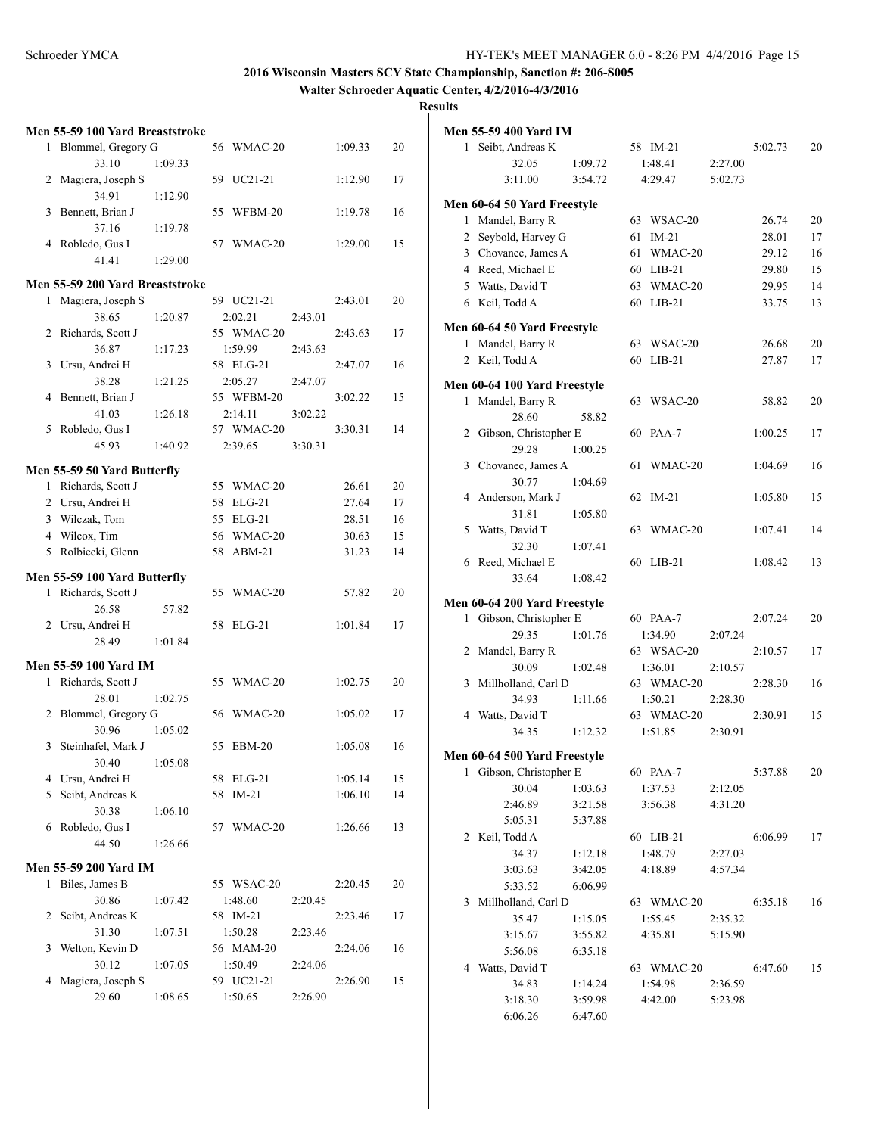**Walter Schroeder Aquatic Center, 4/2/2016-4/3/2016**

|              | Men 55-59 100 Yard Breaststroke |         |                       |         |         |    |
|--------------|---------------------------------|---------|-----------------------|---------|---------|----|
| 1            | Blommel, Gregory G              |         | 56 WMAC-20            |         | 1:09.33 | 20 |
|              | 33.10                           | 1:09.33 |                       |         |         |    |
| 2            | Magiera, Joseph S               |         | UC21-21<br>59         |         | 1:12.90 | 17 |
|              | 34.91                           | 1:12.90 |                       |         |         |    |
| 3            | Bennett, Brian J                |         | 55<br>WFBM-20         |         | 1:19.78 | 16 |
|              | 37.16                           | 1:19.78 |                       |         |         |    |
| 4            | Robledo, Gus I                  |         | WMAC-20<br>57         |         | 1:29.00 | 15 |
|              | 41.41                           | 1:29.00 |                       |         |         |    |
|              |                                 |         |                       |         |         |    |
|              | Men 55-59 200 Yard Breaststroke |         |                       |         |         |    |
| 1            | Magiera, Joseph S               |         | 59 UC21-21            |         | 2:43.01 | 20 |
|              | 38.65                           | 1:20.87 | 2:02.21               | 2:43.01 |         |    |
| 2            | Richards, Scott J               |         | 55 WMAC-20            |         | 2:43.63 | 17 |
|              | 36.87                           | 1:17.23 | 1:59.99               | 2:43.63 |         |    |
| 3            | Ursu, Andrei H                  |         | 58 ELG-21             |         | 2:47.07 | 16 |
|              | 38.28                           | 1:21.25 | 2:05.27               | 2:47.07 |         |    |
| 4            | Bennett, Brian J                |         | 55 WFBM-20            |         | 3:02.22 | 15 |
|              | 41.03                           | 1:26.18 | 2:14.11               | 3:02.22 |         |    |
| 5            | Robledo, Gus I                  |         | 57 WMAC-20            |         | 3:30.31 | 14 |
|              | 45.93                           | 1:40.92 | 2:39.65               | 3:30.31 |         |    |
|              |                                 |         |                       |         |         |    |
|              | Men 55-59 50 Yard Butterfly     |         |                       |         |         |    |
|              | 1 Richards, Scott J             |         | 55<br>WMAC-20         |         | 26.61   | 20 |
|              | 2 Ursu, Andrei H                |         | 58<br>$ELG-21$        |         | 27.64   | 17 |
|              | 3 Wilczak, Tom                  |         | 55 ELG-21             |         | 28.51   | 16 |
|              | 4 Wilcox, Tim                   |         | 56 WMAC-20            |         | 30.63   | 15 |
|              | 5 Rolbiecki, Glenn              |         | 58<br>$ABM-21$        |         | 31.23   | 14 |
|              |                                 |         |                       |         |         |    |
|              |                                 |         |                       |         |         |    |
|              | Men 55-59 100 Yard Butterfly    |         |                       |         |         |    |
| 1            | Richards, Scott J               |         | 55<br>WMAC-20         |         | 57.82   | 20 |
|              | 26.58                           | 57.82   |                       |         |         |    |
|              | 2 Ursu, Andrei H                |         | 58<br>$ELG-21$        |         | 1:01.84 | 17 |
|              | 28.49                           | 1:01.84 |                       |         |         |    |
|              |                                 |         |                       |         |         |    |
|              | Men 55-59 100 Yard IM           |         |                       |         |         |    |
| $\mathbf{1}$ | Richards, Scott J               |         | 55 WMAC-20            |         | 1:02.75 | 20 |
|              | 28.01                           | 1:02.75 |                       |         |         |    |
| 2            | Blommel, Gregory G              |         | 56 WMAC-20            |         | 1:05.02 | 17 |
|              | 30.96                           | 1:05.02 |                       |         |         |    |
| 3            | Steinhafel, Mark J              |         | 55<br>$EBM-20$        |         | 1:05.08 | 16 |
|              |                                 |         |                       |         |         |    |
|              | 30.40                           | 1:05.08 |                       |         |         |    |
|              | 4 Ursu, Andrei H                |         | 58 ELG-21             |         | 1:05.14 | 15 |
| 5            | Seibt, Andreas K                |         | $IM-21$<br>58         |         | 1:06.10 | 14 |
|              | 30.38                           | 1:06.10 |                       |         |         |    |
| 6            | Robledo, Gus I                  |         | WMAC-20<br>57         |         | 1:26.66 | 13 |
|              | 44.50                           | 1:26.66 |                       |         |         |    |
|              | <b>Men 55-59 200 Yard IM</b>    |         |                       |         |         |    |
| 1            | Biles, James B                  |         | 55 WSAC-20            |         | 2:20.45 | 20 |
|              | 30.86                           | 1:07.42 | 1:48.60               | 2:20.45 |         |    |
|              |                                 |         |                       |         |         |    |
| 2            | Seibt, Andreas K                |         | 58 IM-21              |         | 2:23.46 | 17 |
|              | 31.30                           | 1:07.51 | 1:50.28               | 2:23.46 |         |    |
| 3            | Welton, Kevin D                 |         | 56 MAM-20             |         | 2:24.06 | 16 |
|              | 30.12                           | 1:07.05 | 1:50.49               | 2:24.06 |         |    |
| 4            | Magiera, Joseph S<br>29.60      | 1:08.65 | 59 UC21-21<br>1:50.65 | 2:26.90 | 2:26.90 | 15 |

|   | <b>Men 55-59 400 Yard IM</b> |         |     |            |         |         |    |
|---|------------------------------|---------|-----|------------|---------|---------|----|
|   | 1 Seibt, Andreas K           |         |     | 58 IM-21   |         | 5:02.73 | 20 |
|   | 32.05                        | 1:09.72 |     | 1:48.41    | 2:27.00 |         |    |
|   | 3:11.00                      | 3:54.72 |     | 4:29.47    | 5:02.73 |         |    |
|   | Men 60-64 50 Yard Freestyle  |         |     |            |         |         |    |
| 1 | Mandel, Barry R              |         |     | 63 WSAC-20 |         | 26.74   | 20 |
|   | 2 Seybold, Harvey G          |         |     | 61 IM-21   |         | 28.01   | 17 |
|   | 3 Chovanec, James A          |         |     | 61 WMAC-20 |         | 29.12   | 16 |
|   | 4 Reed, Michael E            |         |     | 60 LIB-21  |         | 29.80   | 15 |
|   | 5 Watts, David T             |         |     | 63 WMAC-20 |         | 29.95   | 14 |
|   | 6 Keil, Todd A               |         |     | 60 LIB-21  |         | 33.75   | 13 |
|   | Men 60-64 50 Yard Freestyle  |         |     |            |         |         |    |
|   | 1 Mandel, Barry R            |         |     | 63 WSAC-20 |         | 26.68   | 20 |
|   | 2 Keil, Todd A               |         |     | 60 LIB-21  |         | 27.87   | 17 |
|   | Men 60-64 100 Yard Freestyle |         |     |            |         |         |    |
| 1 | Mandel, Barry R              |         | 63. | WSAC-20    |         | 58.82   | 20 |
|   | 28.60                        | 58.82   |     |            |         |         |    |
|   | 2 Gibson, Christopher E      |         |     | 60 PAA-7   |         | 1:00.25 | 17 |
|   | 29.28                        | 1:00.25 |     |            |         |         |    |
|   | 3 Chovanec, James A          |         | 61  | WMAC-20    |         | 1:04.69 | 16 |
|   | 30.77                        | 1:04.69 |     |            |         |         |    |
|   | 4 Anderson, Mark J           |         | 62  | $IM-21$    |         | 1:05.80 | 15 |
|   | 31.81                        | 1:05.80 |     |            |         |         |    |
|   | 5 Watts, David T             |         | 63  | WMAC-20    |         | 1:07.41 | 14 |
|   | 32.30                        | 1:07.41 |     |            |         |         |    |
|   | 6 Reed, Michael E            |         |     | 60 LIB-21  |         | 1:08.42 | 13 |
|   | 33.64                        | 1:08.42 |     |            |         |         |    |
|   | Men 60-64 200 Yard Freestyle |         |     |            |         |         |    |
|   | 1 Gibson, Christopher E      |         |     | 60 PAA-7   |         | 2:07.24 | 20 |
|   | 29.35                        | 1:01.76 |     | 1:34.90    | 2:07.24 |         |    |
|   | 2 Mandel, Barry R            |         |     | 63 WSAC-20 |         | 2:10.57 | 17 |
|   | 30.09                        | 1:02.48 |     | 1:36.01    | 2:10.57 |         |    |
| 3 | Millholland, Carl D          |         |     | 63 WMAC-20 |         | 2:28.30 | 16 |
|   | 34.93                        | 1:11.66 |     | 1:50.21    | 2:28.30 |         |    |
|   | 4 Watts, David T             |         |     | 63 WMAC-20 |         | 2:30.91 | 15 |
|   | 34.35                        | 1:12.32 |     | 1:51.85    | 2:30.91 |         |    |
|   | Men 60-64 500 Yard Freestyle |         |     |            |         |         |    |
|   | 1 Gibson, Christopher E      |         |     | 60 PAA-7   |         | 5:37.88 | 20 |
|   | 30.04                        | 1:03.63 |     | 1:37.53    | 2:12.05 |         |    |
|   | 2:46.89                      | 3:21.58 |     | 3:56.38    | 4:31.20 |         |    |
|   | 5:05.31                      | 5:37.88 |     |            |         |         |    |
|   | 2 Keil, Todd A               |         |     | 60 LIB-21  |         | 6:06.99 | 17 |
|   | 34.37                        | 1:12.18 |     | 1:48.79    | 2:27.03 |         |    |
|   | 3:03.63                      | 3:42.05 |     | 4:18.89    | 4:57.34 |         |    |
|   | 5:33.52                      | 6:06.99 |     |            |         |         |    |
|   | 3 Millholland, Carl D        |         |     | 63 WMAC-20 |         | 6:35.18 | 16 |
|   | 35.47                        | 1:15.05 |     | 1:55.45    | 2:35.32 |         |    |
|   | 3:15.67                      | 3:55.82 |     | 4:35.81    | 5:15.90 |         |    |
|   | 5:56.08                      | 6:35.18 |     |            |         |         |    |
|   | 4 Watts, David T             |         |     | 63 WMAC-20 |         | 6:47.60 | 15 |
|   | 34.83                        | 1:14.24 |     | 1:54.98    | 2:36.59 |         |    |
|   | 3:18.30                      | 3:59.98 |     | 4:42.00    | 5:23.98 |         |    |
|   | 6:06.26                      | 6:47.60 |     |            |         |         |    |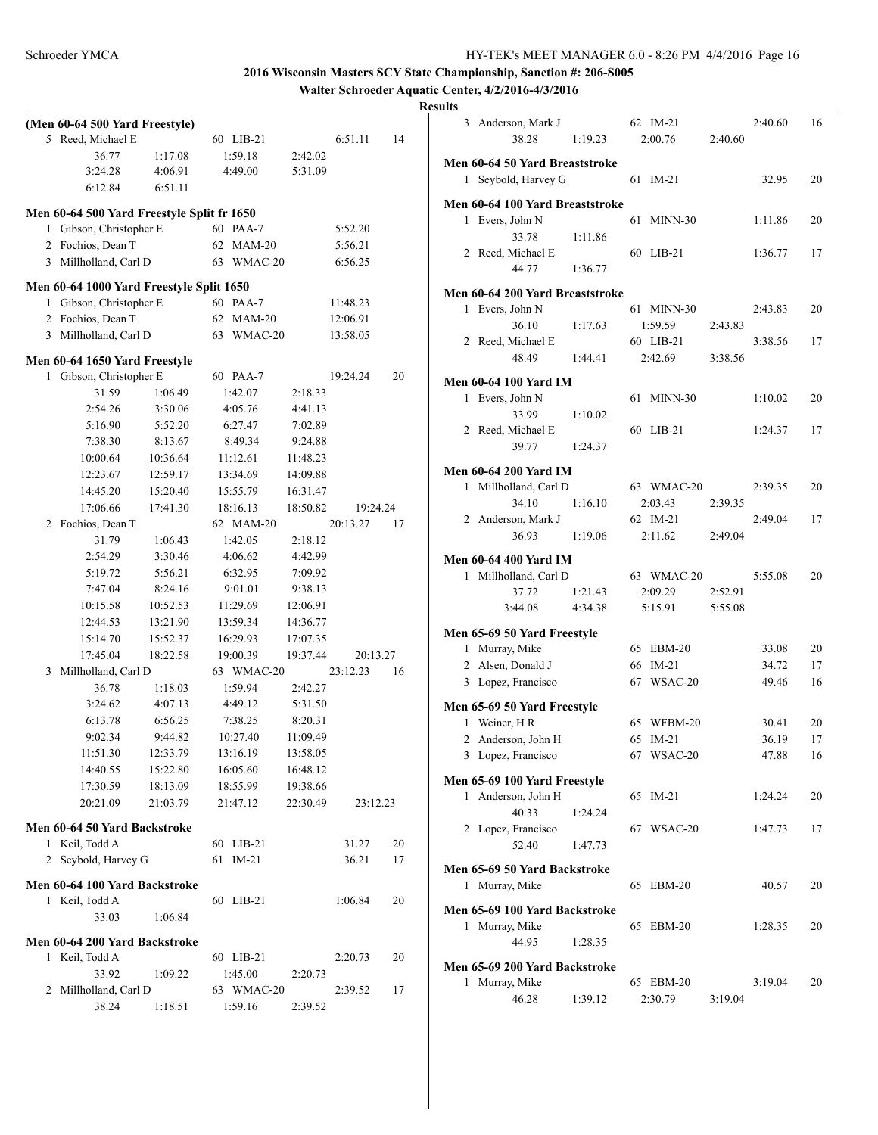**Walter Schroeder Aquatic Center, 4/2/2016-4/3/2016**

|                | (Men 60-64 500 Yard Freestyle)             |          |    |            |          |          |    |
|----------------|--------------------------------------------|----------|----|------------|----------|----------|----|
| 5              | Reed, Michael E                            |          |    | 60 LIB-21  |          | 6:51.11  | 14 |
|                | 36.77                                      | 1:17.08  |    | 1:59.18    | 2:42.02  |          |    |
|                | 3:24.28                                    | 4:06.91  |    | 4:49.00    | 5:31.09  |          |    |
|                | 6:12.84                                    | 6:51.11  |    |            |          |          |    |
|                | Men 60-64 500 Yard Freestyle Split fr 1650 |          |    |            |          |          |    |
| 1              | Gibson, Christopher E                      |          |    | 60 PAA-7   |          | 5:52.20  |    |
| $\overline{2}$ | Fochios, Dean T                            |          | 62 | $MAM-20$   |          | 5:56.21  |    |
|                | 3 Millholland, Carl D                      |          | 63 | WMAC-20    |          | 6:56.25  |    |
|                |                                            |          |    |            |          |          |    |
|                | Men 60-64 1000 Yard Freestyle Split 1650   |          |    |            |          |          |    |
| 1              | Gibson, Christopher E                      |          | 60 | PAA-7      |          | 11:48.23 |    |
| 2              | Fochios, Dean T                            |          | 62 | $MAM-20$   |          | 12:06.91 |    |
|                | 3 Millholland, Carl D                      |          | 63 | WMAC-20    |          | 13:58.05 |    |
|                | Men 60-64 1650 Yard Freestyle              |          |    |            |          |          |    |
| 1              | Gibson, Christopher E                      |          |    | 60 PAA-7   |          | 19:24.24 | 20 |
|                | 31.59                                      | 1:06.49  |    | 1:42.07    | 2:18.33  |          |    |
|                | 2:54.26                                    | 3:30.06  |    | 4:05.76    | 4:41.13  |          |    |
|                | 5:16.90                                    | 5:52.20  |    | 6:27.47    | 7:02.89  |          |    |
|                | 7:38.30                                    | 8:13.67  |    | 8:49.34    | 9:24.88  |          |    |
|                | 10:00.64                                   | 10:36.64 |    | 11:12.61   | 11:48.23 |          |    |
|                | 12:23.67                                   | 12:59.17 |    | 13:34.69   | 14:09.88 |          |    |
|                | 14:45.20                                   | 15:20.40 |    | 15:55.79   | 16:31.47 |          |    |
|                | 17:06.66                                   | 17:41.30 |    | 18:16.13   |          | 19:24.24 |    |
|                |                                            |          |    |            | 18:50.82 | 20:13.27 |    |
| 2              | Fochios, Dean T                            |          |    | 62 MAM-20  |          |          | 17 |
|                | 31.79                                      | 1:06.43  |    | 1:42.05    | 2:18.12  |          |    |
|                | 2:54.29                                    | 3:30.46  |    | 4:06.62    | 4:42.99  |          |    |
|                | 5:19.72                                    | 5:56.21  |    | 6:32.95    | 7:09.92  |          |    |
|                | 7:47.04                                    | 8:24.16  |    | 9:01.01    | 9:38.13  |          |    |
|                | 10:15.58                                   | 10:52.53 |    | 11:29.69   | 12:06.91 |          |    |
|                | 12:44.53                                   | 13:21.90 |    | 13:59.34   | 14:36.77 |          |    |
|                | 15:14.70                                   | 15:52.37 |    | 16:29.93   | 17:07.35 |          |    |
|                | 17:45.04                                   | 18:22.58 |    | 19:00.39   | 19:37.44 | 20:13.27 |    |
| 3              | Millholland, Carl D                        |          |    | 63 WMAC-20 |          | 23:12.23 | 16 |
|                | 36.78                                      | 1:18.03  |    | 1:59.94    | 2:42.27  |          |    |
|                | 3:24.62                                    | 4:07.13  |    | 4:49.12    | 5:31.50  |          |    |
|                | 6:13.78                                    | 6:56.25  |    | 7:38.25    | 8:20.31  |          |    |
|                | 9:02.34                                    | 9:44.82  |    | 10:27.40   | 11:09.49 |          |    |
|                | 11:51.30                                   | 12:33.79 |    | 13:16.19   | 13:58.05 |          |    |
|                | 14:40.55                                   | 15:22.80 |    | 16:05.60   | 16:48.12 |          |    |
|                | 17:30.59                                   | 18:13.09 |    | 18:55.99   | 19:38.66 |          |    |
|                | 20:21.09                                   | 21:03.79 |    | 21:47.12   | 22:30.49 | 23:12.23 |    |
|                | Men 60-64 50 Yard Backstroke               |          |    |            |          |          |    |
| 1              | Keil, Todd A                               |          | 60 | $LIB-21$   |          | 31.27    | 20 |
| 2              | Seybold, Harvey G                          |          | 61 | $IM-21$    |          | 36.21    | 17 |
|                |                                            |          |    |            |          |          |    |
|                | Men 60-64 100 Yard Backstroke              |          |    |            |          |          |    |
|                | 1 Keil, Todd A                             |          |    | 60 LIB-21  |          | 1:06.84  | 20 |
|                | 33.03                                      | 1:06.84  |    |            |          |          |    |
|                | Men 60-64 200 Yard Backstroke              |          |    |            |          |          |    |
|                | 1 Keil, Todd A                             |          |    | 60 LIB-21  |          | 2:20.73  | 20 |
|                | 33.92                                      | 1:09.22  |    | 1:45.00    | 2:20.73  |          |    |
| 2              | Millholland, Carl D                        |          |    | 63 WMAC-20 |          | 2:39.52  | 17 |
|                | 38.24                                      | 1:18.51  |    | 1:59.16    | 2:39.52  |          |    |

|              | 3 Anderson, Mark J                                  |         |    | 62 IM-21   |         | 2:40.60 | 16 |
|--------------|-----------------------------------------------------|---------|----|------------|---------|---------|----|
|              | 38.28                                               | 1:19.23 |    | 2:00.76    | 2:40.60 |         |    |
|              |                                                     |         |    |            |         |         |    |
| $\mathbf{1}$ | Men 60-64 50 Yard Breaststroke<br>Seybold, Harvey G |         | 61 | $IM-21$    |         | 32.95   | 20 |
|              |                                                     |         |    |            |         |         |    |
|              | Men 60-64 100 Yard Breaststroke                     |         |    |            |         |         |    |
| 1            | Evers, John N                                       |         | 61 | $MINN-30$  |         | 1:11.86 | 20 |
|              | 33.78                                               | 1:11.86 |    |            |         |         |    |
|              | 2 Reed, Michael E                                   |         |    | 60 LIB-21  |         | 1:36.77 | 17 |
|              | 44.77                                               | 1:36.77 |    |            |         |         |    |
|              | Men 60-64 200 Yard Breaststroke                     |         |    |            |         |         |    |
| 1            | Evers, John N                                       |         |    | 61 MINN-30 |         | 2:43.83 | 20 |
|              | 36.10                                               | 1:17.63 |    | 1:59.59    | 2:43.83 |         |    |
|              | 2 Reed, Michael E                                   |         |    | 60 LIB-21  |         | 3:38.56 | 17 |
|              | 48.49                                               | 1:44.41 |    | 2:42.69    | 3:38.56 |         |    |
|              |                                                     |         |    |            |         |         |    |
|              | <b>Men 60-64 100 Yard IM</b>                        |         |    |            |         |         |    |
|              | 1 Evers, John N                                     |         | 61 | $MINN-30$  |         | 1:10.02 | 20 |
|              | 33.99                                               | 1:10.02 |    |            |         |         |    |
|              | 2 Reed, Michael E                                   |         |    | 60 LIB-21  |         | 1:24.37 | 17 |
|              | 39.77                                               | 1:24.37 |    |            |         |         |    |
|              | <b>Men 60-64 200 Yard IM</b>                        |         |    |            |         |         |    |
|              | 1 Millholland, Carl D                               |         |    | 63 WMAC-20 |         | 2:39.35 | 20 |
|              | 34.10                                               | 1:16.10 |    | 2:03.43    | 2:39.35 |         |    |
|              | 2 Anderson, Mark J                                  |         |    | 62 IM-21   |         | 2:49.04 | 17 |
|              | 36.93                                               | 1:19.06 |    | 2:11.62    | 2:49.04 |         |    |
|              |                                                     |         |    |            |         |         |    |
|              | <b>Men 60-64 400 Yard IM</b>                        |         |    |            |         |         |    |
| 1            | Millholland, Carl D                                 |         |    | 63 WMAC-20 |         | 5:55.08 | 20 |
|              | 37.72                                               | 1:21.43 |    | 2:09.29    | 2:52.91 |         |    |
|              | 3:44.08                                             | 4:34.38 |    | 5:15.91    | 5:55.08 |         |    |
|              | Men 65-69 50 Yard Freestyle                         |         |    |            |         |         |    |
|              | 1 Murray, Mike                                      |         |    | 65 EBM-20  |         | 33.08   | 20 |
|              | 2 Alsen, Donald J                                   |         |    | 66 IM-21   |         | 34.72   | 17 |
|              | 3 Lopez, Francisco                                  |         | 67 | WSAC-20    |         | 49.46   | 16 |
|              |                                                     |         |    |            |         |         |    |
|              | Men 65-69 50 Yard Freestyle                         |         |    |            |         |         |    |
|              | 1 Weiner, HR                                        |         |    | 65 WFBM-20 |         | 30.41   | 20 |
|              | 2 Anderson, John H                                  |         |    | 65 IM-21   |         | 36.19   | 17 |
|              | 3 Lopez, Francisco                                  |         |    | 67 WSAC-20 |         | 47.88   | 16 |
|              | Men 65-69 100 Yard Freestyle                        |         |    |            |         |         |    |
|              | 1 Anderson, John H                                  |         |    | 65 IM-21   |         | 1:24.24 | 20 |
|              | 40.33                                               | 1:24.24 |    |            |         |         |    |
|              | 2 Lopez, Francisco                                  |         |    | 67 WSAC-20 |         | 1:47.73 | 17 |
|              | 52.40                                               | 1:47.73 |    |            |         |         |    |
|              |                                                     |         |    |            |         |         |    |
|              | Men 65-69 50 Yard Backstroke                        |         |    |            |         |         |    |
| 1            | Murray, Mike                                        |         |    | 65 EBM-20  |         | 40.57   | 20 |
|              | Men 65-69 100 Yard Backstroke                       |         |    |            |         |         |    |
|              | 1 Murray, Mike                                      |         |    | 65 EBM-20  |         | 1:28.35 | 20 |
|              | 44.95                                               | 1:28.35 |    |            |         |         |    |
|              |                                                     |         |    |            |         |         |    |
|              | Men 65-69 200 Yard Backstroke                       |         |    |            |         |         |    |
| 1            | Murray, Mike                                        |         |    | 65 EBM-20  |         | 3:19.04 | 20 |
|              | 46.28                                               | 1:39.12 |    | 2:30.79    | 3:19.04 |         |    |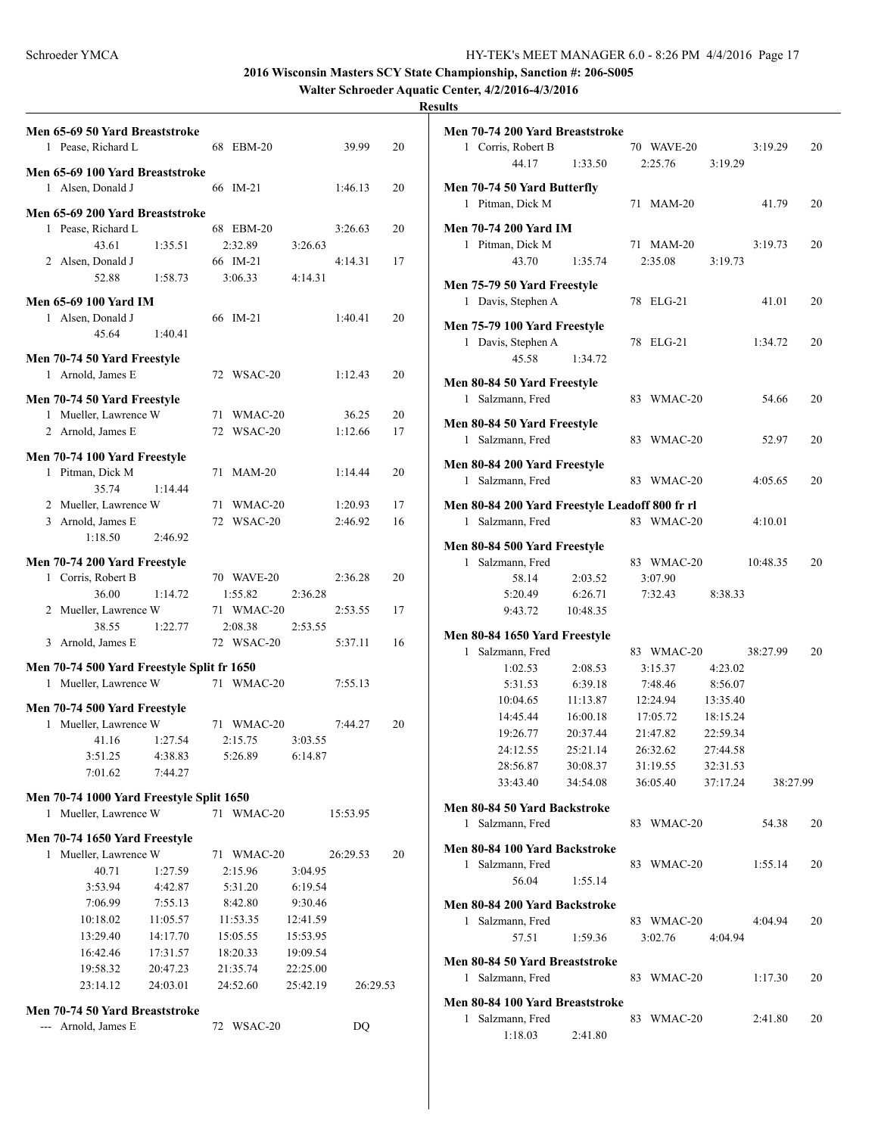**Walter Schroeder Aquatic Center, 4/2/2016-4/3/2016**

|   | Men 65-69 50 Yard Breaststroke             |          |            |          |          |    |
|---|--------------------------------------------|----------|------------|----------|----------|----|
|   | 1 Pease, Richard L                         |          | 68 EBM-20  |          | 39.99    | 20 |
|   |                                            |          |            |          |          |    |
|   | Men 65-69 100 Yard Breaststroke            |          |            |          |          |    |
|   | 1 Alsen, Donald J                          |          | 66 IM-21   |          | 1:46.13  | 20 |
|   | Men 65-69 200 Yard Breaststroke            |          |            |          |          |    |
|   | 1 Pease, Richard L                         |          | 68 EBM-20  |          | 3:26.63  | 20 |
|   | 43.61                                      | 1:35.51  | 2:32.89    | 3:26.63  |          |    |
|   | 2 Alsen, Donald J                          |          | 66 IM-21   |          | 4:14.31  | 17 |
|   | 52.88                                      | 1:58.73  | 3:06.33    | 4:14.31  |          |    |
|   | Men 65-69 100 Yard IM                      |          |            |          |          |    |
|   | 1 Alsen, Donald J                          |          | 66 IM-21   |          | 1:40.41  | 20 |
|   | 45.64                                      | 1:40.41  |            |          |          |    |
|   |                                            |          |            |          |          |    |
|   | Men 70-74 50 Yard Freestyle                |          |            |          |          |    |
|   | 1 Arnold, James E                          |          | 72 WSAC-20 |          | 1:12.43  | 20 |
|   | Men 70-74 50 Yard Freestyle                |          |            |          |          |    |
|   | 1 Mueller, Lawrence W                      |          | 71 WMAC-20 |          | 36.25    | 20 |
|   | 2 Arnold, James E                          |          | 72 WSAC-20 |          | 1:12.66  | 17 |
|   |                                            |          |            |          |          |    |
|   | Men 70-74 100 Yard Freestyle               |          |            |          |          |    |
|   | 1 Pitman, Dick M                           |          | 71 MAM-20  |          | 1:14.44  | 20 |
|   | 35.74                                      | 1.1444   |            |          |          |    |
|   | 2 Mueller, Lawrence W                      |          | 71 WMAC-20 |          | 1:20.93  | 17 |
|   | 3 Arnold, James E                          |          | 72 WSAC-20 |          | 2:46.92  | 16 |
|   | 1:18.50                                    | 2:46.92  |            |          |          |    |
|   | Men 70-74 200 Yard Freestyle               |          |            |          |          |    |
|   | 1 Corris, Robert B                         |          | 70 WAVE-20 |          | 2:36.28  | 20 |
|   | 36.00                                      | 1:14.72  | 1:55.82    | 2:36.28  |          |    |
|   | 2 Mueller, Lawrence W                      |          | 71 WMAC-20 |          | 2:53.55  | 17 |
|   | 38.55                                      | 1:22.77  | 2:08.38    | 2:53.55  |          |    |
|   | 3 Arnold, James E                          |          | 72 WSAC-20 |          | 5:37.11  | 16 |
|   | Men 70-74 500 Yard Freestyle Split fr 1650 |          |            |          |          |    |
|   | 1 Mueller, Lawrence W                      |          | 71 WMAC-20 |          | 7:55.13  |    |
|   |                                            |          |            |          |          |    |
|   | Men 70-74 500 Yard Freestyle               |          |            |          |          |    |
|   | 1 Mueller, Lawrence W                      |          | 71 WMAC-20 |          | 7:44.27  | 20 |
|   | 41.16                                      | 1:27.54  | 2:15.75    | 3:03.55  |          |    |
|   | 3:51.25                                    | 4:38.83  | 5:26.89    | 6:14.87  |          |    |
|   | 7:01.62                                    | 7:44.27  |            |          |          |    |
|   | Men 70-74 1000 Yard Freestyle Split 1650   |          |            |          |          |    |
|   | 1 Mueller, Lawrence W                      |          | 71 WMAC-20 |          | 15:53.95 |    |
|   | Men 70-74 1650 Yard Freestyle              |          |            |          |          |    |
| 1 | Mueller, Lawrence W                        |          | 71 WMAC-20 |          | 26:29.53 | 20 |
|   | 40.71                                      | 1:27.59  | 2:15.96    | 3:04.95  |          |    |
|   | 3:53.94                                    | 4:42.87  | 5:31.20    | 6:19.54  |          |    |
|   | 7:06.99                                    | 7:55.13  | 8:42.80    | 9:30.46  |          |    |
|   | 10:18.02                                   | 11:05.57 | 11:53.35   | 12:41.59 |          |    |
|   | 13:29.40                                   | 14:17.70 | 15:05.55   | 15:53.95 |          |    |
|   | 16:42.46                                   | 17:31.57 | 18:20.33   | 19:09.54 |          |    |
|   | 19:58.32                                   | 20:47.23 | 21:35.74   | 22:25.00 |          |    |
|   | 23:14.12                                   | 24:03.01 | 24:52.60   | 25:42.19 | 26:29.53 |    |
|   |                                            |          |            |          |          |    |
|   | Men 70-74 50 Yard Breaststroke             |          |            |          |          |    |
|   | --- Arnold, James E                        |          | 72 WSAC-20 |          | DQ       |    |

|              | Men 70-74 200 Yard Breaststroke                |          |    |            |          |          |    |
|--------------|------------------------------------------------|----------|----|------------|----------|----------|----|
|              | 1 Corris, Robert B                             |          |    | 70 WAVE-20 |          | 3:19.29  | 20 |
|              | 44.17                                          | 1:33.50  |    | 2:25.76    | 3:19.29  |          |    |
|              |                                                |          |    |            |          |          |    |
|              | Men 70-74 50 Yard Butterfly                    |          |    |            |          |          |    |
|              | 1 Pitman, Dick M                               |          | 71 | $MAM-20$   |          | 41.79    | 20 |
|              | <b>Men 70-74 200 Yard IM</b>                   |          |    |            |          |          |    |
|              |                                                |          |    |            |          |          |    |
| 1            | Pitman, Dick M                                 |          |    | 71 MAM-20  |          | 3:19.73  | 20 |
|              | 43.70                                          | 1:35.74  |    | 2:35.08    | 3:19.73  |          |    |
|              | Men 75-79 50 Yard Freestyle                    |          |    |            |          |          |    |
|              | 1 Davis, Stephen A                             |          |    | 78 ELG-21  |          | 41.01    | 20 |
|              |                                                |          |    |            |          |          |    |
|              | Men 75-79 100 Yard Freestyle                   |          |    |            |          |          |    |
|              | 1 Davis, Stephen A                             |          |    | 78 ELG-21  |          | 1:34.72  | 20 |
|              | 45.58                                          | 1:34.72  |    |            |          |          |    |
|              |                                                |          |    |            |          |          |    |
|              | Men 80-84 50 Yard Freestyle                    |          |    |            |          |          |    |
| $\mathbf{1}$ | Salzmann, Fred                                 |          |    | 83 WMAC-20 |          | 54.66    | 20 |
|              | Men 80-84 50 Yard Freestyle                    |          |    |            |          |          |    |
|              |                                                |          |    | 83 WMAC-20 |          |          |    |
|              | 1 Salzmann, Fred                               |          |    |            |          | 52.97    | 20 |
|              | Men 80-84 200 Yard Freestyle                   |          |    |            |          |          |    |
|              | 1 Salzmann, Fred                               |          |    | 83 WMAC-20 |          | 4:05.65  | 20 |
|              |                                                |          |    |            |          |          |    |
|              | Men 80-84 200 Yard Freestyle Leadoff 800 fr rl |          |    |            |          |          |    |
| 1            | Salzmann, Fred                                 |          |    | 83 WMAC-20 |          | 4:10.01  |    |
|              |                                                |          |    |            |          |          |    |
|              | Men 80-84 500 Yard Freestyle                   |          |    |            |          |          |    |
| 1            | Salzmann, Fred                                 |          |    | 83 WMAC-20 |          | 10:48.35 | 20 |
|              | 58.14                                          | 2:03.52  |    | 3:07.90    |          |          |    |
|              | 5:20.49                                        | 6:26.71  |    | 7:32.43    | 8:38.33  |          |    |
|              | 9:43.72                                        | 10:48.35 |    |            |          |          |    |
|              |                                                |          |    |            |          |          |    |
|              | Men 80-84 1650 Yard Freestyle                  |          |    |            |          |          |    |
| $\mathbf{1}$ | Salzmann, Fred                                 |          |    | 83 WMAC-20 |          | 38:27.99 | 20 |
|              | 1:02.53                                        | 2:08.53  |    | 3:15.37    | 4:23.02  |          |    |
|              | 5:31.53                                        | 6:39.18  |    | 7:48.46    | 8:56.07  |          |    |
|              | 10:04.65                                       | 11:13.87 |    | 12:24.94   | 13:35.40 |          |    |
|              | 14:45.44                                       | 16:00.18 |    | 17:05.72   | 18:15.24 |          |    |
|              | 19:26.77                                       | 20:37.44 |    | 21:47.82   | 22:59.34 |          |    |
|              | 24:12.55                                       | 25:21.14 |    | 26:32.62   | 27:44.58 |          |    |
|              | 28:56.87                                       | 30:08.37 |    | 31:19.55   | 32:31.53 |          |    |
|              | 33:43.40                                       | 34:54.08 |    | 36:05.40   | 37:17.24 | 38:27.99 |    |
|              |                                                |          |    |            |          |          |    |
|              |                                                |          |    |            |          |          |    |
|              | Men 80-84 50 Yard Backstroke                   |          |    |            |          |          |    |
|              | 1 Salzmann, Fred                               |          |    | 83 WMAC-20 |          | 54.38    | 20 |
|              |                                                |          |    |            |          |          |    |
|              | Men 80-84 100 Yard Backstroke                  |          |    |            |          |          |    |
|              | 1 Salzmann, Fred                               |          |    | 83 WMAC-20 |          | 1:55.14  | 20 |
|              | 56.04                                          | 1:55.14  |    |            |          |          |    |
|              |                                                |          |    |            |          |          |    |
|              | Men 80-84 200 Yard Backstroke                  |          |    |            |          |          |    |
|              | 1 Salzmann, Fred                               |          |    | 83 WMAC-20 |          | 4:04.94  | 20 |
|              | 57.51                                          | 1:59.36  |    | 3:02.76    | 4:04.94  |          |    |
|              | Men 80-84 50 Yard Breaststroke                 |          |    |            |          |          |    |
|              | 1 Salzmann, Fred                               |          |    | 83 WMAC-20 |          | 1:17.30  | 20 |
|              |                                                |          |    |            |          |          |    |
|              | Men 80-84 100 Yard Breaststroke                |          |    |            |          |          |    |
| 1            | Salzmann, Fred                                 |          |    | 83 WMAC-20 |          | 2:41.80  | 20 |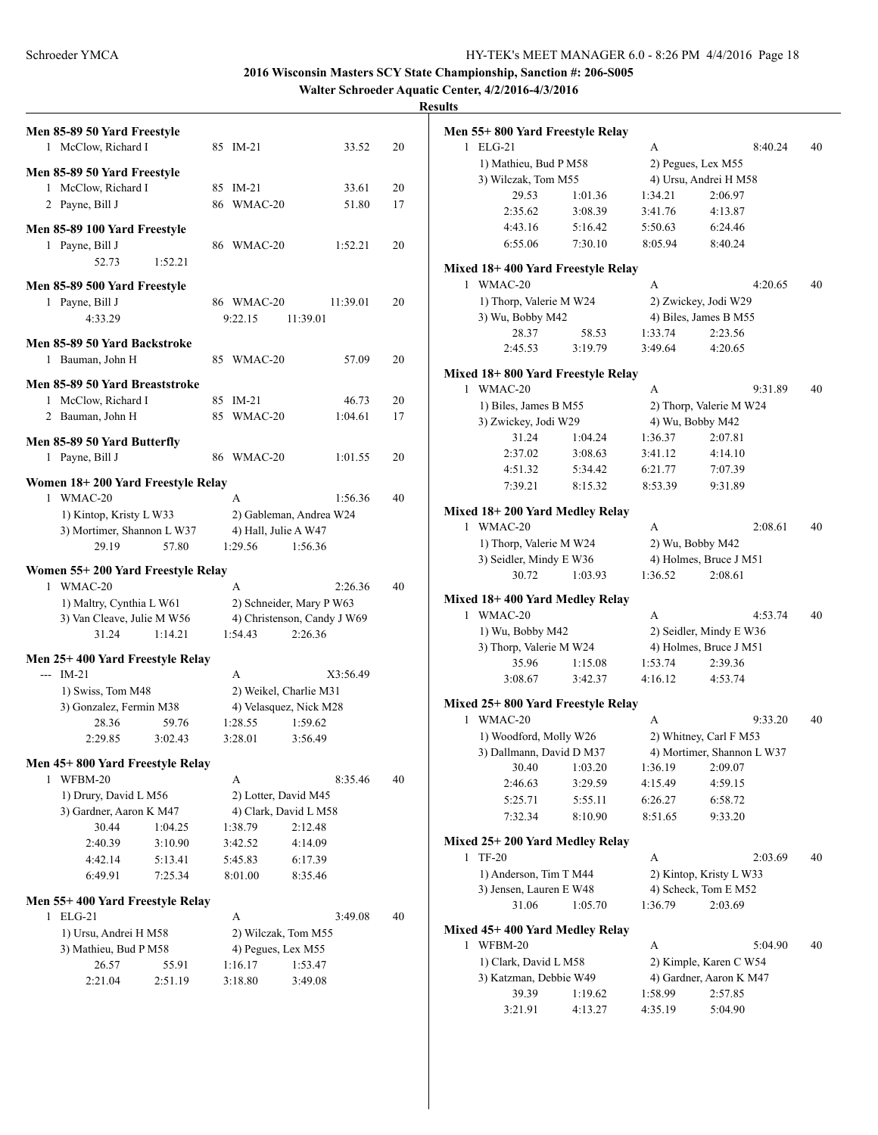**Walter Schroeder Aquatic Center, 4/2/2016-4/3/2016**

| Men 85-89 50 Yard Freestyle                    |         |            |                          |                             |    | Men 55+800 Yard Freestyle Relay                    |                   |
|------------------------------------------------|---------|------------|--------------------------|-----------------------------|----|----------------------------------------------------|-------------------|
| 1 McClow, Richard I                            |         | 85 IM-21   |                          | 33.52                       | 20 | 1 ELG-21                                           |                   |
| Men 85-89 50 Yard Freestyle                    |         |            |                          |                             |    | 1) Mathieu, Bud P M58                              |                   |
| 1 McClow, Richard I                            |         | 85 IM-21   |                          | 33.61                       | 20 | 3) Wilczak, Tom M55                                |                   |
| 2 Payne, Bill J                                |         | 86 WMAC-20 |                          | 51.80                       | 17 | 29.53                                              | 1:01.36           |
|                                                |         |            |                          |                             |    | 2:35.62                                            | 3:08.39           |
| Men 85-89 100 Yard Freestyle                   |         |            |                          |                             |    | 4:43.16                                            | 5:16.42           |
| 1 Payne, Bill J                                |         | 86 WMAC-20 |                          | 1:52.21                     | 20 | 6:55.06                                            | 7:30.10           |
| 52.73                                          | 1:52.21 |            |                          |                             |    | Mixed 18+400 Yard Freestyle Rela                   |                   |
| Men 85-89 500 Yard Freestyle                   |         |            |                          |                             |    | 1 WMAC-20                                          |                   |
| 1 Payne, Bill J                                |         | 86 WMAC-20 |                          | 11:39.01                    | 20 | 1) Thorp, Valerie M W24                            |                   |
| 4:33.29                                        |         | 9:22.15    | 11:39.01                 |                             |    | 3) Wu, Bobby M42                                   |                   |
| Men 85-89 50 Yard Backstroke                   |         |            |                          |                             |    | 28.37                                              | 58.53             |
| 1 Bauman, John H                               |         | 85 WMAC-20 |                          | 57.09                       | 20 | 2:45.53                                            | 3:19.79           |
|                                                |         |            |                          |                             |    | Mixed 18+800 Yard Freestyle Rela                   |                   |
| Men 85-89 50 Yard Breaststroke                 |         |            |                          |                             |    | 1 WMAC-20                                          |                   |
| 1 McClow, Richard I                            |         | 85 IM-21   |                          | 46.73                       | 20 | 1) Biles, James B M55                              |                   |
| 2 Bauman, John H                               |         | 85 WMAC-20 |                          | 1:04.61                     | 17 | 3) Zwickey, Jodi W29                               |                   |
| Men 85-89 50 Yard Butterfly                    |         |            |                          |                             |    | 31.24                                              | 1:04.24           |
| 1 Payne, Bill J                                |         | 86 WMAC-20 |                          | 1:01.55                     | 20 | 2:37.02                                            | 3:08.63           |
|                                                |         |            |                          |                             |    | 4:51.32                                            | 5:34.42           |
| Women 18+200 Yard Freestyle Relay              |         |            |                          |                             |    | 7:39.21                                            | 8:15.32           |
| 1 WMAC-20                                      |         | A          |                          | 1:56.36                     | 40 |                                                    |                   |
| 1) Kintop, Kristy L W33                        |         |            | 2) Gableman, Andrea W24  |                             |    | Mixed 18+200 Yard Medley Relay<br>1 WMAC-20        |                   |
| 3) Mortimer, Shannon L W37                     |         |            | 4) Hall, Julie A W47     |                             |    |                                                    |                   |
| 29.19                                          | 57.80   | 1:29.56    | 1:56.36                  |                             |    | 1) Thorp, Valerie M W24<br>3) Seidler, Mindy E W36 |                   |
| Women 55+200 Yard Freestyle Relay              |         |            |                          |                             |    | 30.72                                              | 1:03.93           |
| 1 WMAC-20                                      |         | A          |                          | 2:26.36                     | 40 |                                                    |                   |
| 1) Maltry, Cynthia L W61                       |         |            | 2) Schneider, Mary P W63 |                             |    | Mixed 18+400 Yard Medley Relay                     |                   |
| 3) Van Cleave, Julie M W56                     |         |            |                          | 4) Christenson, Candy J W69 |    | 1 WMAC-20                                          |                   |
| 31.24                                          | 1:14.21 | 1:54.43    | 2:26.36                  |                             |    | 1) Wu, Bobby M42                                   |                   |
|                                                |         |            |                          |                             |    | 3) Thorp, Valerie M W24                            |                   |
| Men 25+400 Yard Freestyle Relay<br>$- -$ IM-21 |         | А          |                          | X3:56.49                    |    | 35.96                                              | 1:15.08           |
| 1) Swiss, Tom M48                              |         |            | 2) Weikel, Charlie M31   |                             |    | 3:08.67                                            | 3:42.37           |
| 3) Gonzalez, Fermin M38                        |         |            | 4) Velasquez, Nick M28   |                             |    | Mixed 25+800 Yard Freestyle Rela                   |                   |
| 28.36                                          | 59.76   | 1:28.55    | 1:59.62                  |                             |    | 1 WMAC-20                                          |                   |
| 2:29.85                                        | 3:02.43 | 3:28.01    | 3:56.49                  |                             |    | 1) Woodford, Molly W26                             |                   |
|                                                |         |            |                          |                             |    | 3) Dallmann, David D M37                           |                   |
| Men 45+800 Yard Freestyle Relay                |         |            |                          |                             |    | 30.40                                              | 1:03.20           |
| 1 WFBM-20                                      |         | A          |                          | 8:35.46                     | 40 | 2:46.63                                            | 3:29.59           |
| 1) Drury, David L M56                          |         |            | 2) Lotter, David M45     |                             |    | 5:25.71                                            | 5:55.11           |
| 3) Gardner, Aaron K M47                        |         |            | 4) Clark, David L M58    |                             |    | 7:32.34                                            | 8:10.90           |
| 30.44                                          | 1:04.25 | 1:38.79    | 2:12.48                  |                             |    |                                                    |                   |
| 2:40.39                                        | 3:10.90 | 3:42.52    | 4:14.09                  |                             |    | Mixed 25+200 Yard Medley Relay<br>1 TF-20          |                   |
| 4:42.14                                        | 5:13.41 | 5:45.83    | 6:17.39                  |                             |    | 1) Anderson, Tim T M44                             |                   |
| 6:49.91                                        | 7:25.34 | 8:01.00    | 8:35.46                  |                             |    | 3) Jensen, Lauren E W48                            |                   |
| Men 55+400 Yard Freestyle Relay                |         |            |                          |                             |    | 31.06                                              | 1:05.70           |
| 1 ELG-21                                       |         | A          |                          | 3:49.08                     | 40 |                                                    |                   |
| 1) Ursu, Andrei H M58                          |         |            | 2) Wilczak, Tom M55      |                             |    | Mixed 45+400 Yard Medley Relay                     |                   |
| 3) Mathieu, Bud P M58                          |         |            | 4) Pegues, Lex M55       |                             |    | 1 WFBM-20                                          |                   |
| 26.57                                          | 55.91   | 1:16.17    | 1:53.47                  |                             |    | 1) Clark, David L M58                              |                   |
| 2:21.04                                        | 2:51.19 | 3:18.80    | 3:49.08                  |                             |    | 3) Katzman, Debbie W49                             |                   |
|                                                |         |            |                          |                             |    | 39.39<br>3.2191                                    | 1:19.62<br>4.1327 |
|                                                |         |            |                          |                             |    |                                                    |                   |

|   | Men 55+ 800 Yard Freestyle Relay   |         |         |                            |    |
|---|------------------------------------|---------|---------|----------------------------|----|
| 1 | $ELG-21$                           |         | А       | 8:40.24                    | 40 |
|   | 1) Mathieu, Bud P M58              |         |         | 2) Pegues, Lex M55         |    |
|   | 3) Wilczak, Tom M55                |         |         | 4) Ursu, Andrei H M58      |    |
|   | 29.53                              | 1:01.36 | 1:34.21 | 2:06.97                    |    |
|   | 2:35.62                            | 3:08.39 | 3:41.76 | 4:13.87                    |    |
|   | 4:43.16                            | 5:16.42 | 5:50.63 | 6:24.46                    |    |
|   | 6:55.06                            | 7:30.10 | 8:05.94 | 8:40.24                    |    |
|   | Mixed 18+400 Yard Freestyle Relay  |         |         |                            |    |
| 1 | WMAC-20                            |         | A       | 4:20.65                    | 40 |
|   | 1) Thorp, Valerie M W24            |         |         | 2) Zwickey, Jodi W29       |    |
|   | 3) Wu, Bobby M42                   |         |         | 4) Biles, James B M55      |    |
|   | 28.37                              | 58.53   | 1:33.74 | 2:23.56                    |    |
|   | 2:45.53                            | 3:19.79 | 3:49.64 | 4:20.65                    |    |
|   | Mixed 18+ 800 Yard Freestyle Relay |         |         |                            |    |
| 1 | WMAC-20                            |         | A       | 9:31.89                    | 40 |
|   | 1) Biles, James B M55              |         |         | 2) Thorp, Valerie M W24    |    |
|   | 3) Zwickey, Jodi W29               |         |         | 4) Wu, Bobby M42           |    |
|   | 31.24                              | 1:04.24 | 1:36.37 | 2:07.81                    |    |
|   | 2:37.02                            | 3:08.63 | 3:41.12 | 4:14.10                    |    |
|   | 4:51.32                            | 5:34.42 | 6:21.77 | 7:07.39                    |    |
|   | 7:39.21                            | 8:15.32 | 8:53.39 | 9:31.89                    |    |
|   |                                    |         |         |                            |    |
|   | Mixed 18+ 200 Yard Medley Relay    |         |         |                            |    |
| 1 | WMAC-20                            |         | A       | 2:08.61                    | 40 |
|   | 1) Thorp, Valerie M W24            |         |         | 2) Wu, Bobby M42           |    |
|   | 3) Seidler, Mindy E W36            |         |         | 4) Holmes, Bruce J M51     |    |
|   | 30.72                              | 1:03.93 | 1:36.52 | 2:08.61                    |    |
|   | Mixed 18+ 400 Yard Medley Relay    |         |         |                            |    |
| 1 | WMAC-20                            |         | A       | 4:53.74                    | 40 |
|   | 1) Wu, Bobby M42                   |         |         | 2) Seidler, Mindy E W36    |    |
|   | 3) Thorp, Valerie M W24            |         |         | 4) Holmes, Bruce J M51     |    |
|   | 35.96                              | 1:15.08 | 1:53.74 | 2:39.36                    |    |
|   | 3:08.67                            | 3:42.37 | 4:16.12 | 4:53.74                    |    |
|   | Mixed 25+ 800 Yard Freestyle Relay |         |         |                            |    |
| 1 | WMAC-20                            |         | A       | 9:33.20                    | 40 |
|   | 1) Woodford, Molly W26             |         |         | 2) Whitney, Carl F M53     |    |
|   | 3) Dallmann, David D M37           |         |         | 4) Mortimer, Shannon L W37 |    |
|   | 30.40 1:03.20                      |         |         | 1:36.19 2:09.07            |    |
|   | 2:46.63                            | 3:29.59 | 4:15.49 | 4:59.15                    |    |
|   | 5:25.71                            | 5:55.11 | 6:26.27 | 6:58.72                    |    |
|   | 7:32.34                            | 8:10.90 | 8:51.65 | 9:33.20                    |    |
|   | Mixed 25+ 200 Yard Medley Relay    |         |         |                            |    |
| 1 | <b>TF-20</b>                       |         | А       | 2:03.69                    | 40 |
|   | 1) Anderson, Tim T M44             |         |         | 2) Kintop, Kristy L W33    |    |
|   | 3) Jensen, Lauren E W48            |         |         | 4) Scheck, Tom E M52       |    |
|   | 31.06                              | 1:05.70 | 1:36.79 | 2:03.69                    |    |
|   | Mixed 45+ 400 Yard Medley Relay    |         |         |                            |    |
| 1 | WFBM-20                            |         | A       | 5:04.90                    | 40 |
|   | 1) Clark, David L M58              |         |         | 2) Kimple, Karen C W54     |    |
|   | 3) Katzman, Debbie W49             |         |         | 4) Gardner, Aaron K M47    |    |
|   | 39.39                              | 1:19.62 | 1:58.99 | 2:57.85                    |    |
|   | 3:21.91                            | 4:13.27 | 4:35.19 | 5:04.90                    |    |
|   |                                    |         |         |                            |    |